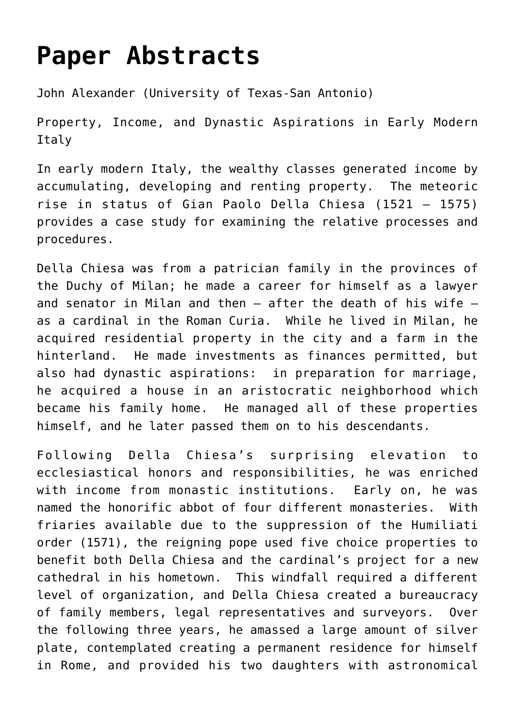## **[Paper Abstracts](https://southcentralrenaissanceconference.org/paper-abstracts/)**

[John Alexander \(University of Texas-San Antonio\)](http://cacp.utsa.edu/faculty-and-staff/john-alexander-ph.d)

Property, Income, and Dynastic Aspirations in Early Modern Italy

In early modern Italy, the wealthy classes generated income by accumulating, developing and renting property. The meteoric rise in status of Gian Paolo Della Chiesa (1521 – 1575) provides a case study for examining the relative processes and procedures.

Della Chiesa was from a patrician family in the provinces of the Duchy of Milan; he made a career for himself as a lawyer and senator in Milan and then — after the death of his wife as a cardinal in the Roman Curia. While he lived in Milan, he acquired residential property in the city and a farm in the hinterland. He made investments as finances permitted, but also had dynastic aspirations: in preparation for marriage, he acquired a house in an aristocratic neighborhood which became his family home. He managed all of these properties himself, and he later passed them on to his descendants.

Following Della Chiesa's surprising elevation to ecclesiastical honors and responsibilities, he was enriched with income from monastic institutions. Early on, he was named the honorific abbot of four different monasteries. With friaries available due to the suppression of the Humiliati order (1571), the reigning pope used five choice properties to benefit both Della Chiesa and the cardinal's project for a new cathedral in his hometown. This windfall required a different level of organization, and Della Chiesa created a bureaucracy of family members, legal representatives and surveyors. Over the following three years, he amassed a large amount of silver plate, contemplated creating a permanent residence for himself in Rome, and provided his two daughters with astronomical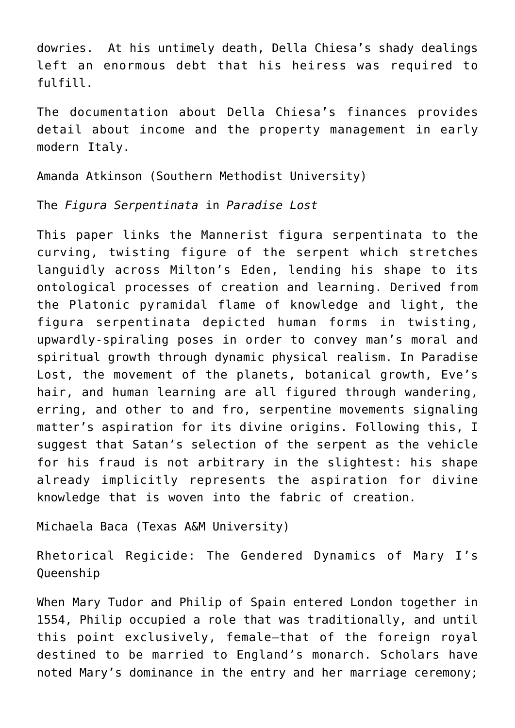dowries. At his untimely death, Della Chiesa's shady dealings left an enormous debt that his heiress was required to fulfill.

The documentation about Della Chiesa's finances provides detail about income and the property management in early modern Italy.

[Amanda Atkinson \(Southern Methodist University\)](https://www.smu.edu/Dedman/Academics/Departments/English/People/Graduate-Students/AmandaAtkinson)

The *Figura Serpentinata* in *Paradise Lost*

This paper links the Mannerist figura serpentinata to the curving, twisting figure of the serpent which stretches languidly across Milton's Eden, lending his shape to its ontological processes of creation and learning. Derived from the Platonic pyramidal flame of knowledge and light, the figura serpentinata depicted human forms in twisting, upwardly-spiraling poses in order to convey man's moral and spiritual growth through dynamic physical realism. In Paradise Lost, the movement of the planets, botanical growth, Eve's hair, and human learning are all figured through wandering, erring, and other to and fro, serpentine movements signaling matter's aspiration for its divine origins. Following this, I suggest that Satan's selection of the serpent as the vehicle for his fraud is not arbitrary in the slightest: his shape already implicitly represents the aspiration for divine knowledge that is woven into the fabric of creation.

[Michaela Baca \(Texas A&M University\)](https://liberalarts.tamu.edu/english/profile/michaela-baca/)

Rhetorical Regicide: The Gendered Dynamics of Mary I's Queenship

When Mary Tudor and Philip of Spain entered London together in 1554, Philip occupied a role that was traditionally, and until this point exclusively, female—that of the foreign royal destined to be married to England's monarch. Scholars have noted Mary's dominance in the entry and her marriage ceremony;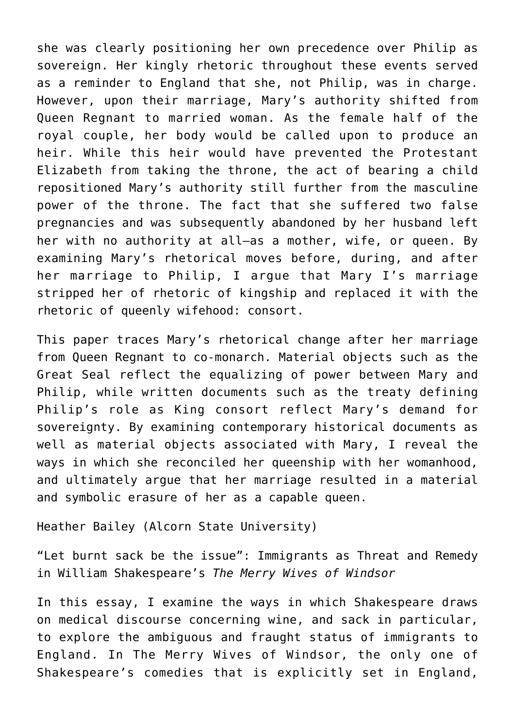she was clearly positioning her own precedence over Philip as sovereign. Her kingly rhetoric throughout these events served as a reminder to England that she, not Philip, was in charge. However, upon their marriage, Mary's authority shifted from Queen Regnant to married woman. As the female half of the royal couple, her body would be called upon to produce an heir. While this heir would have prevented the Protestant Elizabeth from taking the throne, the act of bearing a child repositioned Mary's authority still further from the masculine power of the throne. The fact that she suffered two false pregnancies and was subsequently abandoned by her husband left her with no authority at all—as a mother, wife, or queen. By examining Mary's rhetorical moves before, during, and after her marriage to Philip, I argue that Mary I's marriage stripped her of rhetoric of kingship and replaced it with the rhetoric of queenly wifehood: consort.

This paper traces Mary's rhetorical change after her marriage from Queen Regnant to co-monarch. Material objects such as the Great Seal reflect the equalizing of power between Mary and Philip, while written documents such as the treaty defining Philip's role as King consort reflect Mary's demand for sovereignty. By examining contemporary historical documents as well as material objects associated with Mary, I reveal the ways in which she reconciled her queenship with her womanhood, and ultimately argue that her marriage resulted in a material and symbolic erasure of her as a capable queen.

[Heather Bailey \(Alcorn State University\)](https://www.alcorn.edu/academics/schools-and-departments/school-of-arts-and-sciences/listing-of-faculty-and-staff)

"Let burnt sack be the issue": Immigrants as Threat and Remedy in William Shakespeare's *The Merry Wives of Windsor*

In this essay, I examine the ways in which Shakespeare draws on medical discourse concerning wine, and sack in particular, to explore the ambiguous and fraught status of immigrants to England. In The Merry Wives of Windsor, the only one of Shakespeare's comedies that is explicitly set in England,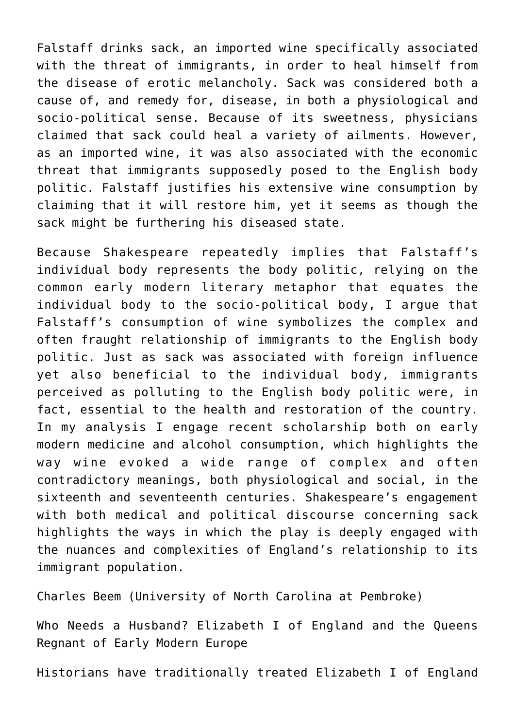Falstaff drinks sack, an imported wine specifically associated with the threat of immigrants, in order to heal himself from the disease of erotic melancholy. Sack was considered both a cause of, and remedy for, disease, in both a physiological and socio-political sense. Because of its sweetness, physicians claimed that sack could heal a variety of ailments. However, as an imported wine, it was also associated with the economic threat that immigrants supposedly posed to the English body politic. Falstaff justifies his extensive wine consumption by claiming that it will restore him, yet it seems as though the sack might be furthering his diseased state.

Because Shakespeare repeatedly implies that Falstaff's individual body represents the body politic, relying on the common early modern literary metaphor that equates the individual body to the socio-political body, I argue that Falstaff's consumption of wine symbolizes the complex and often fraught relationship of immigrants to the English body politic. Just as sack was associated with foreign influence yet also beneficial to the individual body, immigrants perceived as polluting to the English body politic were, in fact, essential to the health and restoration of the country. In my analysis I engage recent scholarship both on early modern medicine and alcohol consumption, which highlights the way wine evoked a wide range of complex and often contradictory meanings, both physiological and social, in the sixteenth and seventeenth centuries. Shakespeare's engagement with both medical and political discourse concerning sack highlights the ways in which the play is deeply engaged with the nuances and complexities of England's relationship to its immigrant population.

[Charles Beem \(University of North Carolina at Pembroke\)](https://www.uncp.edu/profile/charles-beem)

Who Needs a Husband? Elizabeth I of England and the Queens Regnant of Early Modern Europe

Historians have traditionally treated Elizabeth I of England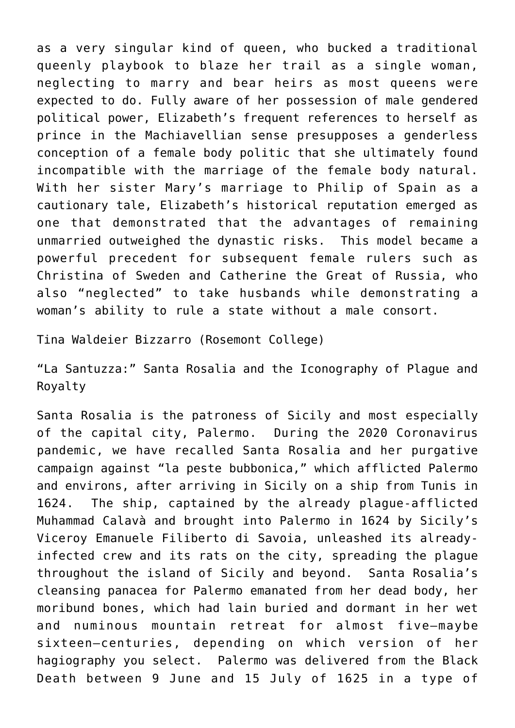as a very singular kind of queen, who bucked a traditional queenly playbook to blaze her trail as a single woman, neglecting to marry and bear heirs as most queens were expected to do. Fully aware of her possession of male gendered political power, Elizabeth's frequent references to herself as prince in the Machiavellian sense presupposes a genderless conception of a female body politic that she ultimately found incompatible with the marriage of the female body natural. With her sister Mary's marriage to Philip of Spain as a cautionary tale, Elizabeth's historical reputation emerged as one that demonstrated that the advantages of remaining unmarried outweighed the dynastic risks. This model became a powerful precedent for subsequent female rulers such as Christina of Sweden and Catherine the Great of Russia, who also "neglected" to take husbands while demonstrating a woman's ability to rule a state without a male consort.

[Tina Waldeier Bizzarro \(Rosemont College\)](https://www.rosemont.edu/faculty-staff-directory/bizzarro-tina.php)

"La Santuzza:" Santa Rosalia and the Iconography of Plague and Royalty

Santa Rosalia is the patroness of Sicily and most especially of the capital city, Palermo. During the 2020 Coronavirus pandemic, we have recalled Santa Rosalia and her purgative campaign against "la peste bubbonica," which afflicted Palermo and environs, after arriving in Sicily on a ship from Tunis in 1624. The ship, captained by the already plague-afflicted Muhammad Calavà and brought into Palermo in 1624 by Sicily's Viceroy Emanuele Filiberto di Savoia, unleashed its alreadyinfected crew and its rats on the city, spreading the plague throughout the island of Sicily and beyond. Santa Rosalia's cleansing panacea for Palermo emanated from her dead body, her moribund bones, which had lain buried and dormant in her wet and numinous mountain retreat for almost five–maybe sixteen–centuries, depending on which version of her hagiography you select. Palermo was delivered from the Black Death between 9 June and 15 July of 1625 in a type of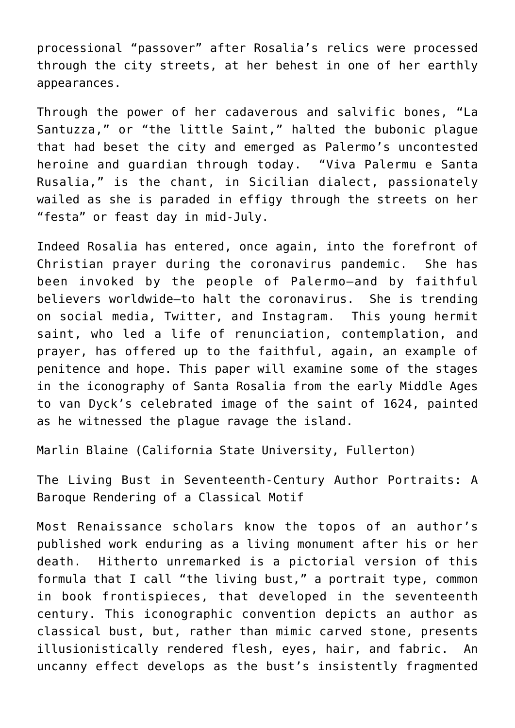processional "passover" after Rosalia's relics were processed through the city streets, at her behest in one of her earthly appearances.

Through the power of her cadaverous and salvific bones, "La Santuzza," or "the little Saint," halted the bubonic plague that had beset the city and emerged as Palermo's uncontested heroine and guardian through today. "Viva Palermu e Santa Rusalia," is the chant, in Sicilian dialect, passionately wailed as she is paraded in effigy through the streets on her "festa" or feast day in mid-July.

Indeed Rosalia has entered, once again, into the forefront of Christian prayer during the coronavirus pandemic. She has been invoked by the people of Palermo—and by faithful believers worldwide–to halt the coronavirus. She is trending on social media, Twitter, and Instagram. This young hermit saint, who led a life of renunciation, contemplation, and prayer, has offered up to the faithful, again, an example of penitence and hope. This paper will examine some of the stages in the iconography of Santa Rosalia from the early Middle Ages to van Dyck's celebrated image of the saint of 1624, painted as he witnessed the plague ravage the island.

[Marlin Blaine \(California State University, Fullerton\)](https://fullerton.academia.edu/MarlinBlaine)

The Living Bust in Seventeenth-Century Author Portraits: A Baroque Rendering of a Classical Motif

Most Renaissance scholars know the topos of an author's published work enduring as a living monument after his or her death. Hitherto unremarked is a pictorial version of this formula that I call "the living bust," a portrait type, common in book frontispieces, that developed in the seventeenth century. This iconographic convention depicts an author as classical bust, but, rather than mimic carved stone, presents illusionistically rendered flesh, eyes, hair, and fabric. An uncanny effect develops as the bust's insistently fragmented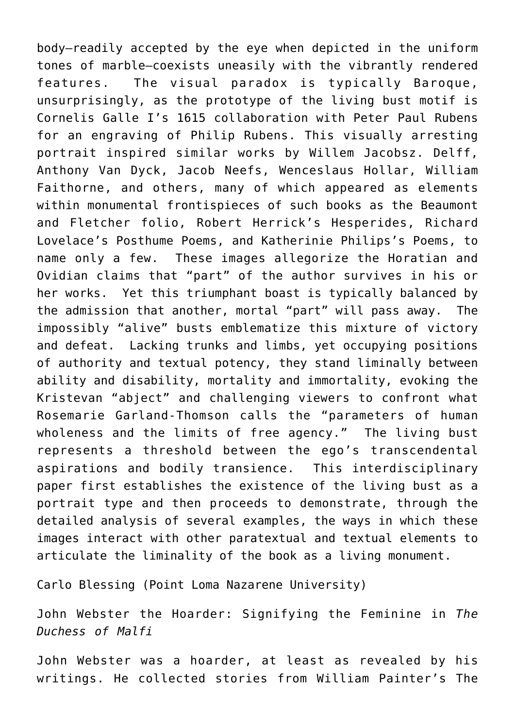body—readily accepted by the eye when depicted in the uniform tones of marble—coexists uneasily with the vibrantly rendered features. The visual paradox is typically Baroque, unsurprisingly, as the prototype of the living bust motif is Cornelis Galle I's 1615 collaboration with Peter Paul Rubens for an engraving of Philip Rubens. This visually arresting portrait inspired similar works by Willem Jacobsz. Delff, Anthony Van Dyck, Jacob Neefs, Wenceslaus Hollar, William Faithorne, and others, many of which appeared as elements within monumental frontispieces of such books as the Beaumont and Fletcher folio, Robert Herrick's Hesperides, Richard Lovelace's Posthume Poems, and Katherinie Philips's Poems, to name only a few. These images allegorize the Horatian and Ovidian claims that "part" of the author survives in his or her works. Yet this triumphant boast is typically balanced by the admission that another, mortal "part" will pass away. The impossibly "alive" busts emblematize this mixture of victory and defeat. Lacking trunks and limbs, yet occupying positions of authority and textual potency, they stand liminally between ability and disability, mortality and immortality, evoking the Kristevan "abject" and challenging viewers to confront what Rosemarie Garland-Thomson calls the "parameters of human wholeness and the limits of free agency." The living bust represents a threshold between the ego's transcendental aspirations and bodily transience. This interdisciplinary paper first establishes the existence of the living bust as a portrait type and then proceeds to demonstrate, through the detailed analysis of several examples, the ways in which these images interact with other paratextual and textual elements to articulate the liminality of the book as a living monument.

[Carlo Blessing \(Point Loma Nazarene University](https://www.pointloma.edu/faculty/carol-blessing-phd))

John Webster the Hoarder: Signifying the Feminine in *The Duchess of Malfi*

John Webster was a hoarder, at least as revealed by his writings. He collected stories from William Painter's The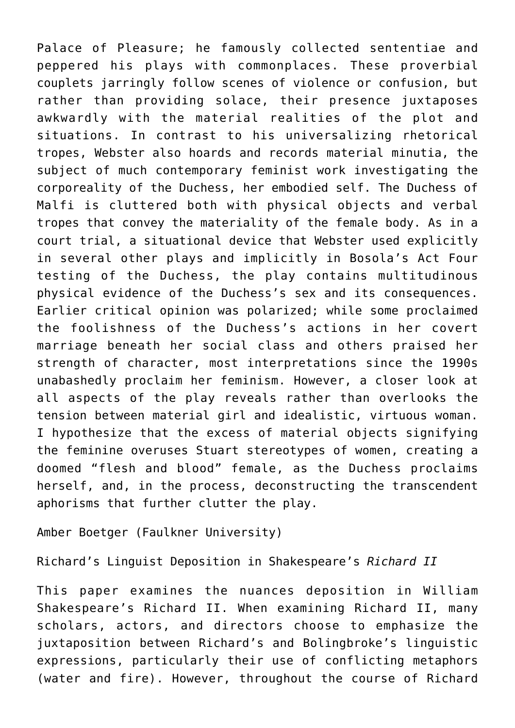Palace of Pleasure; he famously collected sententiae and peppered his plays with commonplaces. These proverbial couplets jarringly follow scenes of violence or confusion, but rather than providing solace, their presence juxtaposes awkwardly with the material realities of the plot and situations. In contrast to his universalizing rhetorical tropes, Webster also hoards and records material minutia, the subject of much contemporary feminist work investigating the corporeality of the Duchess, her embodied self. The Duchess of Malfi is cluttered both with physical objects and verbal tropes that convey the materiality of the female body. As in a court trial, a situational device that Webster used explicitly in several other plays and implicitly in Bosola's Act Four testing of the Duchess, the play contains multitudinous physical evidence of the Duchess's sex and its consequences. Earlier critical opinion was polarized; while some proclaimed the foolishness of the Duchess's actions in her covert marriage beneath her social class and others praised her strength of character, most interpretations since the 1990s unabashedly proclaim her feminism. However, a closer look at all aspects of the play reveals rather than overlooks the tension between material girl and idealistic, virtuous woman. I hypothesize that the excess of material objects signifying the feminine overuses Stuart stereotypes of women, creating a doomed "flesh and blood" female, as the Duchess proclaims herself, and, in the process, deconstructing the transcendent aphorisms that further clutter the play.

Amber Boetger (Faulkner University)

Richard's Linguist Deposition in Shakespeare's *Richard II*

This paper examines the nuances deposition in William Shakespeare's Richard II. When examining Richard II, many scholars, actors, and directors choose to emphasize the juxtaposition between Richard's and Bolingbroke's linguistic expressions, particularly their use of conflicting metaphors (water and fire). However, throughout the course of Richard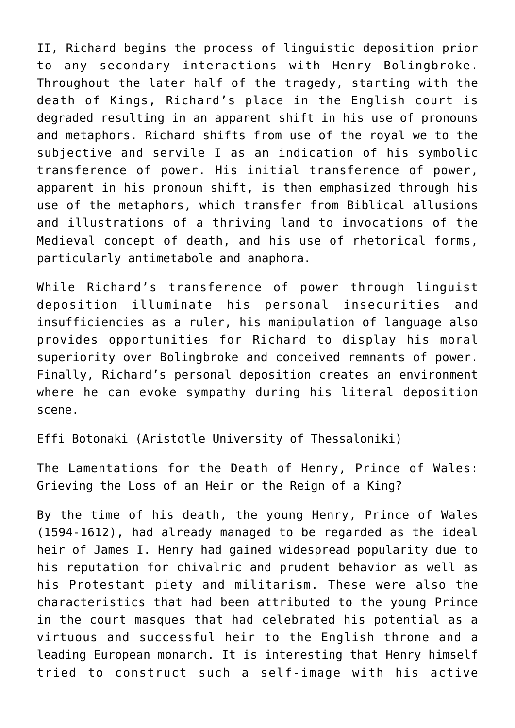II, Richard begins the process of linguistic deposition prior to any secondary interactions with Henry Bolingbroke. Throughout the later half of the tragedy, starting with the death of Kings, Richard's place in the English court is degraded resulting in an apparent shift in his use of pronouns and metaphors. Richard shifts from use of the royal we to the subjective and servile I as an indication of his symbolic transference of power. His initial transference of power, apparent in his pronoun shift, is then emphasized through his use of the metaphors, which transfer from Biblical allusions and illustrations of a thriving land to invocations of the Medieval concept of death, and his use of rhetorical forms, particularly antimetabole and anaphora.

While Richard's transference of power through linguist deposition illuminate his personal insecurities and insufficiencies as a ruler, his manipulation of language also provides opportunities for Richard to display his moral superiority over Bolingbroke and conceived remnants of power. Finally, Richard's personal deposition creates an environment where he can evoke sympathy during his literal deposition scene.

[Effi Botonaki \(Aristotle University of Thessaloniki\)](https://auth.academia.edu/EffieEuphrosyneBotonaki)

The Lamentations for the Death of Henry, Prince of Wales: Grieving the Loss of an Heir or the Reign of a King?

By the time of his death, the young Henry, Prince of Wales (1594-1612), had already managed to be regarded as the ideal heir of James I. Henry had gained widespread popularity due to his reputation for chivalric and prudent behavior as well as his Protestant piety and militarism. These were also the characteristics that had been attributed to the young Prince in the court masques that had celebrated his potential as a virtuous and successful heir to the English throne and a leading European monarch. It is interesting that Henry himself tried to construct such a self-image with his active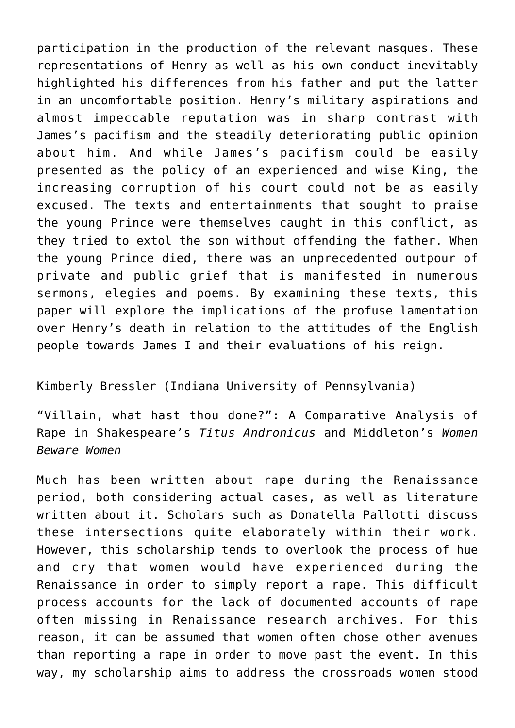participation in the production of the relevant masques. These representations of Henry as well as his own conduct inevitably highlighted his differences from his father and put the latter in an uncomfortable position. Henry's military aspirations and almost impeccable reputation was in sharp contrast with James's pacifism and the steadily deteriorating public opinion about him. And while James's pacifism could be easily presented as the policy of an experienced and wise King, the increasing corruption of his court could not be as easily excused. The texts and entertainments that sought to praise the young Prince were themselves caught in this conflict, as they tried to extol the son without offending the father. When the young Prince died, there was an unprecedented outpour of private and public grief that is manifested in numerous sermons, elegies and poems. By examining these texts, this paper will explore the implications of the profuse lamentation over Henry's death in relation to the attitudes of the English people towards James I and their evaluations of his reign.

## Kimberly Bressler (Indiana University of Pennsylvania)

"Villain, what hast thou done?": A Comparative Analysis of Rape in Shakespeare's *Titus Andronicus* and Middleton's *Women Beware Women*

Much has been written about rape during the Renaissance period, both considering actual cases, as well as literature written about it. Scholars such as Donatella Pallotti discuss these intersections quite elaborately within their work. However, this scholarship tends to overlook the process of hue and cry that women would have experienced during the Renaissance in order to simply report a rape. This difficult process accounts for the lack of documented accounts of rape often missing in Renaissance research archives. For this reason, it can be assumed that women often chose other avenues than reporting a rape in order to move past the event. In this way, my scholarship aims to address the crossroads women stood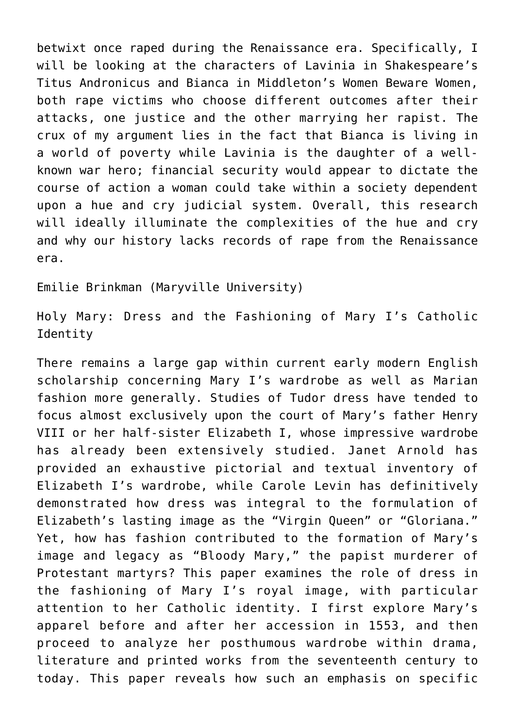betwixt once raped during the Renaissance era. Specifically, I will be looking at the characters of Lavinia in Shakespeare's Titus Andronicus and Bianca in Middleton's Women Beware Women, both rape victims who choose different outcomes after their attacks, one justice and the other marrying her rapist. The crux of my argument lies in the fact that Bianca is living in a world of poverty while Lavinia is the daughter of a wellknown war hero; financial security would appear to dictate the course of action a woman could take within a society dependent upon a hue and cry judicial system. Overall, this research will ideally illuminate the complexities of the hue and cry and why our history lacks records of rape from the Renaissance era.

[Emilie Brinkman \(Maryville University\)](https://maryville.academia.edu/EmilieBrinkman)

Holy Mary: Dress and the Fashioning of Mary I's Catholic Identity

There remains a large gap within current early modern English scholarship concerning Mary I's wardrobe as well as Marian fashion more generally. Studies of Tudor dress have tended to focus almost exclusively upon the court of Mary's father Henry VIII or her half-sister Elizabeth I, whose impressive wardrobe has already been extensively studied. Janet Arnold has provided an exhaustive pictorial and textual inventory of Elizabeth I's wardrobe, while Carole Levin has definitively demonstrated how dress was integral to the formulation of Elizabeth's lasting image as the "Virgin Queen" or "Gloriana." Yet, how has fashion contributed to the formation of Mary's image and legacy as "Bloody Mary," the papist murderer of Protestant martyrs? This paper examines the role of dress in the fashioning of Mary I's royal image, with particular attention to her Catholic identity. I first explore Mary's apparel before and after her accession in 1553, and then proceed to analyze her posthumous wardrobe within drama, literature and printed works from the seventeenth century to today. This paper reveals how such an emphasis on specific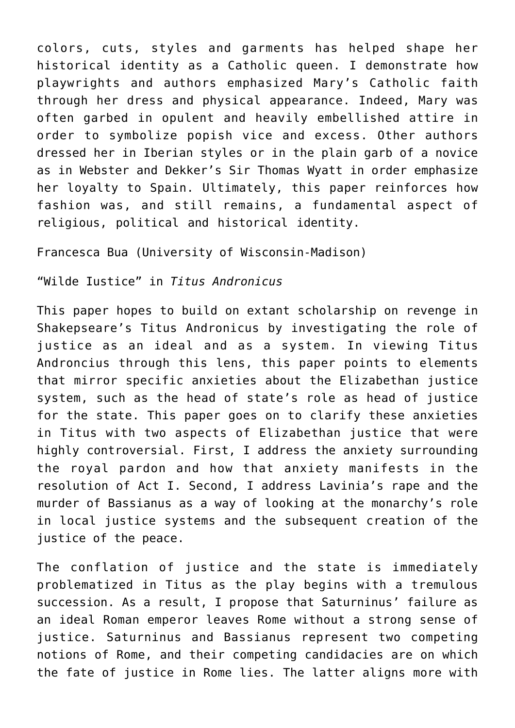colors, cuts, styles and garments has helped shape her historical identity as a Catholic queen. I demonstrate how playwrights and authors emphasized Mary's Catholic faith through her dress and physical appearance. Indeed, Mary was often garbed in opulent and heavily embellished attire in order to symbolize popish vice and excess. Other authors dressed her in Iberian styles or in the plain garb of a novice as in Webster and Dekker's Sir Thomas Wyatt in order emphasize her loyalty to Spain. Ultimately, this paper reinforces how fashion was, and still remains, a fundamental aspect of religious, political and historical identity.

[Francesca Bua \(University of Wisconsin-Madison\)](https://english.wisc.edu/staff/bua-francesca/)

"Wilde Iustice" in *Titus Andronicus*

This paper hopes to build on extant scholarship on revenge in Shakepseare's Titus Andronicus by investigating the role of justice as an ideal and as a system. In viewing Titus Androncius through this lens, this paper points to elements that mirror specific anxieties about the Elizabethan justice system, such as the head of state's role as head of justice for the state. This paper goes on to clarify these anxieties in Titus with two aspects of Elizabethan justice that were highly controversial. First, I address the anxiety surrounding the royal pardon and how that anxiety manifests in the resolution of Act I. Second, I address Lavinia's rape and the murder of Bassianus as a way of looking at the monarchy's role in local justice systems and the subsequent creation of the justice of the peace.

The conflation of justice and the state is immediately problematized in Titus as the play begins with a tremulous succession. As a result, I propose that Saturninus' failure as an ideal Roman emperor leaves Rome without a strong sense of justice. Saturninus and Bassianus represent two competing notions of Rome, and their competing candidacies are on which the fate of justice in Rome lies. The latter aligns more with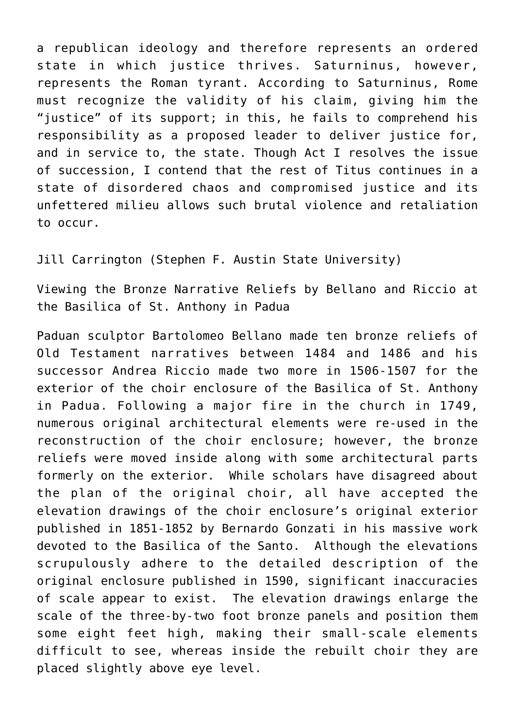a republican ideology and therefore represents an ordered state in which justice thrives. Saturninus, however, represents the Roman tyrant. According to Saturninus, Rome must recognize the validity of his claim, giving him the "justice" of its support; in this, he fails to comprehend his responsibility as a proposed leader to deliver justice for, and in service to, the state. Though Act I resolves the issue of succession, I contend that the rest of Titus continues in a state of disordered chaos and compromised justice and its unfettered milieu allows such brutal violence and retaliation to occur.

[Jill Carrington \(Stephen F. Austin State University\)](https://art.sfasu.edu/faculty/79)

Viewing the Bronze Narrative Reliefs by Bellano and Riccio at the Basilica of St. Anthony in Padua

Paduan sculptor Bartolomeo Bellano made ten bronze reliefs of Old Testament narratives between 1484 and 1486 and his successor Andrea Riccio made two more in 1506-1507 for the exterior of the choir enclosure of the Basilica of St. Anthony in Padua. Following a major fire in the church in 1749, numerous original architectural elements were re-used in the reconstruction of the choir enclosure; however, the bronze reliefs were moved inside along with some architectural parts formerly on the exterior. While scholars have disagreed about the plan of the original choir, all have accepted the elevation drawings of the choir enclosure's original exterior published in 1851-1852 by Bernardo Gonzati in his massive work devoted to the Basilica of the Santo. Although the elevations scrupulously adhere to the detailed description of the original enclosure published in 1590, significant inaccuracies of scale appear to exist. The elevation drawings enlarge the scale of the three-by-two foot bronze panels and position them some eight feet high, making their small-scale elements difficult to see, whereas inside the rebuilt choir they are placed slightly above eye level.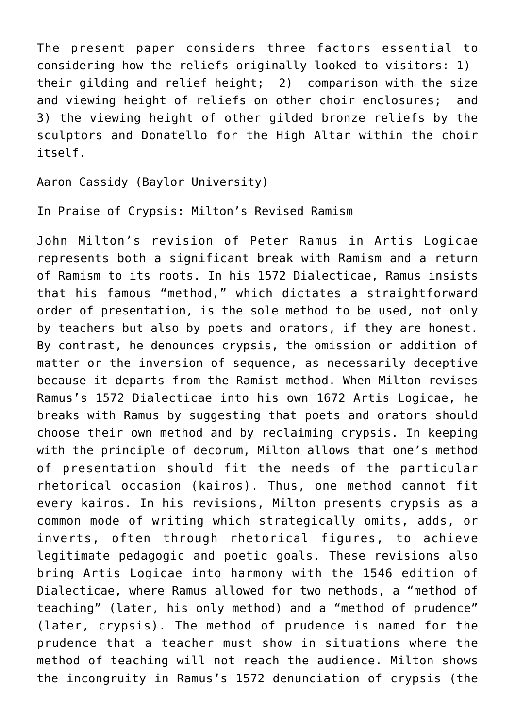The present paper considers three factors essential to considering how the reliefs originally looked to visitors: 1) their gilding and relief height; 2) comparison with the size and viewing height of reliefs on other choir enclosures; and 3) the viewing height of other gilded bronze reliefs by the sculptors and Donatello for the High Altar within the choir itself.

Aaron Cassidy (Baylor University)

In Praise of Crypsis: Milton's Revised Ramism

John Milton's revision of Peter Ramus in Artis Logicae represents both a significant break with Ramism and a return of Ramism to its roots. In his 1572 Dialecticae, Ramus insists that his famous "method," which dictates a straightforward order of presentation, is the sole method to be used, not only by teachers but also by poets and orators, if they are honest. By contrast, he denounces crypsis, the omission or addition of matter or the inversion of sequence, as necessarily deceptive because it departs from the Ramist method. When Milton revises Ramus's 1572 Dialecticae into his own 1672 Artis Logicae, he breaks with Ramus by suggesting that poets and orators should choose their own method and by reclaiming crypsis. In keeping with the principle of decorum, Milton allows that one's method of presentation should fit the needs of the particular rhetorical occasion (kairos). Thus, one method cannot fit every kairos. In his revisions, Milton presents crypsis as a common mode of writing which strategically omits, adds, or inverts, often through rhetorical figures, to achieve legitimate pedagogic and poetic goals. These revisions also bring Artis Logicae into harmony with the 1546 edition of Dialecticae, where Ramus allowed for two methods, a "method of teaching" (later, his only method) and a "method of prudence" (later, crypsis). The method of prudence is named for the prudence that a teacher must show in situations where the method of teaching will not reach the audience. Milton shows the incongruity in Ramus's 1572 denunciation of crypsis (the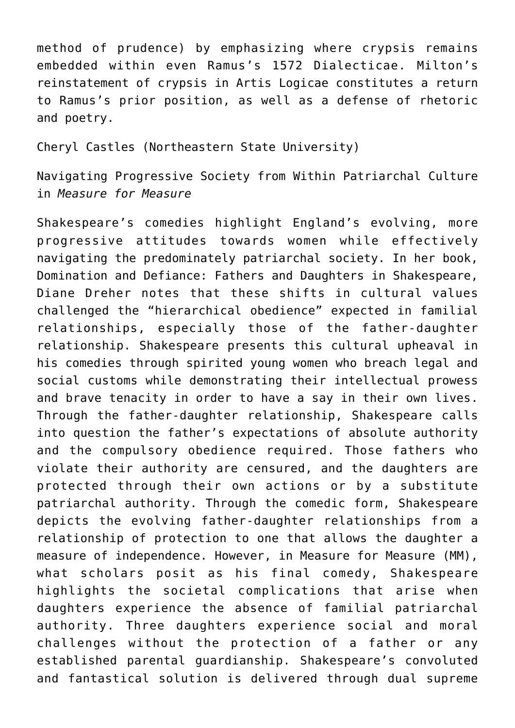method of prudence) by emphasizing where crypsis remains embedded within even Ramus's 1572 Dialecticae. Milton's reinstatement of crypsis in Artis Logicae constitutes a return to Ramus's prior position, as well as a defense of rhetoric and poetry.

Cheryl Castles (Northeastern State University)

Navigating Progressive Society from Within Patriarchal Culture in *Measure for Measure*

Shakespeare's comedies highlight England's evolving, more progressive attitudes towards women while effectively navigating the predominately patriarchal society. In her book, Domination and Defiance: Fathers and Daughters in Shakespeare, Diane Dreher notes that these shifts in cultural values challenged the "hierarchical obedience" expected in familial relationships, especially those of the father-daughter relationship. Shakespeare presents this cultural upheaval in his comedies through spirited young women who breach legal and social customs while demonstrating their intellectual prowess and brave tenacity in order to have a say in their own lives. Through the father-daughter relationship, Shakespeare calls into question the father's expectations of absolute authority and the compulsory obedience required. Those fathers who violate their authority are censured, and the daughters are protected through their own actions or by a substitute patriarchal authority. Through the comedic form, Shakespeare depicts the evolving father-daughter relationships from a relationship of protection to one that allows the daughter a measure of independence. However, in Measure for Measure (MM), what scholars posit as his final comedy, Shakespeare highlights the societal complications that arise when daughters experience the absence of familial patriarchal authority. Three daughters experience social and moral challenges without the protection of a father or any established parental guardianship. Shakespeare's convoluted and fantastical solution is delivered through dual supreme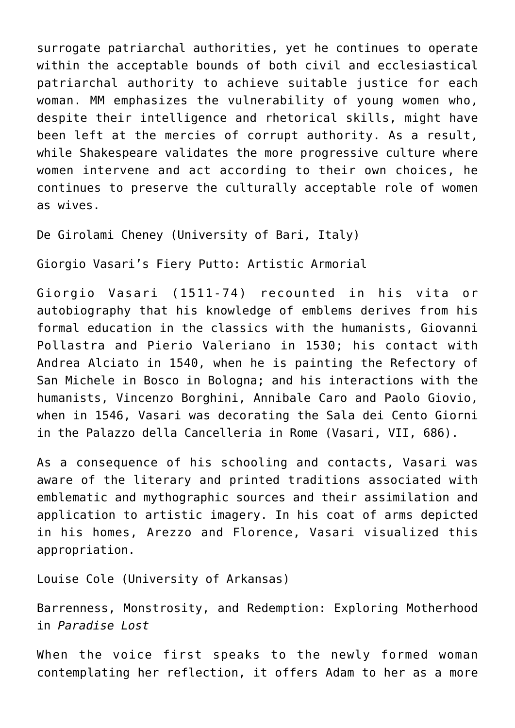surrogate patriarchal authorities, yet he continues to operate within the acceptable bounds of both civil and ecclesiastical patriarchal authority to achieve suitable justice for each woman. MM emphasizes the vulnerability of young women who, despite their intelligence and rhetorical skills, might have been left at the mercies of corrupt authority. As a result, while Shakespeare validates the more progressive culture where women intervene and act according to their own choices, he continues to preserve the culturally acceptable role of women as wives.

De Girolami Cheney (University of Bari, Italy)

Giorgio Vasari's Fiery Putto: Artistic Armorial

Giorgio Vasari (1511-74) recounted in his vita or autobiography that his knowledge of emblems derives from his formal education in the classics with the humanists, Giovanni Pollastra and Pierio Valeriano in 1530; his contact with Andrea Alciato in 1540, when he is painting the Refectory of San Michele in Bosco in Bologna; and his interactions with the humanists, Vincenzo Borghini, Annibale Caro and Paolo Giovio, when in 1546, Vasari was decorating the Sala dei Cento Giorni in the Palazzo della Cancelleria in Rome (Vasari, VII, 686).

As a consequence of his schooling and contacts, Vasari was aware of the literary and printed traditions associated with emblematic and mythographic sources and their assimilation and application to artistic imagery. In his coat of arms depicted in his homes, Arezzo and Florence, Vasari visualized this appropriation.

Louise Cole (University of Arkansas)

Barrenness, Monstrosity, and Redemption: Exploring Motherhood in *Paradise Lost*

When the voice first speaks to the newly formed woman contemplating her reflection, it offers Adam to her as a more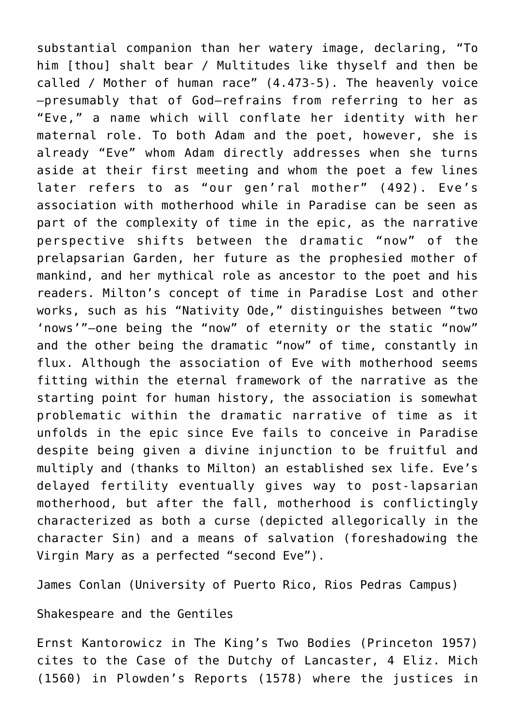substantial companion than her watery image, declaring, "To him [thou] shalt bear / Multitudes like thyself and then be called / Mother of human race" (4.473-5). The heavenly voice —presumably that of God—refrains from referring to her as "Eve," a name which will conflate her identity with her maternal role. To both Adam and the poet, however, she is already "Eve" whom Adam directly addresses when she turns aside at their first meeting and whom the poet a few lines later refers to as "our gen'ral mother" (492). Eve's association with motherhood while in Paradise can be seen as part of the complexity of time in the epic, as the narrative perspective shifts between the dramatic "now" of the prelapsarian Garden, her future as the prophesied mother of mankind, and her mythical role as ancestor to the poet and his readers. Milton's concept of time in Paradise Lost and other works, such as his "Nativity Ode," distinguishes between "two 'nows'"—one being the "now" of eternity or the static "now" and the other being the dramatic "now" of time, constantly in flux. Although the association of Eve with motherhood seems fitting within the eternal framework of the narrative as the starting point for human history, the association is somewhat problematic within the dramatic narrative of time as it unfolds in the epic since Eve fails to conceive in Paradise despite being given a divine injunction to be fruitful and multiply and (thanks to Milton) an established sex life. Eve's delayed fertility eventually gives way to post-lapsarian motherhood, but after the fall, motherhood is conflictingly characterized as both a curse (depicted allegorically in the character Sin) and a means of salvation (foreshadowing the Virgin Mary as a perfected "second Eve").

[James Conlan \(University of Puerto Rico, Rios Pedras Campus\)](http://humanidades.uprrp.edu/ingles/?page_id=127)

## Shakespeare and the Gentiles

Ernst Kantorowicz in The King's Two Bodies (Princeton 1957) cites to the Case of the Dutchy of Lancaster, 4 Eliz. Mich (1560) in Plowden's Reports (1578) where the justices in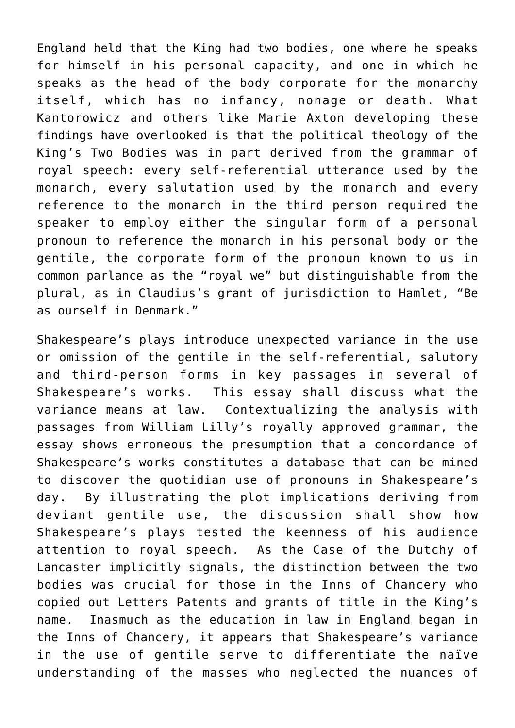England held that the King had two bodies, one where he speaks for himself in his personal capacity, and one in which he speaks as the head of the body corporate for the monarchy itself, which has no infancy, nonage or death. What Kantorowicz and others like Marie Axton developing these findings have overlooked is that the political theology of the King's Two Bodies was in part derived from the grammar of royal speech: every self-referential utterance used by the monarch, every salutation used by the monarch and every reference to the monarch in the third person required the speaker to employ either the singular form of a personal pronoun to reference the monarch in his personal body or the gentile, the corporate form of the pronoun known to us in common parlance as the "royal we" but distinguishable from the plural, as in Claudius's grant of jurisdiction to Hamlet, "Be as ourself in Denmark."

Shakespeare's plays introduce unexpected variance in the use or omission of the gentile in the self-referential, salutory and third-person forms in key passages in several of Shakespeare's works. This essay shall discuss what the variance means at law. Contextualizing the analysis with passages from William Lilly's royally approved grammar, the essay shows erroneous the presumption that a concordance of Shakespeare's works constitutes a database that can be mined to discover the quotidian use of pronouns in Shakespeare's day. By illustrating the plot implications deriving from deviant gentile use, the discussion shall show how Shakespeare's plays tested the keenness of his audience attention to royal speech. As the Case of the Dutchy of Lancaster implicitly signals, the distinction between the two bodies was crucial for those in the Inns of Chancery who copied out Letters Patents and grants of title in the King's name. Inasmuch as the education in law in England began in the Inns of Chancery, it appears that Shakespeare's variance in the use of gentile serve to differentiate the naïve understanding of the masses who neglected the nuances of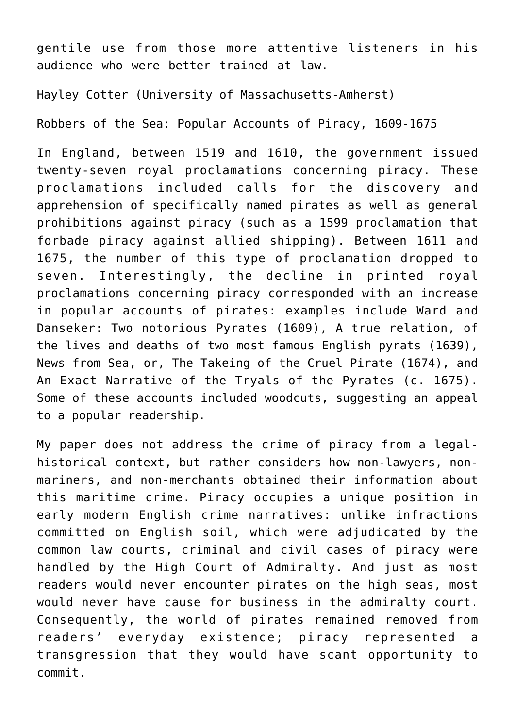gentile use from those more attentive listeners in his audience who were better trained at law.

Hayley Cotter (University of Massachusetts-Amherst)

Robbers of the Sea: Popular Accounts of Piracy, 1609-1675

In England, between 1519 and 1610, the government issued twenty-seven royal proclamations concerning piracy. These proclamations included calls for the discovery and apprehension of specifically named pirates as well as general prohibitions against piracy (such as a 1599 proclamation that forbade piracy against allied shipping). Between 1611 and 1675, the number of this type of proclamation dropped to seven. Interestingly, the decline in printed royal proclamations concerning piracy corresponded with an increase in popular accounts of pirates: examples include Ward and Danseker: Two notorious Pyrates (1609), A true relation, of the lives and deaths of two most famous English pyrats (1639), News from Sea, or, The Takeing of the Cruel Pirate (1674), and An Exact Narrative of the Tryals of the Pyrates (c. 1675). Some of these accounts included woodcuts, suggesting an appeal to a popular readership.

My paper does not address the crime of piracy from a legalhistorical context, but rather considers how non-lawyers, nonmariners, and non-merchants obtained their information about this maritime crime. Piracy occupies a unique position in early modern English crime narratives: unlike infractions committed on English soil, which were adjudicated by the common law courts, criminal and civil cases of piracy were handled by the High Court of Admiralty. And just as most readers would never encounter pirates on the high seas, most would never have cause for business in the admiralty court. Consequently, the world of pirates remained removed from readers' everyday existence; piracy represented a transgression that they would have scant opportunity to commit.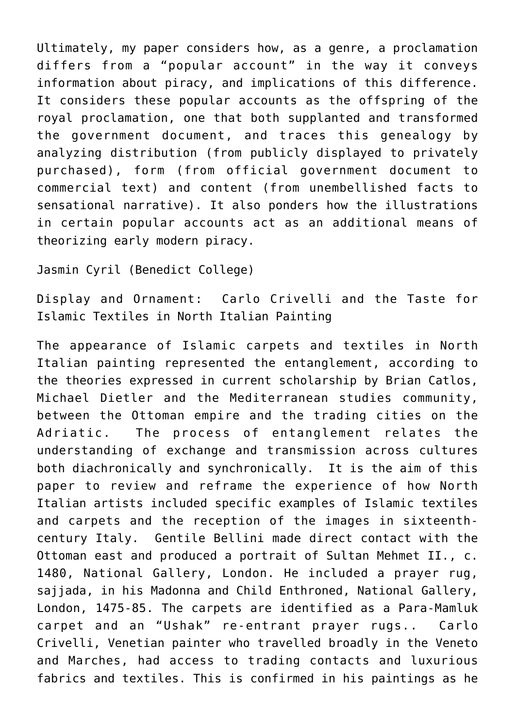Ultimately, my paper considers how, as a genre, a proclamation differs from a "popular account" in the way it conveys information about piracy, and implications of this difference. It considers these popular accounts as the offspring of the royal proclamation, one that both supplanted and transformed the government document, and traces this genealogy by analyzing distribution (from publicly displayed to privately purchased), form (from official government document to commercial text) and content (from unembellished facts to sensational narrative). It also ponders how the illustrations in certain popular accounts act as an additional means of theorizing early modern piracy.

Jasmin Cyril (Benedict College)

Display and Ornament: Carlo Crivelli and the Taste for Islamic Textiles in North Italian Painting

The appearance of Islamic carpets and textiles in North Italian painting represented the entanglement, according to the theories expressed in current scholarship by Brian Catlos, Michael Dietler and the Mediterranean studies community, between the Ottoman empire and the trading cities on the Adriatic. The process of entanglement relates the understanding of exchange and transmission across cultures both diachronically and synchronically. It is the aim of this paper to review and reframe the experience of how North Italian artists included specific examples of Islamic textiles and carpets and the reception of the images in sixteenthcentury Italy. Gentile Bellini made direct contact with the Ottoman east and produced a portrait of Sultan Mehmet II., c. 1480, National Gallery, London. He included a prayer rug, sajjada, in his Madonna and Child Enthroned, National Gallery, London, 1475-85. The carpets are identified as a Para-Mamluk carpet and an "Ushak" re-entrant prayer rugs.. Carlo Crivelli, Venetian painter who travelled broadly in the Veneto and Marches, had access to trading contacts and luxurious fabrics and textiles. This is confirmed in his paintings as he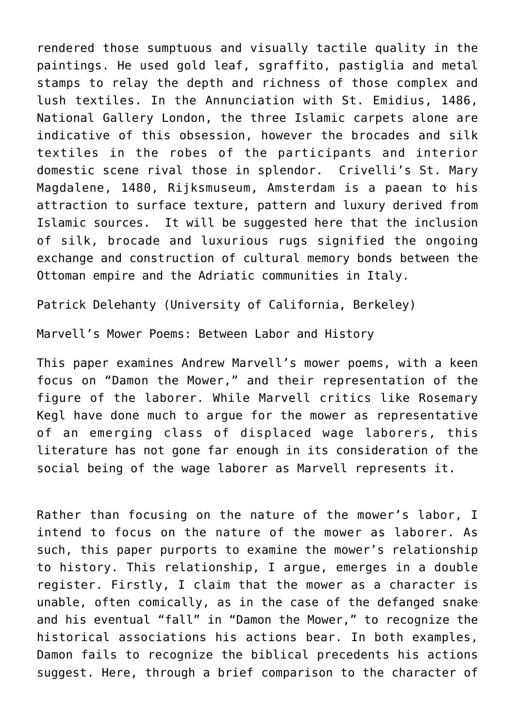rendered those sumptuous and visually tactile quality in the paintings. He used gold leaf, sgraffito, pastiglia and metal stamps to relay the depth and richness of those complex and lush textiles. In the Annunciation with St. Emidius, 1486, National Gallery London, the three Islamic carpets alone are indicative of this obsession, however the brocades and silk textiles in the robes of the participants and interior domestic scene rival those in splendor. Crivelli's St. Mary Magdalene, 1480, Rijksmuseum, Amsterdam is a paean to his attraction to surface texture, pattern and luxury derived from Islamic sources. It will be suggested here that the inclusion of silk, brocade and luxurious rugs signified the ongoing exchange and construction of cultural memory bonds between the Ottoman empire and the Adriatic communities in Italy.

[Patrick Delehanty \(University of California, Berkeley\)](https://english.berkeley.edu/users/460)

Marvell's Mower Poems: Between Labor and History

This paper examines Andrew Marvell's mower poems, with a keen focus on "Damon the Mower," and their representation of the figure of the laborer. While Marvell critics like Rosemary Kegl have done much to argue for the mower as representative of an emerging class of displaced wage laborers, this literature has not gone far enough in its consideration of the social being of the wage laborer as Marvell represents it.

Rather than focusing on the nature of the mower's labor, I intend to focus on the nature of the mower as laborer. As such, this paper purports to examine the mower's relationship to history. This relationship, I argue, emerges in a double register. Firstly, I claim that the mower as a character is unable, often comically, as in the case of the defanged snake and his eventual "fall" in "Damon the Mower," to recognize the historical associations his actions bear. In both examples, Damon fails to recognize the biblical precedents his actions suggest. Here, through a brief comparison to the character of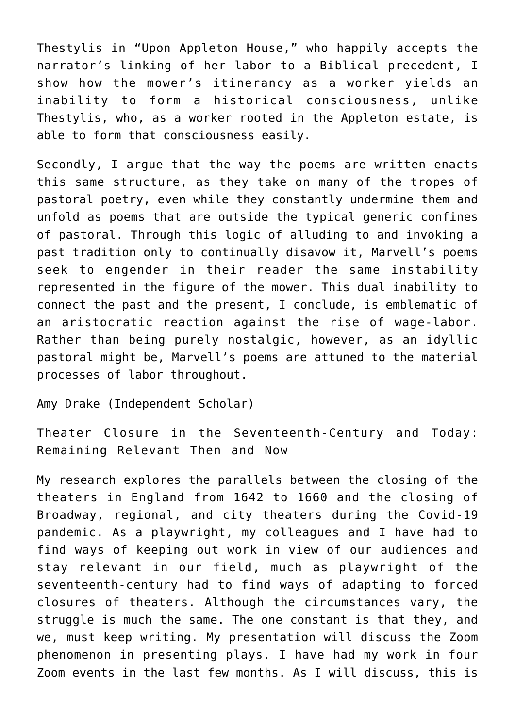Thestylis in "Upon Appleton House," who happily accepts the narrator's linking of her labor to a Biblical precedent, I show how the mower's itinerancy as a worker yields an inability to form a historical consciousness, unlike Thestylis, who, as a worker rooted in the Appleton estate, is able to form that consciousness easily.

Secondly, I argue that the way the poems are written enacts this same structure, as they take on many of the tropes of pastoral poetry, even while they constantly undermine them and unfold as poems that are outside the typical generic confines of pastoral. Through this logic of alluding to and invoking a past tradition only to continually disavow it, Marvell's poems seek to engender in their reader the same instability represented in the figure of the mower. This dual inability to connect the past and the present, I conclude, is emblematic of an aristocratic reaction against the rise of wage-labor. Rather than being purely nostalgic, however, as an idyllic pastoral might be, Marvell's poems are attuned to the material processes of labor throughout.

Amy Drake (Independent Scholar)

Theater Closure in the Seventeenth-Century and Today: Remaining Relevant Then and Now

My research explores the parallels between the closing of the theaters in England from 1642 to 1660 and the closing of Broadway, regional, and city theaters during the Covid-19 pandemic. As a playwright, my colleagues and I have had to find ways of keeping out work in view of our audiences and stay relevant in our field, much as playwright of the seventeenth-century had to find ways of adapting to forced closures of theaters. Although the circumstances vary, the struggle is much the same. The one constant is that they, and we, must keep writing. My presentation will discuss the Zoom phenomenon in presenting plays. I have had my work in four Zoom events in the last few months. As I will discuss, this is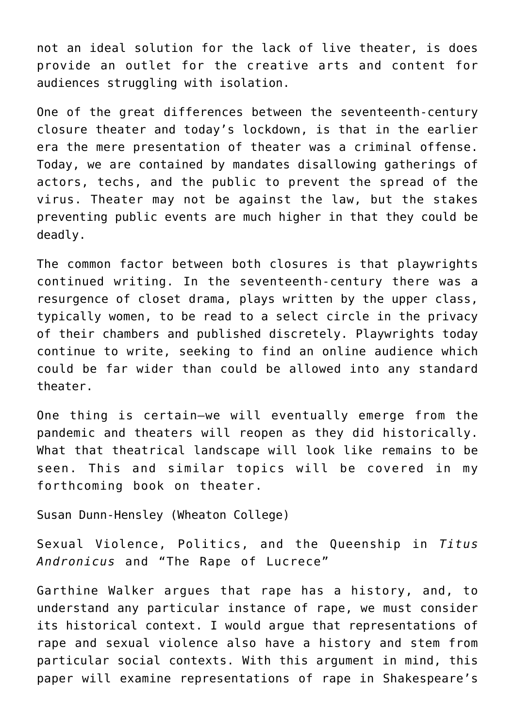not an ideal solution for the lack of live theater, is does provide an outlet for the creative arts and content for audiences struggling with isolation.

One of the great differences between the seventeenth-century closure theater and today's lockdown, is that in the earlier era the mere presentation of theater was a criminal offense. Today, we are contained by mandates disallowing gatherings of actors, techs, and the public to prevent the spread of the virus. Theater may not be against the law, but the stakes preventing public events are much higher in that they could be deadly.

The common factor between both closures is that playwrights continued writing. In the seventeenth-century there was a resurgence of closet drama, plays written by the upper class, typically women, to be read to a select circle in the privacy of their chambers and published discretely. Playwrights today continue to write, seeking to find an online audience which could be far wider than could be allowed into any standard theater.

One thing is certain—we will eventually emerge from the pandemic and theaters will reopen as they did historically. What that theatrical landscape will look like remains to be seen. This and similar topics will be covered in my forthcoming book on theater.

[Susan Dunn-Hensley \(Wheaton College\)](https://www.wheaton.edu/academics/faculty/susan-dunn-hensley/)

Sexual Violence, Politics, and the Queenship in *Titus Andronicus* and "The Rape of Lucrece"

Garthine Walker argues that rape has a history, and, to understand any particular instance of rape, we must consider its historical context. I would argue that representations of rape and sexual violence also have a history and stem from particular social contexts. With this argument in mind, this paper will examine representations of rape in Shakespeare's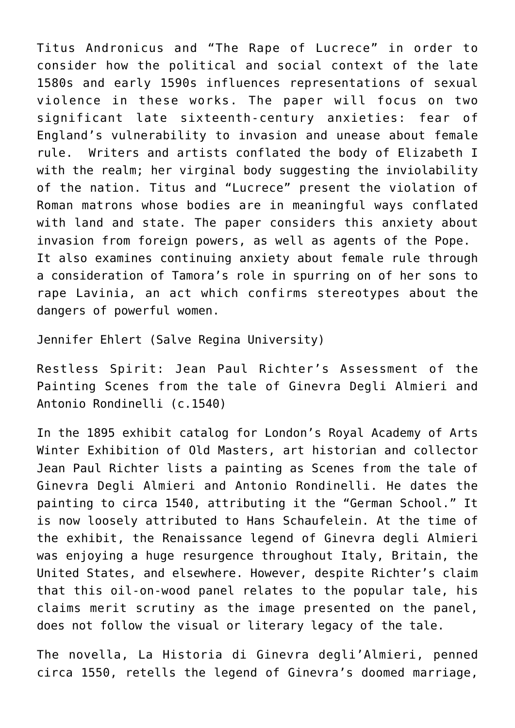Titus Andronicus and "The Rape of Lucrece" in order to consider how the political and social context of the late 1580s and early 1590s influences representations of sexual violence in these works. The paper will focus on two significant late sixteenth-century anxieties: fear of England's vulnerability to invasion and unease about female rule. Writers and artists conflated the body of Elizabeth I with the realm; her virginal body suggesting the inviolability of the nation. Titus and "Lucrece" present the violation of Roman matrons whose bodies are in meaningful ways conflated with land and state. The paper considers this anxiety about invasion from foreign powers, as well as agents of the Pope. It also examines continuing anxiety about female rule through a consideration of Tamora's role in spurring on of her sons to rape Lavinia, an act which confirms stereotypes about the dangers of powerful women.

Jennifer Ehlert (Salve Regina University)

Restless Spirit: Jean Paul Richter's Assessment of the Painting Scenes from the tale of Ginevra Degli Almieri and Antonio Rondinelli (c.1540)

In the 1895 exhibit catalog for London's Royal Academy of Arts Winter Exhibition of Old Masters, art historian and collector Jean Paul Richter lists a painting as Scenes from the tale of Ginevra Degli Almieri and Antonio Rondinelli. He dates the painting to circa 1540, attributing it the "German School." It is now loosely attributed to Hans Schaufelein. At the time of the exhibit, the Renaissance legend of Ginevra degli Almieri was enjoying a huge resurgence throughout Italy, Britain, the United States, and elsewhere. However, despite Richter's claim that this oil-on-wood panel relates to the popular tale, his claims merit scrutiny as the image presented on the panel, does not follow the visual or literary legacy of the tale.

The novella, La Historia di Ginevra degli'Almieri, penned circa 1550, retells the legend of Ginevra's doomed marriage,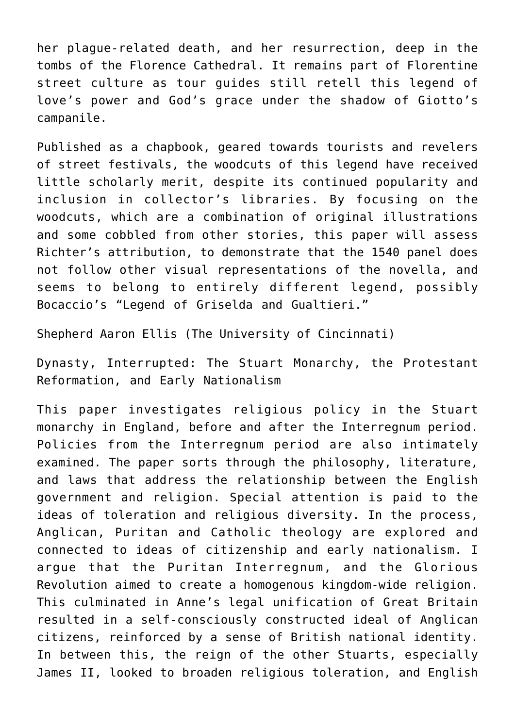her plague-related death, and her resurrection, deep in the tombs of the Florence Cathedral. It remains part of Florentine street culture as tour guides still retell this legend of love's power and God's grace under the shadow of Giotto's campanile.

Published as a chapbook, geared towards tourists and revelers of street festivals, the woodcuts of this legend have received little scholarly merit, despite its continued popularity and inclusion in collector's libraries. By focusing on the woodcuts, which are a combination of original illustrations and some cobbled from other stories, this paper will assess Richter's attribution, to demonstrate that the 1540 panel does not follow other visual representations of the novella, and seems to belong to entirely different legend, possibly Bocaccio's "Legend of Griselda and Gualtieri."

Shepherd Aaron Ellis (The University of Cincinnati)

Dynasty, Interrupted: The Stuart Monarchy, the Protestant Reformation, and Early Nationalism

This paper investigates religious policy in the Stuart monarchy in England, before and after the Interregnum period. Policies from the Interregnum period are also intimately examined. The paper sorts through the philosophy, literature, and laws that address the relationship between the English government and religion. Special attention is paid to the ideas of toleration and religious diversity. In the process, Anglican, Puritan and Catholic theology are explored and connected to ideas of citizenship and early nationalism. I argue that the Puritan Interregnum, and the Glorious Revolution aimed to create a homogenous kingdom-wide religion. This culminated in Anne's legal unification of Great Britain resulted in a self-consciously constructed ideal of Anglican citizens, reinforced by a sense of British national identity. In between this, the reign of the other Stuarts, especially James II, looked to broaden religious toleration, and English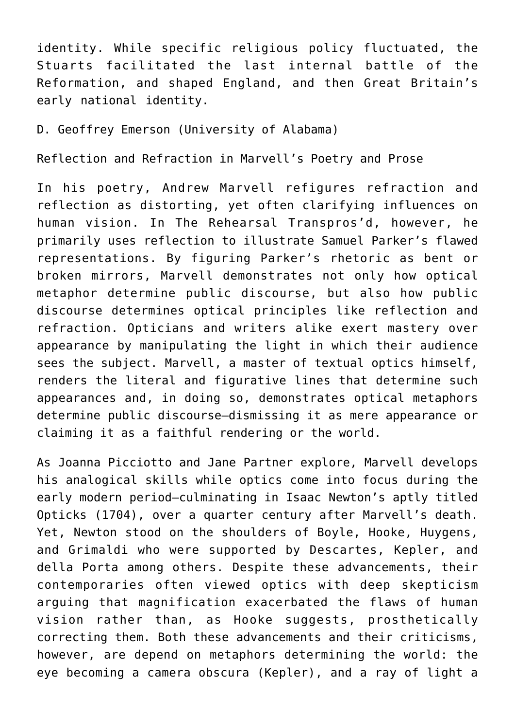identity. While specific religious policy fluctuated, the Stuarts facilitated the last internal battle of the Reformation, and shaped England, and then Great Britain's early national identity.

D. Geoffrey Emerson (University of Alabama)

Reflection and Refraction in Marvell's Poetry and Prose

In his poetry, Andrew Marvell refigures refraction and reflection as distorting, yet often clarifying influences on human vision. In The Rehearsal Transpros'd, however, he primarily uses reflection to illustrate Samuel Parker's flawed representations. By figuring Parker's rhetoric as bent or broken mirrors, Marvell demonstrates not only how optical metaphor determine public discourse, but also how public discourse determines optical principles like reflection and refraction. Opticians and writers alike exert mastery over appearance by manipulating the light in which their audience sees the subject. Marvell, a master of textual optics himself, renders the literal and figurative lines that determine such appearances and, in doing so, demonstrates optical metaphors determine public discourse—dismissing it as mere appearance or claiming it as a faithful rendering or the world.

As Joanna Picciotto and Jane Partner explore, Marvell develops his analogical skills while optics come into focus during the early modern period—culminating in Isaac Newton's aptly titled Opticks (1704), over a quarter century after Marvell's death. Yet, Newton stood on the shoulders of Boyle, Hooke, Huygens, and Grimaldi who were supported by Descartes, Kepler, and della Porta among others. Despite these advancements, their contemporaries often viewed optics with deep skepticism arguing that magnification exacerbated the flaws of human vision rather than, as Hooke suggests, prosthetically correcting them. Both these advancements and their criticisms, however, are depend on metaphors determining the world: the eye becoming a camera obscura (Kepler), and a ray of light a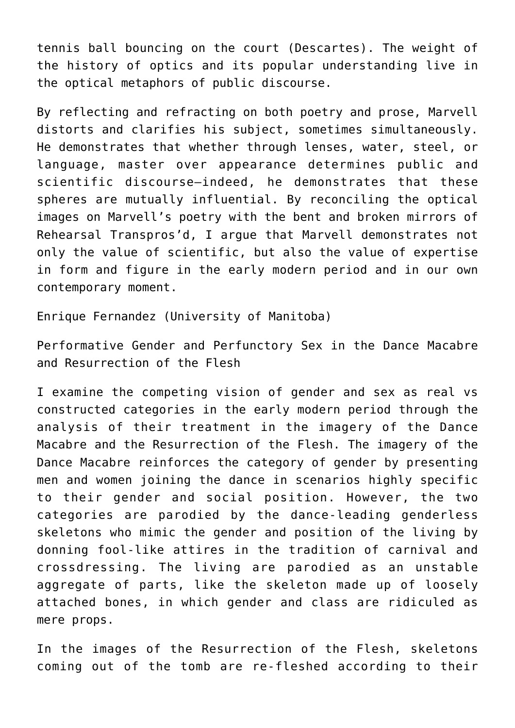tennis ball bouncing on the court (Descartes). The weight of the history of optics and its popular understanding live in the optical metaphors of public discourse.

By reflecting and refracting on both poetry and prose, Marvell distorts and clarifies his subject, sometimes simultaneously. He demonstrates that whether through lenses, water, steel, or language, master over appearance determines public and scientific discourse—indeed, he demonstrates that these spheres are mutually influential. By reconciling the optical images on Marvell's poetry with the bent and broken mirrors of Rehearsal Transpros'd, I argue that Marvell demonstrates not only the value of scientific, but also the value of expertise in form and figure in the early modern period and in our own contemporary moment.

Enrique Fernandez (University of Manitoba)

Performative Gender and Perfunctory Sex in the Dance Macabre and Resurrection of the Flesh

I examine the competing vision of gender and sex as real vs constructed categories in the early modern period through the analysis of their treatment in the imagery of the Dance Macabre and the Resurrection of the Flesh. The imagery of the Dance Macabre reinforces the category of gender by presenting men and women joining the dance in scenarios highly specific to their gender and social position. However, the two categories are parodied by the dance-leading genderless skeletons who mimic the gender and position of the living by donning fool-like attires in the tradition of carnival and crossdressing. The living are parodied as an unstable aggregate of parts, like the skeleton made up of loosely attached bones, in which gender and class are ridiculed as mere props.

In the images of the Resurrection of the Flesh, skeletons coming out of the tomb are re-fleshed according to their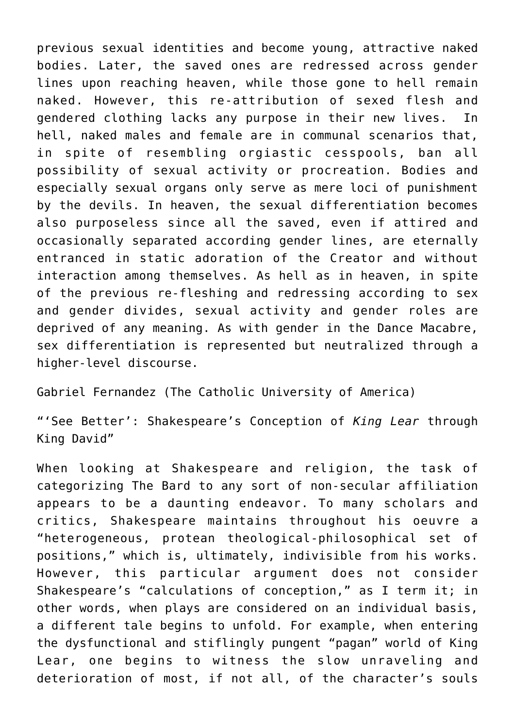previous sexual identities and become young, attractive naked bodies. Later, the saved ones are redressed across gender lines upon reaching heaven, while those gone to hell remain naked. However, this re-attribution of sexed flesh and gendered clothing lacks any purpose in their new lives. In hell, naked males and female are in communal scenarios that, in spite of resembling orgiastic cesspools, ban all possibility of sexual activity or procreation. Bodies and especially sexual organs only serve as mere loci of punishment by the devils. In heaven, the sexual differentiation becomes also purposeless since all the saved, even if attired and occasionally separated according gender lines, are eternally entranced in static adoration of the Creator and without interaction among themselves. As hell as in heaven, in spite of the previous re-fleshing and redressing according to sex and gender divides, sexual activity and gender roles are deprived of any meaning. As with gender in the Dance Macabre, sex differentiation is represented but neutralized through a higher-level discourse.

Gabriel Fernandez (The Catholic University of America)

"'See Better': Shakespeare's Conception of *King Lear* through King David"

When looking at Shakespeare and religion, the task of categorizing The Bard to any sort of non-secular affiliation appears to be a daunting endeavor. To many scholars and critics, Shakespeare maintains throughout his oeuvre a "heterogeneous, protean theological-philosophical set of positions," which is, ultimately, indivisible from his works. However, this particular argument does not consider Shakespeare's "calculations of conception," as I term it; in other words, when plays are considered on an individual basis, a different tale begins to unfold. For example, when entering the dysfunctional and stiflingly pungent "pagan" world of King Lear, one begins to witness the slow unraveling and deterioration of most, if not all, of the character's souls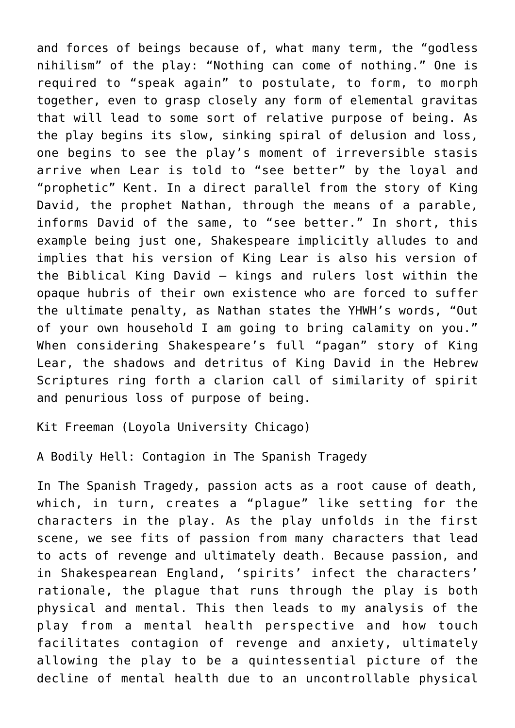and forces of beings because of, what many term, the "godless nihilism" of the play: "Nothing can come of nothing." One is required to "speak again" to postulate, to form, to morph together, even to grasp closely any form of elemental gravitas that will lead to some sort of relative purpose of being. As the play begins its slow, sinking spiral of delusion and loss, one begins to see the play's moment of irreversible stasis arrive when Lear is told to "see better" by the loyal and "prophetic" Kent. In a direct parallel from the story of King David, the prophet Nathan, through the means of a parable, informs David of the same, to "see better." In short, this example being just one, Shakespeare implicitly alludes to and implies that his version of King Lear is also his version of the Biblical King David – kings and rulers lost within the opaque hubris of their own existence who are forced to suffer the ultimate penalty, as Nathan states the YHWH's words, "Out of your own household I am going to bring calamity on you." When considering Shakespeare's full "pagan" story of King Lear, the shadows and detritus of King David in the Hebrew Scriptures ring forth a clarion call of similarity of spirit and penurious loss of purpose of being.

[Kit Freeman \(Loyola University Chicago\)](https://www.luc.edu/writing/ourteam/graduatetutors/anchorprofiles/kitfreeman/)

A Bodily Hell: Contagion in The Spanish Tragedy

In The Spanish Tragedy, passion acts as a root cause of death, which, in turn, creates a "plague" like setting for the characters in the play. As the play unfolds in the first scene, we see fits of passion from many characters that lead to acts of revenge and ultimately death. Because passion, and in Shakespearean England, 'spirits' infect the characters' rationale, the plague that runs through the play is both physical and mental. This then leads to my analysis of the play from a mental health perspective and how touch facilitates contagion of revenge and anxiety, ultimately allowing the play to be a quintessential picture of the decline of mental health due to an uncontrollable physical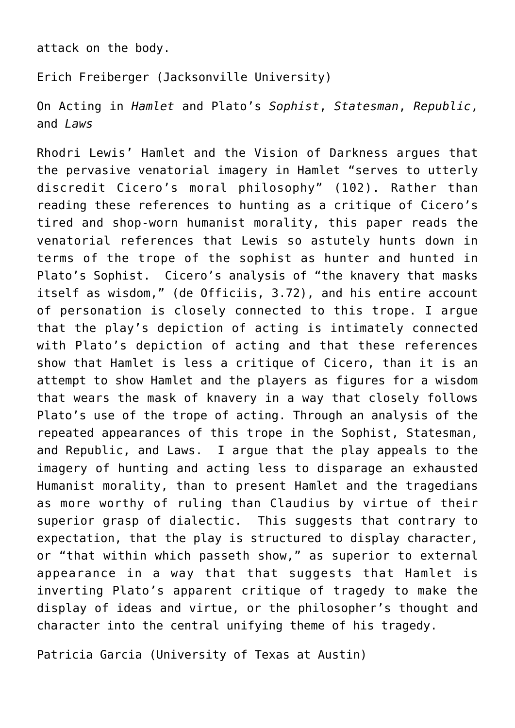attack on the body.

[Erich Freiberger \(Jacksonville University\)](https://www.ju.edu/directory/erich-freiberger.php)

On Acting in *Hamlet* and Plato's *Sophist*, *Statesman*, *Republic*, and *Laws*

Rhodri Lewis' Hamlet and the Vision of Darkness argues that the pervasive venatorial imagery in Hamlet "serves to utterly discredit Cicero's moral philosophy" (102). Rather than reading these references to hunting as a critique of Cicero's tired and shop-worn humanist morality, this paper reads the venatorial references that Lewis so astutely hunts down in terms of the trope of the sophist as hunter and hunted in Plato's Sophist. Cicero's analysis of "the knavery that masks itself as wisdom," (de Officiis, 3.72), and his entire account of personation is closely connected to this trope. I argue that the play's depiction of acting is intimately connected with Plato's depiction of acting and that these references show that Hamlet is less a critique of Cicero, than it is an attempt to show Hamlet and the players as figures for a wisdom that wears the mask of knavery in a way that closely follows Plato's use of the trope of acting. Through an analysis of the repeated appearances of this trope in the Sophist, Statesman, and Republic, and Laws. I argue that the play appeals to the imagery of hunting and acting less to disparage an exhausted Humanist morality, than to present Hamlet and the tragedians as more worthy of ruling than Claudius by virtue of their superior grasp of dialectic. This suggests that contrary to expectation, that the play is structured to display character, or "that within which passeth show," as superior to external appearance in a way that that suggests that Hamlet is inverting Plato's apparent critique of tragedy to make the display of ideas and virtue, or the philosopher's thought and character into the central unifying theme of his tragedy.

[Patricia Garcia \(University of Texas at Austin\)](https://liberalarts.utexas.edu/english/faculty/pmg574)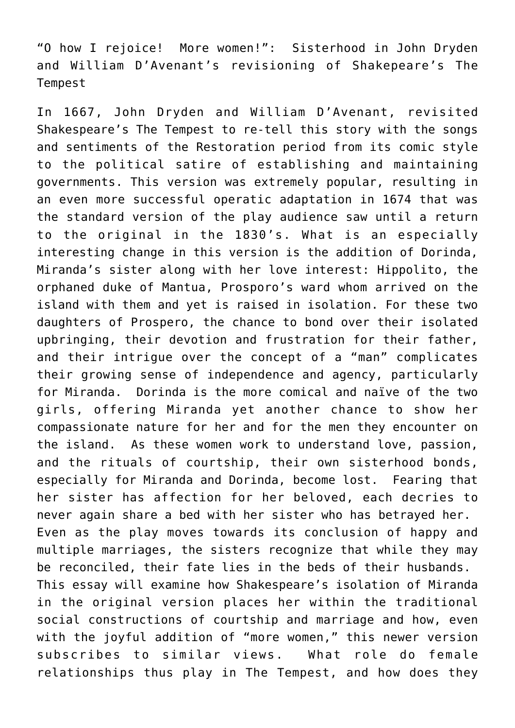"O how I rejoice! More women!": Sisterhood in John Dryden and William D'Avenant's revisioning of Shakepeare's The Tempest

In 1667, John Dryden and William D'Avenant, revisited Shakespeare's The Tempest to re-tell this story with the songs and sentiments of the Restoration period from its comic style to the political satire of establishing and maintaining governments. This version was extremely popular, resulting in an even more successful operatic adaptation in 1674 that was the standard version of the play audience saw until a return to the original in the 1830's. What is an especially interesting change in this version is the addition of Dorinda, Miranda's sister along with her love interest: Hippolito, the orphaned duke of Mantua, Prosporo's ward whom arrived on the island with them and yet is raised in isolation. For these two daughters of Prospero, the chance to bond over their isolated upbringing, their devotion and frustration for their father, and their intrigue over the concept of a "man" complicates their growing sense of independence and agency, particularly for Miranda. Dorinda is the more comical and naïve of the two girls, offering Miranda yet another chance to show her compassionate nature for her and for the men they encounter on the island. As these women work to understand love, passion, and the rituals of courtship, their own sisterhood bonds, especially for Miranda and Dorinda, become lost. Fearing that her sister has affection for her beloved, each decries to never again share a bed with her sister who has betrayed her. Even as the play moves towards its conclusion of happy and multiple marriages, the sisters recognize that while they may be reconciled, their fate lies in the beds of their husbands. This essay will examine how Shakespeare's isolation of Miranda in the original version places her within the traditional social constructions of courtship and marriage and how, even with the joyful addition of "more women," this newer version subscribes to similar views. What role do female relationships thus play in The Tempest, and how does they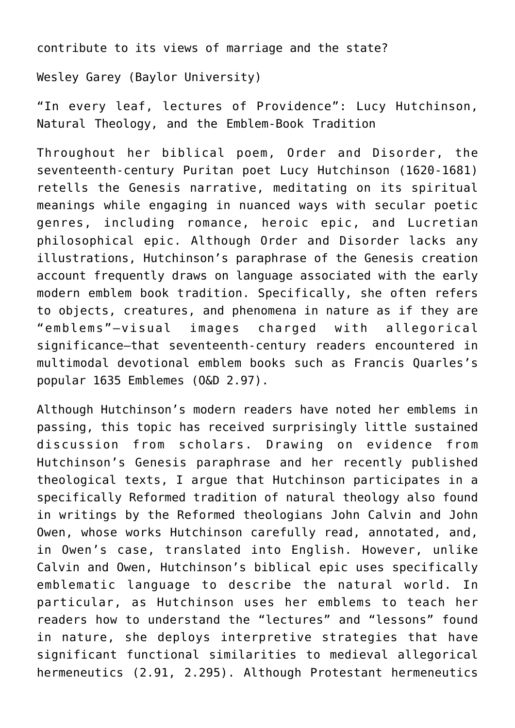contribute to its views of marriage and the state?

Wesley Garey (Baylor University)

"In every leaf, lectures of Providence": Lucy Hutchinson, Natural Theology, and the Emblem-Book Tradition

Throughout her biblical poem, Order and Disorder, the seventeenth-century Puritan poet Lucy Hutchinson (1620-1681) retells the Genesis narrative, meditating on its spiritual meanings while engaging in nuanced ways with secular poetic genres, including romance, heroic epic, and Lucretian philosophical epic. Although Order and Disorder lacks any illustrations, Hutchinson's paraphrase of the Genesis creation account frequently draws on language associated with the early modern emblem book tradition. Specifically, she often refers to objects, creatures, and phenomena in nature as if they are "emblems"—visual images charged with allegorical significance—that seventeenth-century readers encountered in multimodal devotional emblem books such as Francis Quarles's popular 1635 Emblemes (O&D 2.97).

Although Hutchinson's modern readers have noted her emblems in passing, this topic has received surprisingly little sustained discussion from scholars. Drawing on evidence from Hutchinson's Genesis paraphrase and her recently published theological texts, I argue that Hutchinson participates in a specifically Reformed tradition of natural theology also found in writings by the Reformed theologians John Calvin and John Owen, whose works Hutchinson carefully read, annotated, and, in Owen's case, translated into English. However, unlike Calvin and Owen, Hutchinson's biblical epic uses specifically emblematic language to describe the natural world. In particular, as Hutchinson uses her emblems to teach her readers how to understand the "lectures" and "lessons" found in nature, she deploys interpretive strategies that have significant functional similarities to medieval allegorical hermeneutics (2.91, 2.295). Although Protestant hermeneutics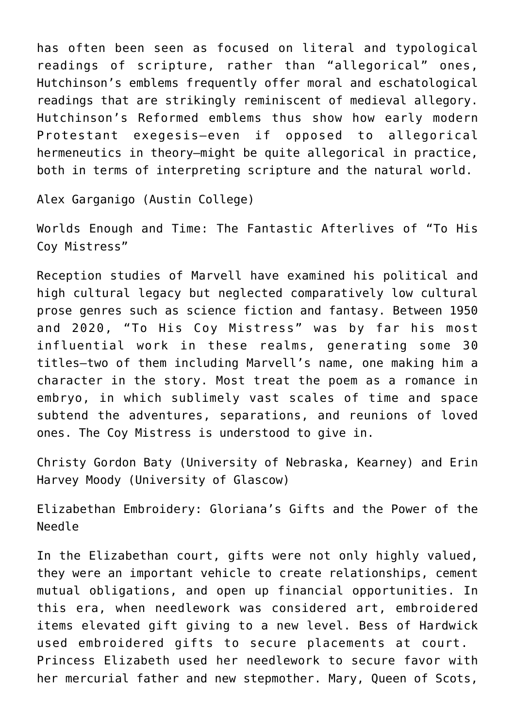has often been seen as focused on literal and typological readings of scripture, rather than "allegorical" ones, Hutchinson's emblems frequently offer moral and eschatological readings that are strikingly reminiscent of medieval allegory. Hutchinson's Reformed emblems thus show how early modern Protestant exegesis—even if opposed to allegorical hermeneutics in theory—might be quite allegorical in practice, both in terms of interpreting scripture and the natural world.

[Alex Garganigo \(Austin College\)](https://www.austincollege.edu/alex-garganigo/)

Worlds Enough and Time: The Fantastic Afterlives of "To His Coy Mistress"

Reception studies of Marvell have examined his political and high cultural legacy but neglected comparatively low cultural prose genres such as science fiction and fantasy. Between 1950 and 2020, "To His Coy Mistress" was by far his most influential work in these realms, generating some 30 titles—two of them including Marvell's name, one making him a character in the story. Most treat the poem as a romance in embryo, in which sublimely vast scales of time and space subtend the adventures, separations, and reunions of loved ones. The Coy Mistress is understood to give in.

Christy Gordon Baty (University of Nebraska, Kearney) and Erin Harvey Moody (University of Glascow)

Elizabethan Embroidery: Gloriana's Gifts and the Power of the Needle

In the Elizabethan court, gifts were not only highly valued, they were an important vehicle to create relationships, cement mutual obligations, and open up financial opportunities. In this era, when needlework was considered art, embroidered items elevated gift giving to a new level. Bess of Hardwick used embroidered gifts to secure placements at court. Princess Elizabeth used her needlework to secure favor with her mercurial father and new stepmother. Mary, Queen of Scots,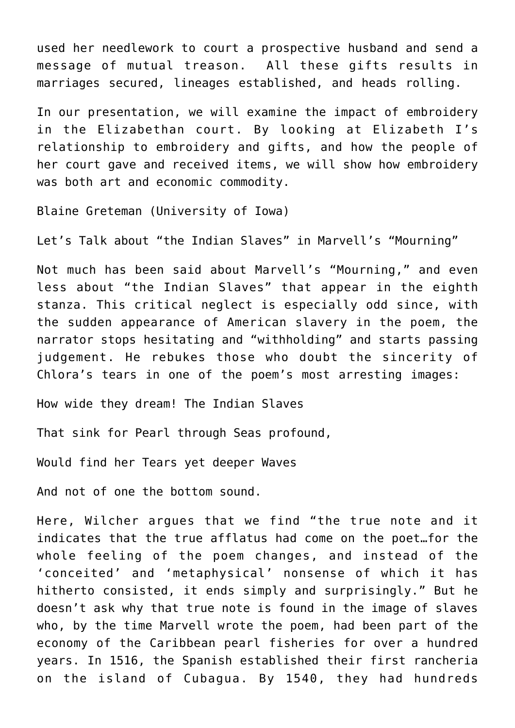used her needlework to court a prospective husband and send a message of mutual treason. All these gifts results in marriages secured, lineages established, and heads rolling.

In our presentation, we will examine the impact of embroidery in the Elizabethan court. By looking at Elizabeth I's relationship to embroidery and gifts, and how the people of her court gave and received items, we will show how embroidery was both art and economic commodity.

[Blaine Greteman \(University of Iowa\)](https://english.uiowa.edu/people/blaine-greteman)

Let's Talk about "the Indian Slaves" in Marvell's "Mourning"

Not much has been said about Marvell's "Mourning," and even less about "the Indian Slaves" that appear in the eighth stanza. This critical neglect is especially odd since, with the sudden appearance of American slavery in the poem, the narrator stops hesitating and "withholding" and starts passing judgement. He rebukes those who doubt the sincerity of Chlora's tears in one of the poem's most arresting images:

How wide they dream! The Indian Slaves

That sink for Pearl through Seas profound,

Would find her Tears yet deeper Waves

And not of one the bottom sound.

Here, Wilcher argues that we find "the true note and it indicates that the true afflatus had come on the poet…for the whole feeling of the poem changes, and instead of the 'conceited' and 'metaphysical' nonsense of which it has hitherto consisted, it ends simply and surprisingly." But he doesn't ask why that true note is found in the image of slaves who, by the time Marvell wrote the poem, had been part of the economy of the Caribbean pearl fisheries for over a hundred years. In 1516, the Spanish established their first rancheria on the island of Cubagua. By 1540, they had hundreds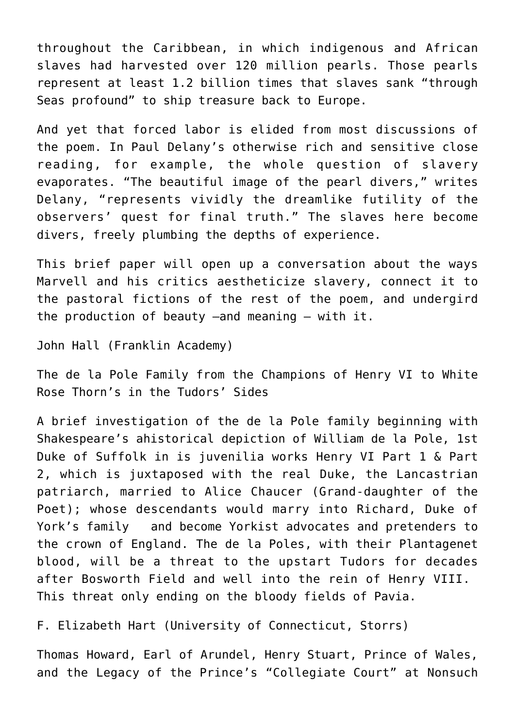throughout the Caribbean, in which indigenous and African slaves had harvested over 120 million pearls. Those pearls represent at least 1.2 billion times that slaves sank "through Seas profound" to ship treasure back to Europe.

And yet that forced labor is elided from most discussions of the poem. In Paul Delany's otherwise rich and sensitive close reading, for example, the whole question of slavery evaporates. "The beautiful image of the pearl divers," writes Delany, "represents vividly the dreamlike futility of the observers' quest for final truth." The slaves here become divers, freely plumbing the depths of experience.

This brief paper will open up a conversation about the ways Marvell and his critics aestheticize slavery, connect it to the pastoral fictions of the rest of the poem, and undergird the production of beauty –and meaning – with it.

John Hall (Franklin Academy)

The de la Pole Family from the Champions of Henry VI to White Rose Thorn's in the Tudors' Sides

A brief investigation of the de la Pole family beginning with Shakespeare's ahistorical depiction of William de la Pole, 1st Duke of Suffolk in is juvenilia works Henry VI Part 1 & Part 2, which is juxtaposed with the real Duke, the Lancastrian patriarch, married to Alice Chaucer (Grand-daughter of the Poet); whose descendants would marry into Richard, Duke of York's family and become Yorkist advocates and pretenders to the crown of England. The de la Poles, with their Plantagenet blood, will be a threat to the upstart Tudors for decades after Bosworth Field and well into the rein of Henry VIII. This threat only ending on the bloody fields of Pavia.

[F. Elizabeth Hart \(University of Connecticut, Storrs\)](https://english.uconn.edu/person/elizabeth-hart/)

Thomas Howard, Earl of Arundel, Henry Stuart, Prince of Wales, and the Legacy of the Prince's "Collegiate Court" at Nonsuch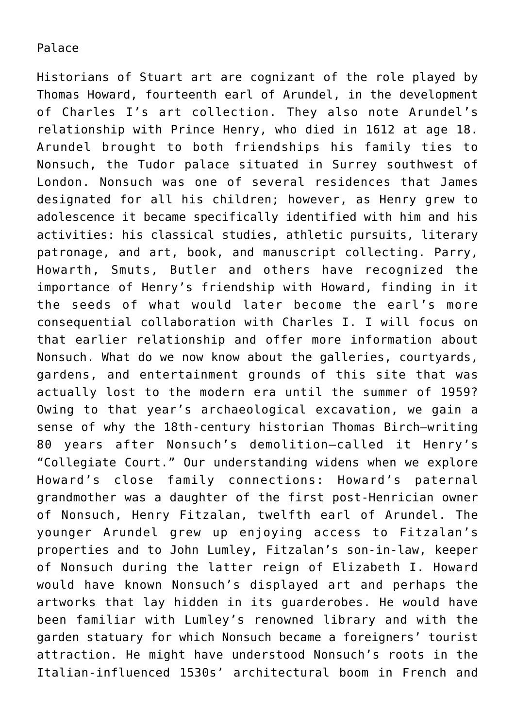## Palace

Historians of Stuart art are cognizant of the role played by Thomas Howard, fourteenth earl of Arundel, in the development of Charles I's art collection. They also note Arundel's relationship with Prince Henry, who died in 1612 at age 18. Arundel brought to both friendships his family ties to Nonsuch, the Tudor palace situated in Surrey southwest of London. Nonsuch was one of several residences that James designated for all his children; however, as Henry grew to adolescence it became specifically identified with him and his activities: his classical studies, athletic pursuits, literary patronage, and art, book, and manuscript collecting. Parry, Howarth, Smuts, Butler and others have recognized the importance of Henry's friendship with Howard, finding in it the seeds of what would later become the earl's more consequential collaboration with Charles I. I will focus on that earlier relationship and offer more information about Nonsuch. What do we now know about the galleries, courtyards, gardens, and entertainment grounds of this site that was actually lost to the modern era until the summer of 1959? Owing to that year's archaeological excavation, we gain a sense of why the 18th-century historian Thomas Birch–writing 80 years after Nonsuch's demolition–called it Henry's "Collegiate Court." Our understanding widens when we explore Howard's close family connections: Howard's paternal grandmother was a daughter of the first post-Henrician owner of Nonsuch, Henry Fitzalan, twelfth earl of Arundel. The younger Arundel grew up enjoying access to Fitzalan's properties and to John Lumley, Fitzalan's son-in-law, keeper of Nonsuch during the latter reign of Elizabeth I. Howard would have known Nonsuch's displayed art and perhaps the artworks that lay hidden in its guarderobes. He would have been familiar with Lumley's renowned library and with the garden statuary for which Nonsuch became a foreigners' tourist attraction. He might have understood Nonsuch's roots in the Italian-influenced 1530s' architectural boom in French and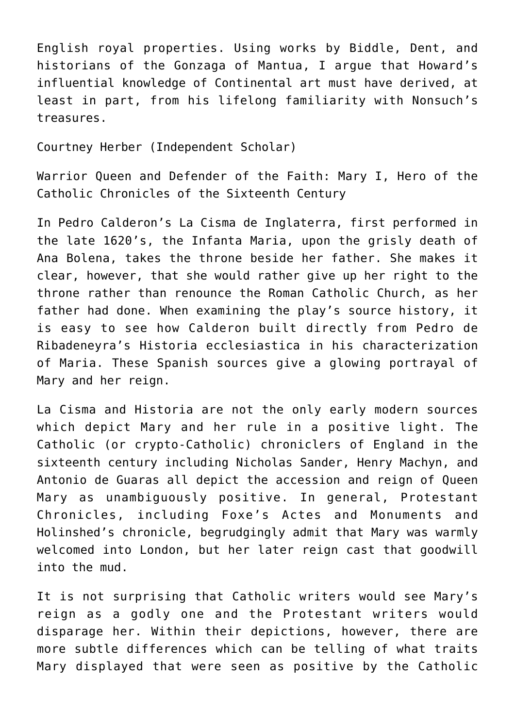English royal properties. Using works by Biddle, Dent, and historians of the Gonzaga of Mantua, I argue that Howard's influential knowledge of Continental art must have derived, at least in part, from his lifelong familiarity with Nonsuch's treasures.

Courtney Herber (Independent Scholar)

Warrior Queen and Defender of the Faith: Mary I, Hero of the Catholic Chronicles of the Sixteenth Century

In Pedro Calderon's La Cisma de Inglaterra, first performed in the late 1620's, the Infanta Maria, upon the grisly death of Ana Bolena, takes the throne beside her father. She makes it clear, however, that she would rather give up her right to the throne rather than renounce the Roman Catholic Church, as her father had done. When examining the play's source history, it is easy to see how Calderon built directly from Pedro de Ribadeneyra's Historia ecclesiastica in his characterization of Maria. These Spanish sources give a glowing portrayal of Mary and her reign.

La Cisma and Historia are not the only early modern sources which depict Mary and her rule in a positive light. The Catholic (or crypto-Catholic) chroniclers of England in the sixteenth century including Nicholas Sander, Henry Machyn, and Antonio de Guaras all depict the accession and reign of Queen Mary as unambiguously positive. In general, Protestant Chronicles, including Foxe's Actes and Monuments and Holinshed's chronicle, begrudgingly admit that Mary was warmly welcomed into London, but her later reign cast that goodwill into the mud.

It is not surprising that Catholic writers would see Mary's reign as a godly one and the Protestant writers would disparage her. Within their depictions, however, there are more subtle differences which can be telling of what traits Mary displayed that were seen as positive by the Catholic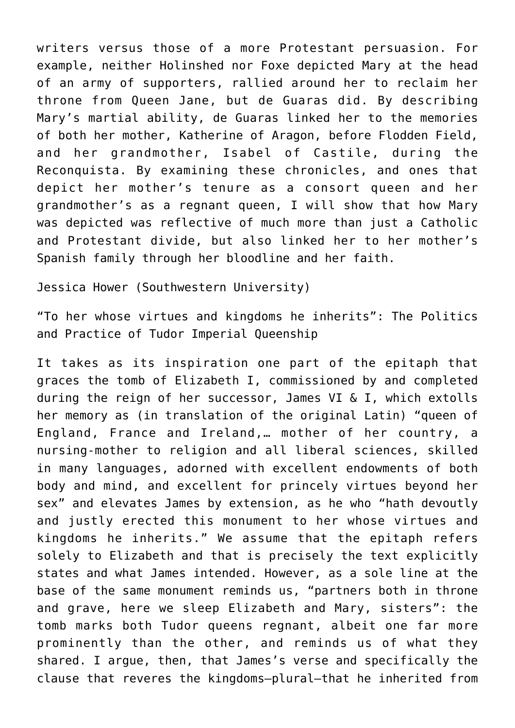writers versus those of a more Protestant persuasion. For example, neither Holinshed nor Foxe depicted Mary at the head of an army of supporters, rallied around her to reclaim her throne from Queen Jane, but de Guaras did. By describing Mary's martial ability, de Guaras linked her to the memories of both her mother, Katherine of Aragon, before Flodden Field, and her grandmother, Isabel of Castile, during the Reconquista. By examining these chronicles, and ones that depict her mother's tenure as a consort queen and her grandmother's as a regnant queen, I will show that how Mary was depicted was reflective of much more than just a Catholic and Protestant divide, but also linked her to her mother's Spanish family through her bloodline and her faith.

[Jessica Hower \(Southwestern University\)](https://www.southwestern.edu/live/profiles/25747-jessica-hower)

"To her whose virtues and kingdoms he inherits": The Politics and Practice of Tudor Imperial Queenship

It takes as its inspiration one part of the epitaph that graces the tomb of Elizabeth I, commissioned by and completed during the reign of her successor, James VI & I, which extolls her memory as (in translation of the original Latin) "queen of England, France and Ireland,… mother of her country, a nursing-mother to religion and all liberal sciences, skilled in many languages, adorned with excellent endowments of both body and mind, and excellent for princely virtues beyond her sex" and elevates James by extension, as he who "hath devoutly and justly erected this monument to her whose virtues and kingdoms he inherits." We assume that the epitaph refers solely to Elizabeth and that is precisely the text explicitly states and what James intended. However, as a sole line at the base of the same monument reminds us, "partners both in throne and grave, here we sleep Elizabeth and Mary, sisters": the tomb marks both Tudor queens regnant, albeit one far more prominently than the other, and reminds us of what they shared. I argue, then, that James's verse and specifically the clause that reveres the kingdoms—plural—that he inherited from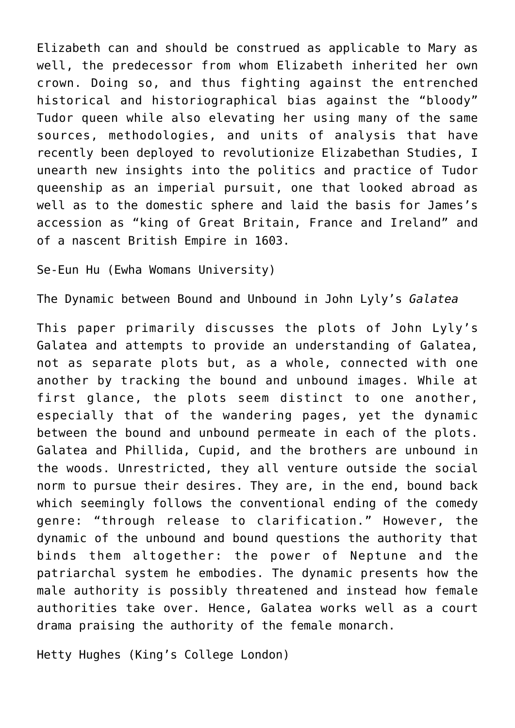Elizabeth can and should be construed as applicable to Mary as well, the predecessor from whom Elizabeth inherited her own crown. Doing so, and thus fighting against the entrenched historical and historiographical bias against the "bloody" Tudor queen while also elevating her using many of the same sources, methodologies, and units of analysis that have recently been deployed to revolutionize Elizabethan Studies, I unearth new insights into the politics and practice of Tudor queenship as an imperial pursuit, one that looked abroad as well as to the domestic sphere and laid the basis for James's accession as "king of Great Britain, France and Ireland" and of a nascent British Empire in 1603.

Se-Eun Hu (Ewha Womans University)

The Dynamic between Bound and Unbound in John Lyly's *Galatea*

This paper primarily discusses the plots of John Lyly's Galatea and attempts to provide an understanding of Galatea, not as separate plots but, as a whole, connected with one another by tracking the bound and unbound images. While at first glance, the plots seem distinct to one another, especially that of the wandering pages, yet the dynamic between the bound and unbound permeate in each of the plots. Galatea and Phillida, Cupid, and the brothers are unbound in the woods. Unrestricted, they all venture outside the social norm to pursue their desires. They are, in the end, bound back which seemingly follows the conventional ending of the comedy genre: "through release to clarification." However, the dynamic of the unbound and bound questions the authority that binds them altogether: the power of Neptune and the patriarchal system he embodies. The dynamic presents how the male authority is possibly threatened and instead how female authorities take over. Hence, Galatea works well as a court drama praising the authority of the female monarch.

Hetty Hughes (King's College London)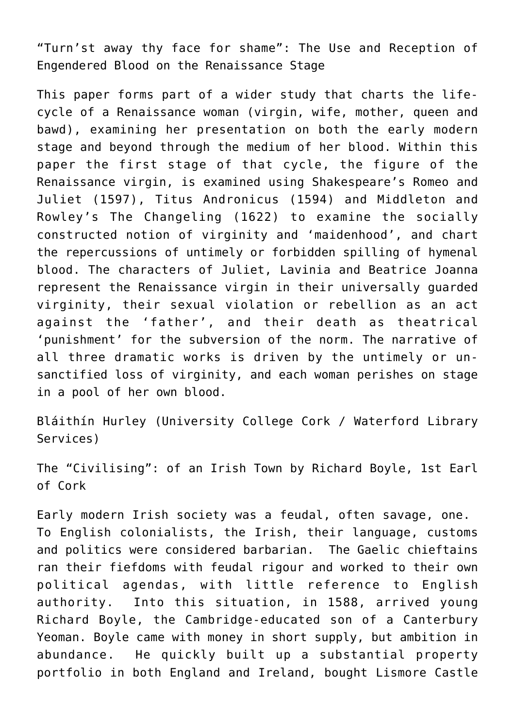"Turn'st away thy face for shame": The Use and Reception of Engendered Blood on the Renaissance Stage

This paper forms part of a wider study that charts the lifecycle of a Renaissance woman (virgin, wife, mother, queen and bawd), examining her presentation on both the early modern stage and beyond through the medium of her blood. Within this paper the first stage of that cycle, the figure of the Renaissance virgin, is examined using Shakespeare's Romeo and Juliet (1597), Titus Andronicus (1594) and Middleton and Rowley's The Changeling (1622) to examine the socially constructed notion of virginity and 'maidenhood', and chart the repercussions of untimely or forbidden spilling of hymenal blood. The characters of Juliet, Lavinia and Beatrice Joanna represent the Renaissance virgin in their universally guarded virginity, their sexual violation or rebellion as an act against the 'father', and their death as theatrical 'punishment' for the subversion of the norm. The narrative of all three dramatic works is driven by the untimely or unsanctified loss of virginity, and each woman perishes on stage in a pool of her own blood.

Bláithín Hurley (University College Cork / Waterford Library Services)

The "Civilising": of an Irish Town by Richard Boyle, 1st Earl of Cork

Early modern Irish society was a feudal, often savage, one. To English colonialists, the Irish, their language, customs and politics were considered barbarian. The Gaelic chieftains ran their fiefdoms with feudal rigour and worked to their own political agendas, with little reference to English authority. Into this situation, in 1588, arrived young Richard Boyle, the Cambridge-educated son of a Canterbury Yeoman. Boyle came with money in short supply, but ambition in abundance. He quickly built up a substantial property portfolio in both England and Ireland, bought Lismore Castle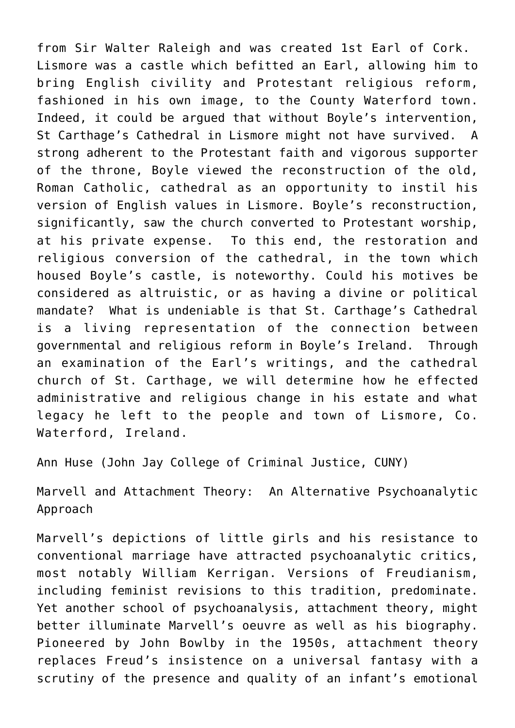from Sir Walter Raleigh and was created 1st Earl of Cork. Lismore was a castle which befitted an Earl, allowing him to bring English civility and Protestant religious reform, fashioned in his own image, to the County Waterford town. Indeed, it could be argued that without Boyle's intervention, St Carthage's Cathedral in Lismore might not have survived. A strong adherent to the Protestant faith and vigorous supporter of the throne, Boyle viewed the reconstruction of the old, Roman Catholic, cathedral as an opportunity to instil his version of English values in Lismore. Boyle's reconstruction, significantly, saw the church converted to Protestant worship, at his private expense. To this end, the restoration and religious conversion of the cathedral, in the town which housed Boyle's castle, is noteworthy. Could his motives be considered as altruistic, or as having a divine or political mandate? What is undeniable is that St. Carthage's Cathedral is a living representation of the connection between governmental and religious reform in Boyle's Ireland. Through an examination of the Earl's writings, and the cathedral church of St. Carthage, we will determine how he effected administrative and religious change in his estate and what legacy he left to the people and town of Lismore, Co. Waterford, Ireland.

[Ann Huse \(John Jay College of Criminal Justice, CUNY\)](https://www.jjay.cuny.edu/faculty/ann-huse)

Marvell and Attachment Theory: An Alternative Psychoanalytic Approach

Marvell's depictions of little girls and his resistance to conventional marriage have attracted psychoanalytic critics, most notably William Kerrigan. Versions of Freudianism, including feminist revisions to this tradition, predominate. Yet another school of psychoanalysis, attachment theory, might better illuminate Marvell's oeuvre as well as his biography. Pioneered by John Bowlby in the 1950s, attachment theory replaces Freud's insistence on a universal fantasy with a scrutiny of the presence and quality of an infant's emotional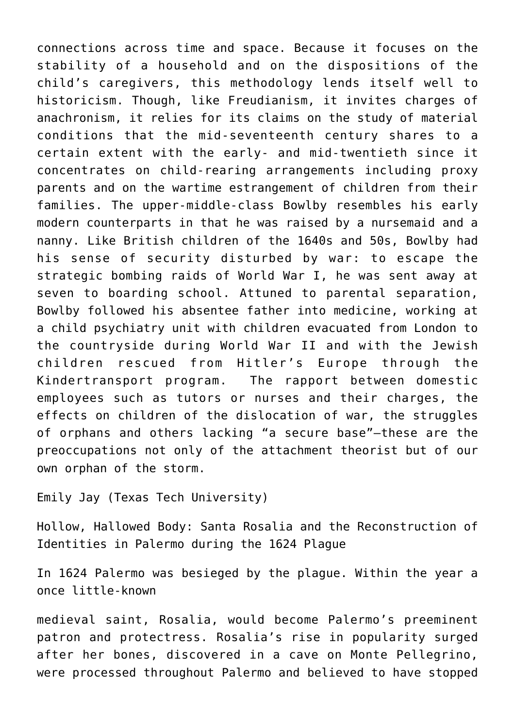connections across time and space. Because it focuses on the stability of a household and on the dispositions of the child's caregivers, this methodology lends itself well to historicism. Though, like Freudianism, it invites charges of anachronism, it relies for its claims on the study of material conditions that the mid-seventeenth century shares to a certain extent with the early- and mid-twentieth since it concentrates on child-rearing arrangements including proxy parents and on the wartime estrangement of children from their families. The upper-middle-class Bowlby resembles his early modern counterparts in that he was raised by a nursemaid and a nanny. Like British children of the 1640s and 50s, Bowlby had his sense of security disturbed by war: to escape the strategic bombing raids of World War I, he was sent away at seven to boarding school. Attuned to parental separation, Bowlby followed his absentee father into medicine, working at a child psychiatry unit with children evacuated from London to the countryside during World War II and with the Jewish children rescued from Hitler's Europe through the Kindertransport program. The rapport between domestic employees such as tutors or nurses and their charges, the effects on children of the dislocation of war, the struggles of orphans and others lacking "a secure base"—these are the preoccupations not only of the attachment theorist but of our own orphan of the storm.

Emily Jay (Texas Tech University)

Hollow, Hallowed Body: Santa Rosalia and the Reconstruction of Identities in Palermo during the 1624 Plague

In 1624 Palermo was besieged by the plague. Within the year a once little-known

medieval saint, Rosalia, would become Palermo's preeminent patron and protectress. Rosalia's rise in popularity surged after her bones, discovered in a cave on Monte Pellegrino, were processed throughout Palermo and believed to have stopped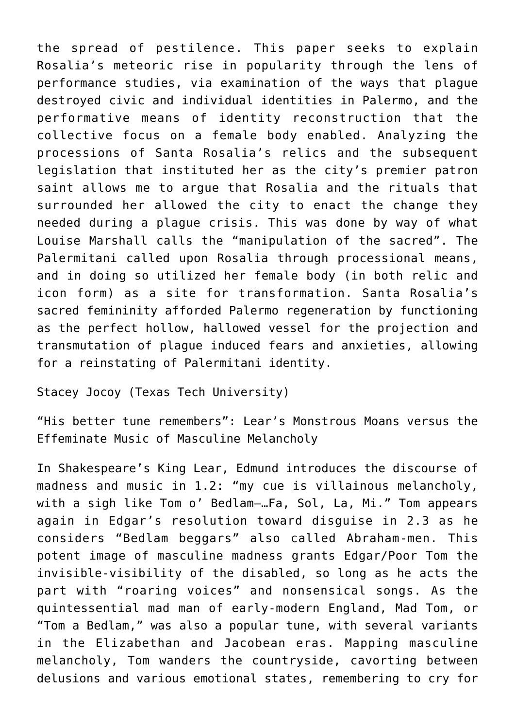the spread of pestilence. This paper seeks to explain Rosalia's meteoric rise in popularity through the lens of performance studies, via examination of the ways that plague destroyed civic and individual identities in Palermo, and the performative means of identity reconstruction that the collective focus on a female body enabled. Analyzing the processions of Santa Rosalia's relics and the subsequent legislation that instituted her as the city's premier patron saint allows me to argue that Rosalia and the rituals that surrounded her allowed the city to enact the change they needed during a plague crisis. This was done by way of what Louise Marshall calls the "manipulation of the sacred". The Palermitani called upon Rosalia through processional means, and in doing so utilized her female body (in both relic and icon form) as a site for transformation. Santa Rosalia's sacred femininity afforded Palermo regeneration by functioning as the perfect hollow, hallowed vessel for the projection and transmutation of plague induced fears and anxieties, allowing for a reinstating of Palermitani identity.

[Stacey Jocoy \(Texas Tech University\)](https://www.depts.ttu.edu/music/aboutus/faculty/stacey-jocoy.php)

"His better tune remembers": Lear's Monstrous Moans versus the Effeminate Music of Masculine Melancholy

In Shakespeare's King Lear, Edmund introduces the discourse of madness and music in 1.2: "my cue is villainous melancholy, with a sigh like Tom o' Bedlam—…Fa, Sol, La, Mi." Tom appears again in Edgar's resolution toward disguise in 2.3 as he considers "Bedlam beggars" also called Abraham-men. This potent image of masculine madness grants Edgar/Poor Tom the invisible-visibility of the disabled, so long as he acts the part with "roaring voices" and nonsensical songs. As the quintessential mad man of early-modern England, Mad Tom, or "Tom a Bedlam," was also a popular tune, with several variants in the Elizabethan and Jacobean eras. Mapping masculine melancholy, Tom wanders the countryside, cavorting between delusions and various emotional states, remembering to cry for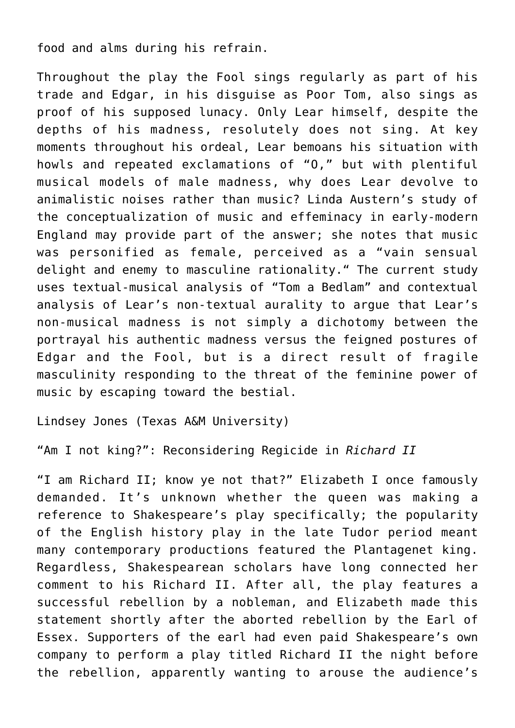food and alms during his refrain.

Throughout the play the Fool sings regularly as part of his trade and Edgar, in his disguise as Poor Tom, also sings as proof of his supposed lunacy. Only Lear himself, despite the depths of his madness, resolutely does not sing. At key moments throughout his ordeal, Lear bemoans his situation with howls and repeated exclamations of "O," but with plentiful musical models of male madness, why does Lear devolve to animalistic noises rather than music? Linda Austern's study of the conceptualization of music and effeminacy in early-modern England may provide part of the answer; she notes that music was personified as female, perceived as a "vain sensual delight and enemy to masculine rationality." The current study uses textual-musical analysis of "Tom a Bedlam" and contextual analysis of Lear's non-textual aurality to argue that Lear's non-musical madness is not simply a dichotomy between the portrayal his authentic madness versus the feigned postures of Edgar and the Fool, but is a direct result of fragile masculinity responding to the threat of the feminine power of music by escaping toward the bestial.

[Lindsey Jones \(Texas A&M University\)](https://liberalarts.tamu.edu/english/profile/lindsey-jones/)

"Am I not king?": Reconsidering Regicide in *Richard II*

"I am Richard II; know ye not that?" Elizabeth I once famously demanded. It's unknown whether the queen was making a reference to Shakespeare's play specifically; the popularity of the English history play in the late Tudor period meant many contemporary productions featured the Plantagenet king. Regardless, Shakespearean scholars have long connected her comment to his Richard II. After all, the play features a successful rebellion by a nobleman, and Elizabeth made this statement shortly after the aborted rebellion by the Earl of Essex. Supporters of the earl had even paid Shakespeare's own company to perform a play titled Richard II the night before the rebellion, apparently wanting to arouse the audience's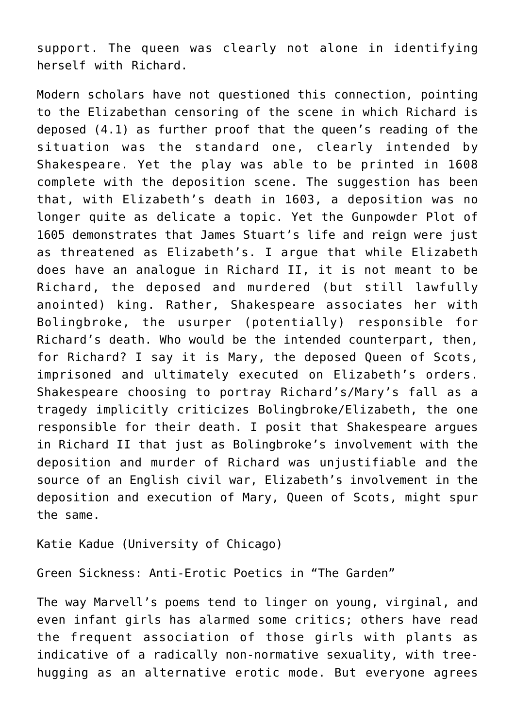support. The queen was clearly not alone in identifying herself with Richard.

Modern scholars have not questioned this connection, pointing to the Elizabethan censoring of the scene in which Richard is deposed (4.1) as further proof that the queen's reading of the situation was the standard one, clearly intended by Shakespeare. Yet the play was able to be printed in 1608 complete with the deposition scene. The suggestion has been that, with Elizabeth's death in 1603, a deposition was no longer quite as delicate a topic. Yet the Gunpowder Plot of 1605 demonstrates that James Stuart's life and reign were just as threatened as Elizabeth's. I argue that while Elizabeth does have an analogue in Richard II, it is not meant to be Richard, the deposed and murdered (but still lawfully anointed) king. Rather, Shakespeare associates her with Bolingbroke, the usurper (potentially) responsible for Richard's death. Who would be the intended counterpart, then, for Richard? I say it is Mary, the deposed Queen of Scots, imprisoned and ultimately executed on Elizabeth's orders. Shakespeare choosing to portray Richard's/Mary's fall as a tragedy implicitly criticizes Bolingbroke/Elizabeth, the one responsible for their death. I posit that Shakespeare argues in Richard II that just as Bolingbroke's involvement with the deposition and murder of Richard was unjustifiable and the source of an English civil war, Elizabeth's involvement in the deposition and execution of Mary, Queen of Scots, might spur the same.

[Katie Kadue \(University of Chicago\)](https://english.uchicago.edu/people/katie-kadue)

Green Sickness: Anti-Erotic Poetics in "The Garden"

The way Marvell's poems tend to linger on young, virginal, and even infant girls has alarmed some critics; others have read the frequent association of those girls with plants as indicative of a radically non-normative sexuality, with treehugging as an alternative erotic mode. But everyone agrees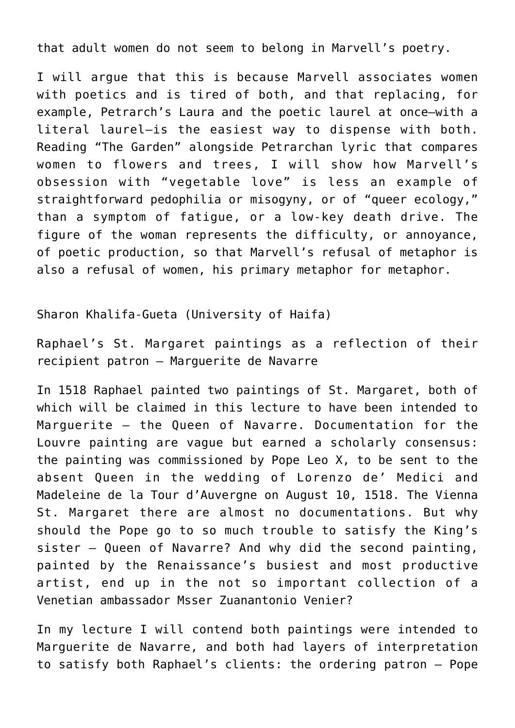that adult women do not seem to belong in Marvell's poetry.

I will argue that this is because Marvell associates women with poetics and is tired of both, and that replacing, for example, Petrarch's Laura and the poetic laurel at once—with a literal laurel—is the easiest way to dispense with both. Reading "The Garden" alongside Petrarchan lyric that compares women to flowers and trees, I will show how Marvell's obsession with "vegetable love" is less an example of straightforward pedophilia or misogyny, or of "queer ecology," than a symptom of fatigue, or a low-key death drive. The figure of the woman represents the difficulty, or annoyance, of poetic production, so that Marvell's refusal of metaphor is also a refusal of women, his primary metaphor for metaphor.

Sharon Khalifa-Gueta (University of Haifa)

Raphael's St. Margaret paintings as a reflection of their recipient patron – Marguerite de Navarre

In 1518 Raphael painted two paintings of St. Margaret, both of which will be claimed in this lecture to have been intended to Marguerite – the Queen of Navarre. Documentation for the Louvre painting are vague but earned a scholarly consensus: the painting was commissioned by Pope Leo X, to be sent to the absent Queen in the wedding of Lorenzo de' Medici and Madeleine de la Tour d'Auvergne on August 10, 1518. The Vienna St. Margaret there are almost no documentations. But why should the Pope go to so much trouble to satisfy the King's sister – Queen of Navarre? And why did the second painting, painted by the Renaissance's busiest and most productive artist, end up in the not so important collection of a Venetian ambassador Msser Zuanantonio Venier?

In my lecture I will contend both paintings were intended to Marguerite de Navarre, and both had layers of interpretation to satisfy both Raphael's clients: the ordering patron – Pope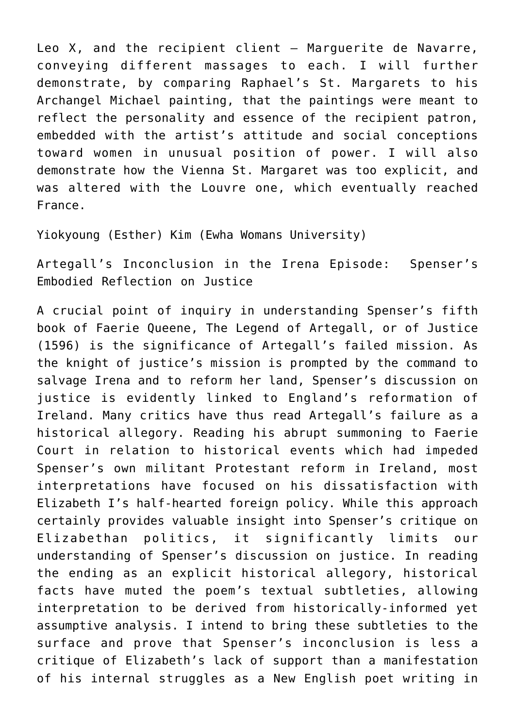Leo X, and the recipient client – Marguerite de Navarre, conveying different massages to each. I will further demonstrate, by comparing Raphael's St. Margarets to his Archangel Michael painting, that the paintings were meant to reflect the personality and essence of the recipient patron, embedded with the artist's attitude and social conceptions toward women in unusual position of power. I will also demonstrate how the Vienna St. Margaret was too explicit, and was altered with the Louvre one, which eventually reached France.

Yiokyoung (Esther) Kim (Ewha Womans University)

Artegall's Inconclusion in the Irena Episode: Spenser's Embodied Reflection on Justice

A crucial point of inquiry in understanding Spenser's fifth book of Faerie Queene, The Legend of Artegall, or of Justice (1596) is the significance of Artegall's failed mission. As the knight of justice's mission is prompted by the command to salvage Irena and to reform her land, Spenser's discussion on justice is evidently linked to England's reformation of Ireland. Many critics have thus read Artegall's failure as a historical allegory. Reading his abrupt summoning to Faerie Court in relation to historical events which had impeded Spenser's own militant Protestant reform in Ireland, most interpretations have focused on his dissatisfaction with Elizabeth I's half-hearted foreign policy. While this approach certainly provides valuable insight into Spenser's critique on Elizabethan politics, it significantly limits our understanding of Spenser's discussion on justice. In reading the ending as an explicit historical allegory, historical facts have muted the poem's textual subtleties, allowing interpretation to be derived from historically-informed yet assumptive analysis. I intend to bring these subtleties to the surface and prove that Spenser's inconclusion is less a critique of Elizabeth's lack of support than a manifestation of his internal struggles as a New English poet writing in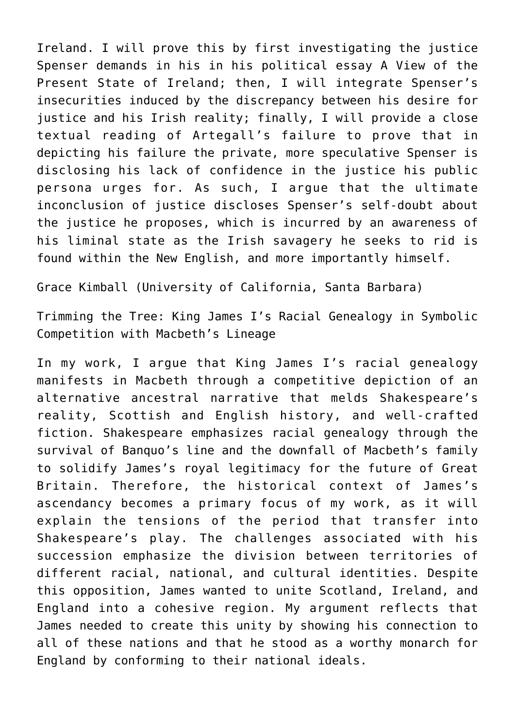Ireland. I will prove this by first investigating the justice Spenser demands in his in his political essay A View of the Present State of Ireland; then, I will integrate Spenser's insecurities induced by the discrepancy between his desire for justice and his Irish reality; finally, I will provide a close textual reading of Artegall's failure to prove that in depicting his failure the private, more speculative Spenser is disclosing his lack of confidence in the justice his public persona urges for. As such, I argue that the ultimate inconclusion of justice discloses Spenser's self-doubt about the justice he proposes, which is incurred by an awareness of his liminal state as the Irish savagery he seeks to rid is found within the New English, and more importantly himself.

Grace Kimball (University of California, Santa Barbara)

Trimming the Tree: King James I's Racial Genealogy in Symbolic Competition with Macbeth's Lineage

In my work, I argue that King James I's racial genealogy manifests in Macbeth through a competitive depiction of an alternative ancestral narrative that melds Shakespeare's reality, Scottish and English history, and well-crafted fiction. Shakespeare emphasizes racial genealogy through the survival of Banquo's line and the downfall of Macbeth's family to solidify James's royal legitimacy for the future of Great Britain. Therefore, the historical context of James's ascendancy becomes a primary focus of my work, as it will explain the tensions of the period that transfer into Shakespeare's play. The challenges associated with his succession emphasize the division between territories of different racial, national, and cultural identities. Despite this opposition, James wanted to unite Scotland, Ireland, and England into a cohesive region. My argument reflects that James needed to create this unity by showing his connection to all of these nations and that he stood as a worthy monarch for England by conforming to their national ideals.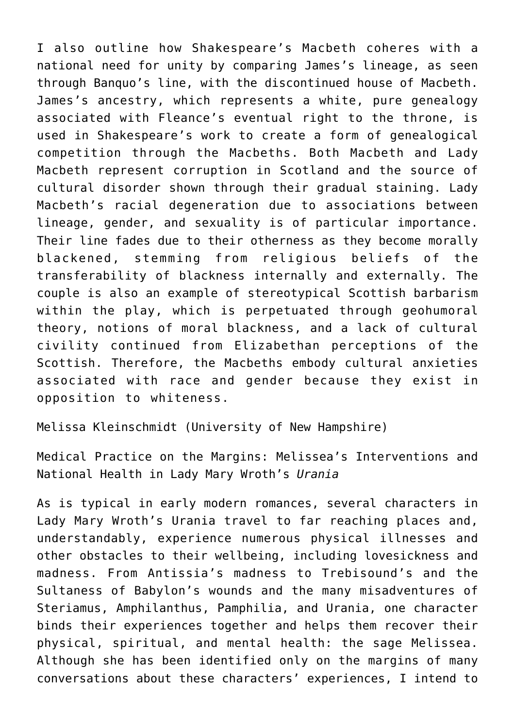I also outline how Shakespeare's Macbeth coheres with a national need for unity by comparing James's lineage, as seen through Banquo's line, with the discontinued house of Macbeth. James's ancestry, which represents a white, pure genealogy associated with Fleance's eventual right to the throne, is used in Shakespeare's work to create a form of genealogical competition through the Macbeths. Both Macbeth and Lady Macbeth represent corruption in Scotland and the source of cultural disorder shown through their gradual staining. Lady Macbeth's racial degeneration due to associations between lineage, gender, and sexuality is of particular importance. Their line fades due to their otherness as they become morally blackened, stemming from religious beliefs of the transferability of blackness internally and externally. The couple is also an example of stereotypical Scottish barbarism within the play, which is perpetuated through geohumoral theory, notions of moral blackness, and a lack of cultural civility continued from Elizabethan perceptions of the Scottish. Therefore, the Macbeths embody cultural anxieties associated with race and gender because they exist in opposition to whiteness.

Melissa Kleinschmidt (University of New Hampshire)

Medical Practice on the Margins: Melissea's Interventions and National Health in Lady Mary Wroth's *Urania*

As is typical in early modern romances, several characters in Lady Mary Wroth's Urania travel to far reaching places and, understandably, experience numerous physical illnesses and other obstacles to their wellbeing, including lovesickness and madness. From Antissia's madness to Trebisound's and the Sultaness of Babylon's wounds and the many misadventures of Steriamus, Amphilanthus, Pamphilia, and Urania, one character binds their experiences together and helps them recover their physical, spiritual, and mental health: the sage Melissea. Although she has been identified only on the margins of many conversations about these characters' experiences, I intend to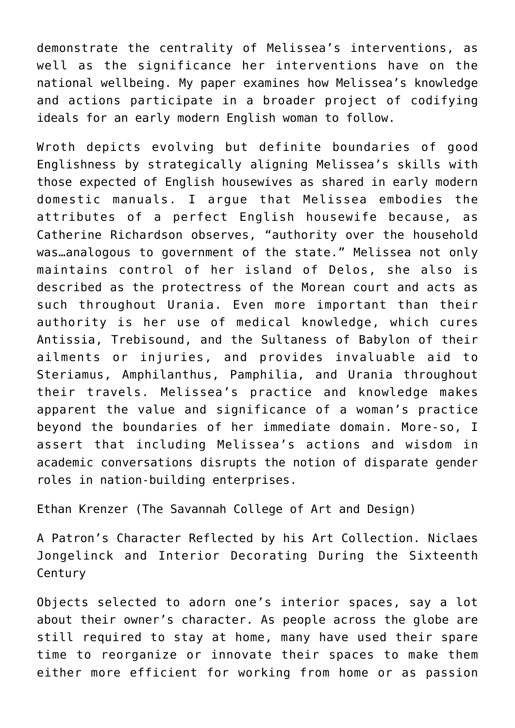demonstrate the centrality of Melissea's interventions, as well as the significance her interventions have on the national wellbeing. My paper examines how Melissea's knowledge and actions participate in a broader project of codifying ideals for an early modern English woman to follow.

Wroth depicts evolving but definite boundaries of good Englishness by strategically aligning Melissea's skills with those expected of English housewives as shared in early modern domestic manuals. I argue that Melissea embodies the attributes of a perfect English housewife because, as Catherine Richardson observes, "authority over the household was…analogous to government of the state." Melissea not only maintains control of her island of Delos, she also is described as the protectress of the Morean court and acts as such throughout Urania. Even more important than their authority is her use of medical knowledge, which cures Antissia, Trebisound, and the Sultaness of Babylon of their ailments or injuries, and provides invaluable aid to Steriamus, Amphilanthus, Pamphilia, and Urania throughout their travels. Melissea's practice and knowledge makes apparent the value and significance of a woman's practice beyond the boundaries of her immediate domain. More-so, I assert that including Melissea's actions and wisdom in academic conversations disrupts the notion of disparate gender roles in nation-building enterprises.

[Ethan Krenzer \(The Savannah College of Art and Design\)](https://depaul.academia.edu/EKrenz)

A Patron's Character Reflected by his Art Collection. Niclaes Jongelinck and Interior Decorating During the Sixteenth Century

Objects selected to adorn one's interior spaces, say a lot about their owner's character. As people across the globe are still required to stay at home, many have used their spare time to reorganize or innovate their spaces to make them either more efficient for working from home or as passion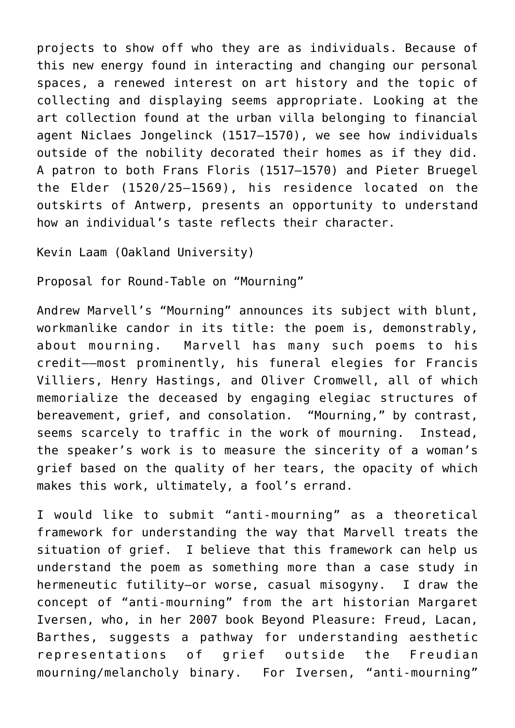projects to show off who they are as individuals. Because of this new energy found in interacting and changing our personal spaces, a renewed interest on art history and the topic of collecting and displaying seems appropriate. Looking at the art collection found at the urban villa belonging to financial agent Niclaes Jongelinck (1517–1570), we see how individuals outside of the nobility decorated their homes as if they did. A patron to both Frans Floris (1517–1570) and Pieter Bruegel the Elder (1520/25–1569), his residence located on the outskirts of Antwerp, presents an opportunity to understand how an individual's taste reflects their character.

[Kevin Laam \(Oakland University\)](https://oakland.edu/english/top-links/directory/Laam)

Proposal for Round-Table on "Mourning"

Andrew Marvell's "Mourning" announces its subject with blunt, workmanlike candor in its title: the poem is, demonstrably, about mourning. Marvell has many such poems to his credit––most prominently, his funeral elegies for Francis Villiers, Henry Hastings, and Oliver Cromwell, all of which memorialize the deceased by engaging elegiac structures of bereavement, grief, and consolation. "Mourning," by contrast, seems scarcely to traffic in the work of mourning. Instead, the speaker's work is to measure the sincerity of a woman's grief based on the quality of her tears, the opacity of which makes this work, ultimately, a fool's errand.

I would like to submit "anti-mourning" as a theoretical framework for understanding the way that Marvell treats the situation of grief. I believe that this framework can help us understand the poem as something more than a case study in hermeneutic futility—or worse, casual misogyny. I draw the concept of "anti-mourning" from the art historian Margaret Iversen, who, in her 2007 book Beyond Pleasure: Freud, Lacan, Barthes, suggests a pathway for understanding aesthetic representations of grief outside the Freudian mourning/melancholy binary. For Iversen, "anti-mourning"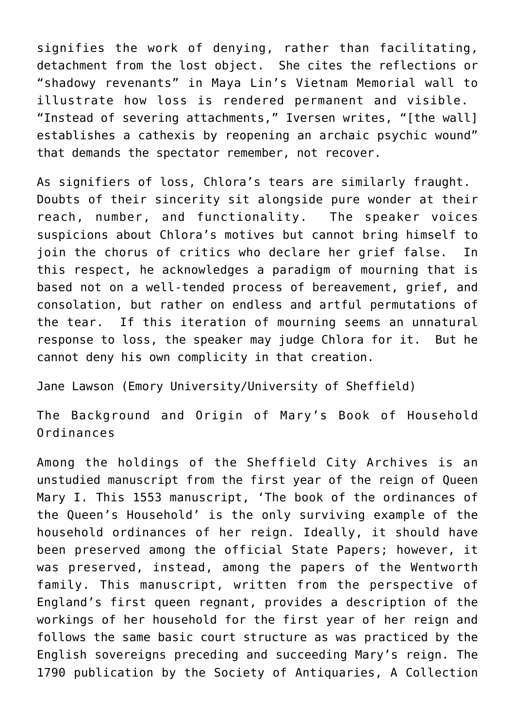signifies the work of denying, rather than facilitating, detachment from the lost object. She cites the reflections or "shadowy revenants" in Maya Lin's Vietnam Memorial wall to illustrate how loss is rendered permanent and visible. "Instead of severing attachments," Iversen writes, "[the wall] establishes a cathexis by reopening an archaic psychic wound" that demands the spectator remember, not recover.

As signifiers of loss, Chlora's tears are similarly fraught. Doubts of their sincerity sit alongside pure wonder at their reach, number, and functionality. The speaker voices suspicions about Chlora's motives but cannot bring himself to join the chorus of critics who declare her grief false. In this respect, he acknowledges a paradigm of mourning that is based not on a well-tended process of bereavement, grief, and consolation, but rather on endless and artful permutations of the tear. If this iteration of mourning seems an unnatural response to loss, the speaker may judge Chlora for it. But he cannot deny his own complicity in that creation.

Jane Lawson (Emory University/University of Sheffield)

The Background and Origin of Mary's Book of Household Ordinances

Among the holdings of the Sheffield City Archives is an unstudied manuscript from the first year of the reign of Queen Mary I. This 1553 manuscript, 'The book of the ordinances of the Queen's Household' is the only surviving example of the household ordinances of her reign. Ideally, it should have been preserved among the official State Papers; however, it was preserved, instead, among the papers of the Wentworth family. This manuscript, written from the perspective of England's first queen regnant, provides a description of the workings of her household for the first year of her reign and follows the same basic court structure as was practiced by the English sovereigns preceding and succeeding Mary's reign. The 1790 publication by the Society of Antiquaries, A Collection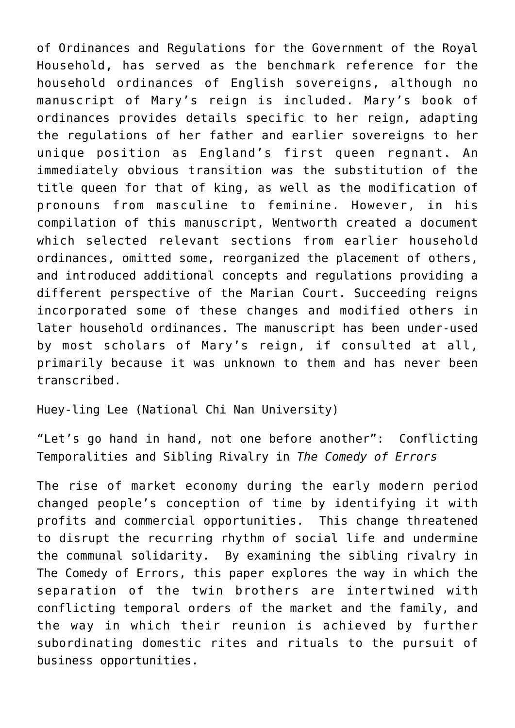of Ordinances and Regulations for the Government of the Royal Household, has served as the benchmark reference for the household ordinances of English sovereigns, although no manuscript of Mary's reign is included. Mary's book of ordinances provides details specific to her reign, adapting the regulations of her father and earlier sovereigns to her unique position as England's first queen regnant. An immediately obvious transition was the substitution of the title queen for that of king, as well as the modification of pronouns from masculine to feminine. However, in his compilation of this manuscript, Wentworth created a document which selected relevant sections from earlier household ordinances, omitted some, reorganized the placement of others, and introduced additional concepts and regulations providing a different perspective of the Marian Court. Succeeding reigns incorporated some of these changes and modified others in later household ordinances. The manuscript has been under-used by most scholars of Mary's reign, if consulted at all, primarily because it was unknown to them and has never been transcribed.

Huey-ling Lee (National Chi Nan University)

"Let's go hand in hand, not one before another": Conflicting Temporalities and Sibling Rivalry in *The Comedy of Errors*

The rise of market economy during the early modern period changed people's conception of time by identifying it with profits and commercial opportunities. This change threatened to disrupt the recurring rhythm of social life and undermine the communal solidarity. By examining the sibling rivalry in The Comedy of Errors, this paper explores the way in which the separation of the twin brothers are intertwined with conflicting temporal orders of the market and the family, and the way in which their reunion is achieved by further subordinating domestic rites and rituals to the pursuit of business opportunities.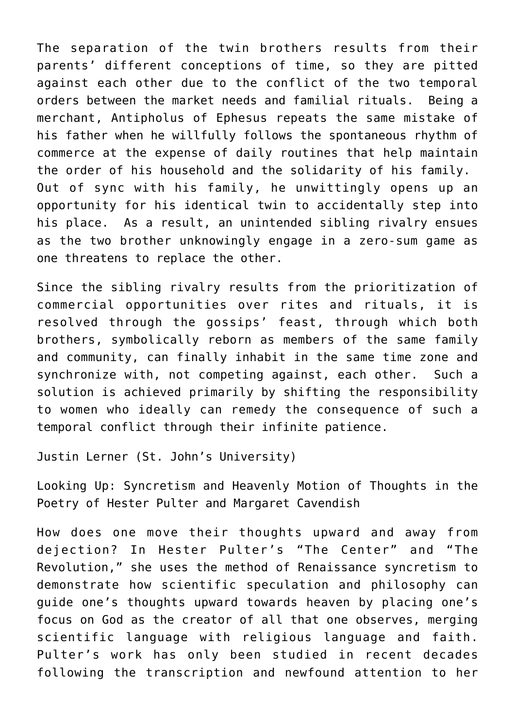The separation of the twin brothers results from their parents' different conceptions of time, so they are pitted against each other due to the conflict of the two temporal orders between the market needs and familial rituals. Being a merchant, Antipholus of Ephesus repeats the same mistake of his father when he willfully follows the spontaneous rhythm of commerce at the expense of daily routines that help maintain the order of his household and the solidarity of his family. Out of sync with his family, he unwittingly opens up an opportunity for his identical twin to accidentally step into his place. As a result, an unintended sibling rivalry ensues as the two brother unknowingly engage in a zero-sum game as one threatens to replace the other.

Since the sibling rivalry results from the prioritization of commercial opportunities over rites and rituals, it is resolved through the gossips' feast, through which both brothers, symbolically reborn as members of the same family and community, can finally inhabit in the same time zone and synchronize with, not competing against, each other. Such a solution is achieved primarily by shifting the responsibility to women who ideally can remedy the consequence of such a temporal conflict through their infinite patience.

[Justin Lerner \(St. John's University\)](https://stjenglish.com/justin-lerner/)

Looking Up: Syncretism and Heavenly Motion of Thoughts in the Poetry of Hester Pulter and Margaret Cavendish

How does one move their thoughts upward and away from dejection? In Hester Pulter's "The Center" and "The Revolution," she uses the method of Renaissance syncretism to demonstrate how scientific speculation and philosophy can guide one's thoughts upward towards heaven by placing one's focus on God as the creator of all that one observes, merging scientific language with religious language and faith. Pulter's work has only been studied in recent decades following the transcription and newfound attention to her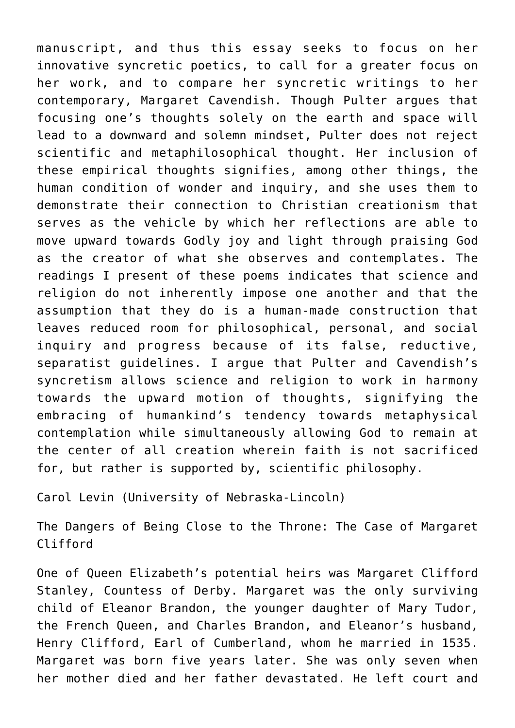manuscript, and thus this essay seeks to focus on her innovative syncretic poetics, to call for a greater focus on her work, and to compare her syncretic writings to her contemporary, Margaret Cavendish. Though Pulter argues that focusing one's thoughts solely on the earth and space will lead to a downward and solemn mindset, Pulter does not reject scientific and metaphilosophical thought. Her inclusion of these empirical thoughts signifies, among other things, the human condition of wonder and inquiry, and she uses them to demonstrate their connection to Christian creationism that serves as the vehicle by which her reflections are able to move upward towards Godly joy and light through praising God as the creator of what she observes and contemplates. The readings I present of these poems indicates that science and religion do not inherently impose one another and that the assumption that they do is a human-made construction that leaves reduced room for philosophical, personal, and social inquiry and progress because of its false, reductive, separatist guidelines. I argue that Pulter and Cavendish's syncretism allows science and religion to work in harmony towards the upward motion of thoughts, signifying the embracing of humankind's tendency towards metaphysical contemplation while simultaneously allowing God to remain at the center of all creation wherein faith is not sacrificed for, but rather is supported by, scientific philosophy.

[Carol Levin \(University of Nebraska-Lincoln\)](https://history.unl.edu/carole-levin)

The Dangers of Being Close to the Throne: The Case of Margaret Clifford

One of Queen Elizabeth's potential heirs was Margaret Clifford Stanley, Countess of Derby. Margaret was the only surviving child of Eleanor Brandon, the younger daughter of Mary Tudor, the French Queen, and Charles Brandon, and Eleanor's husband, Henry Clifford, Earl of Cumberland, whom he married in 1535. Margaret was born five years later. She was only seven when her mother died and her father devastated. He left court and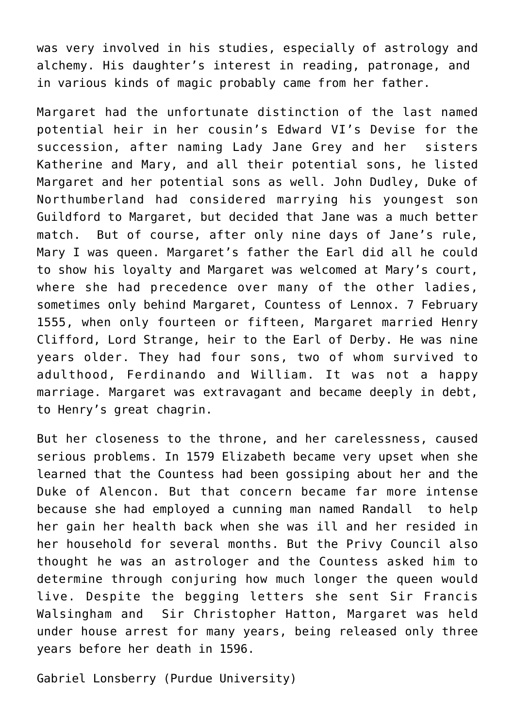was very involved in his studies, especially of astrology and alchemy. His daughter's interest in reading, patronage, and in various kinds of magic probably came from her father.

Margaret had the unfortunate distinction of the last named potential heir in her cousin's Edward VI's Devise for the succession, after naming Lady Jane Grey and her sisters Katherine and Mary, and all their potential sons, he listed Margaret and her potential sons as well. John Dudley, Duke of Northumberland had considered marrying his youngest son Guildford to Margaret, but decided that Jane was a much better match. But of course, after only nine days of Jane's rule, Mary I was queen. Margaret's father the Earl did all he could to show his loyalty and Margaret was welcomed at Mary's court, where she had precedence over many of the other ladies, sometimes only behind Margaret, Countess of Lennox. 7 February 1555, when only fourteen or fifteen, Margaret married Henry Clifford, Lord Strange, heir to the Earl of Derby. He was nine years older. They had four sons, two of whom survived to adulthood, Ferdinando and William. It was not a happy marriage. Margaret was extravagant and became deeply in debt, to Henry's great chagrin.

But her closeness to the throne, and her carelessness, caused serious problems. In 1579 Elizabeth became very upset when she learned that the Countess had been gossiping about her and the Duke of Alencon. But that concern became far more intense because she had employed a cunning man named Randall to help her gain her health back when she was ill and her resided in her household for several months. But the Privy Council also thought he was an astrologer and the Countess asked him to determine through conjuring how much longer the queen would live. Despite the begging letters she sent Sir Francis Walsingham and Sir Christopher Hatton, Margaret was held under house arrest for many years, being released only three years before her death in 1596.

Gabriel Lonsberry (Purdue University)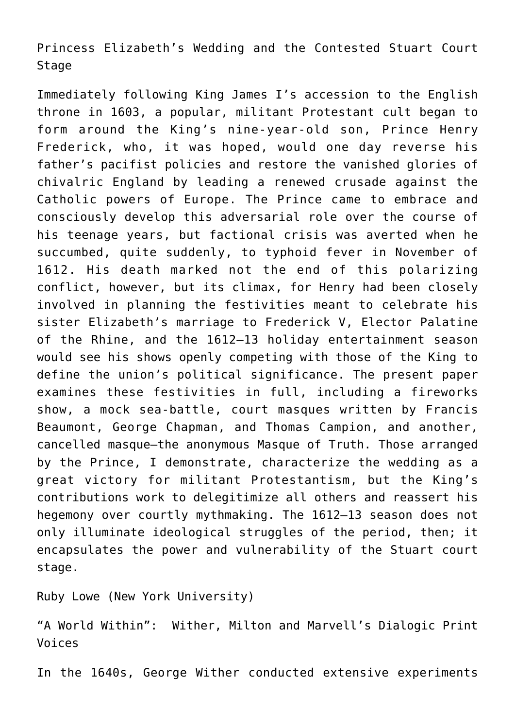Princess Elizabeth's Wedding and the Contested Stuart Court Stage

Immediately following King James I's accession to the English throne in 1603, a popular, militant Protestant cult began to form around the King's nine-year-old son, Prince Henry Frederick, who, it was hoped, would one day reverse his father's pacifist policies and restore the vanished glories of chivalric England by leading a renewed crusade against the Catholic powers of Europe. The Prince came to embrace and consciously develop this adversarial role over the course of his teenage years, but factional crisis was averted when he succumbed, quite suddenly, to typhoid fever in November of 1612. His death marked not the end of this polarizing conflict, however, but its climax, for Henry had been closely involved in planning the festivities meant to celebrate his sister Elizabeth's marriage to Frederick V, Elector Palatine of the Rhine, and the 1612–13 holiday entertainment season would see his shows openly competing with those of the King to define the union's political significance. The present paper examines these festivities in full, including a fireworks show, a mock sea-battle, court masques written by Francis Beaumont, George Chapman, and Thomas Campion, and another, cancelled masque—the anonymous Masque of Truth. Those arranged by the Prince, I demonstrate, characterize the wedding as a great victory for militant Protestantism, but the King's contributions work to delegitimize all others and reassert his hegemony over courtly mythmaking. The 1612–13 season does not only illuminate ideological struggles of the period, then; it encapsulates the power and vulnerability of the Stuart court stage.

Ruby Lowe (New York University)

"A World Within": Wither, Milton and Marvell's Dialogic Print Voices

In the 1640s, George Wither conducted extensive experiments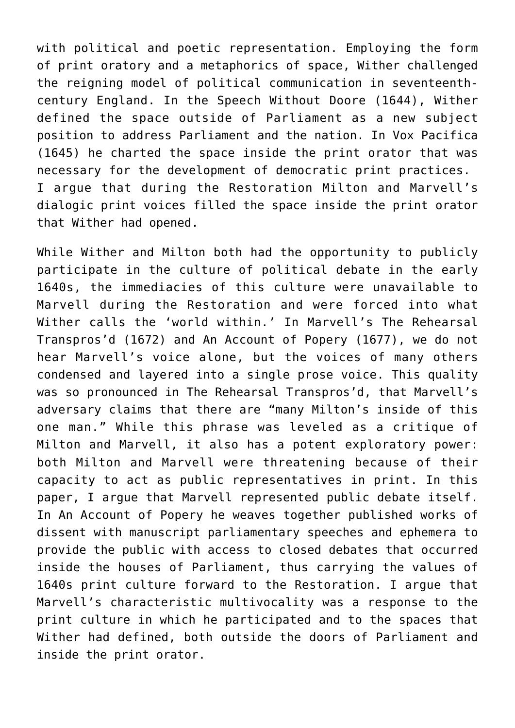with political and poetic representation. Employing the form of print oratory and a metaphorics of space, Wither challenged the reigning model of political communication in seventeenthcentury England. In the Speech Without Doore (1644), Wither defined the space outside of Parliament as a new subject position to address Parliament and the nation. In Vox Pacifica (1645) he charted the space inside the print orator that was necessary for the development of democratic print practices. I argue that during the Restoration Milton and Marvell's dialogic print voices filled the space inside the print orator that Wither had opened.

While Wither and Milton both had the opportunity to publicly participate in the culture of political debate in the early 1640s, the immediacies of this culture were unavailable to Marvell during the Restoration and were forced into what Wither calls the 'world within.' In Marvell's The Rehearsal Transpros'd (1672) and An Account of Popery (1677), we do not hear Marvell's voice alone, but the voices of many others condensed and layered into a single prose voice. This quality was so pronounced in The Rehearsal Transpros'd, that Marvell's adversary claims that there are "many Milton's inside of this one man." While this phrase was leveled as a critique of Milton and Marvell, it also has a potent exploratory power: both Milton and Marvell were threatening because of their capacity to act as public representatives in print. In this paper, I argue that Marvell represented public debate itself. In An Account of Popery he weaves together published works of dissent with manuscript parliamentary speeches and ephemera to provide the public with access to closed debates that occurred inside the houses of Parliament, thus carrying the values of 1640s print culture forward to the Restoration. I argue that Marvell's characteristic multivocality was a response to the print culture in which he participated and to the spaces that Wither had defined, both outside the doors of Parliament and inside the print orator.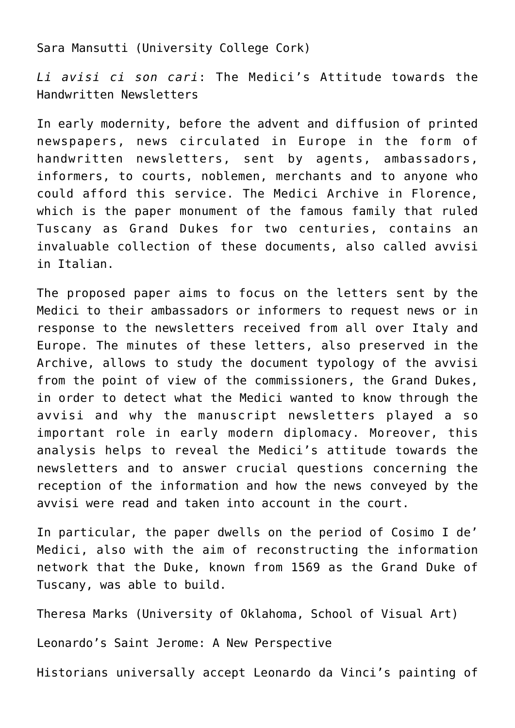Sara Mansutti (University College Cork)

*Li avisi ci son cari*: The Medici's Attitude towards the Handwritten Newsletters

In early modernity, before the advent and diffusion of printed newspapers, news circulated in Europe in the form of handwritten newsletters, sent by agents, ambassadors, informers, to courts, noblemen, merchants and to anyone who could afford this service. The Medici Archive in Florence, which is the paper monument of the famous family that ruled Tuscany as Grand Dukes for two centuries, contains an invaluable collection of these documents, also called avvisi in Italian.

The proposed paper aims to focus on the letters sent by the Medici to their ambassadors or informers to request news or in response to the newsletters received from all over Italy and Europe. The minutes of these letters, also preserved in the Archive, allows to study the document typology of the avvisi from the point of view of the commissioners, the Grand Dukes, in order to detect what the Medici wanted to know through the avvisi and why the manuscript newsletters played a so important role in early modern diplomacy. Moreover, this analysis helps to reveal the Medici's attitude towards the newsletters and to answer crucial questions concerning the reception of the information and how the news conveyed by the avvisi were read and taken into account in the court.

In particular, the paper dwells on the period of Cosimo I de' Medici, also with the aim of reconstructing the information network that the Duke, known from 1569 as the Grand Duke of Tuscany, was able to build.

[Theresa Marks \(University of Oklahoma, School of Visual Art\)](https://www.ou.edu/alc/upperclass-coaching/meet-the-coaches/theresa-marks)

Leonardo's Saint Jerome: A New Perspective

Historians universally accept Leonardo da Vinci's painting of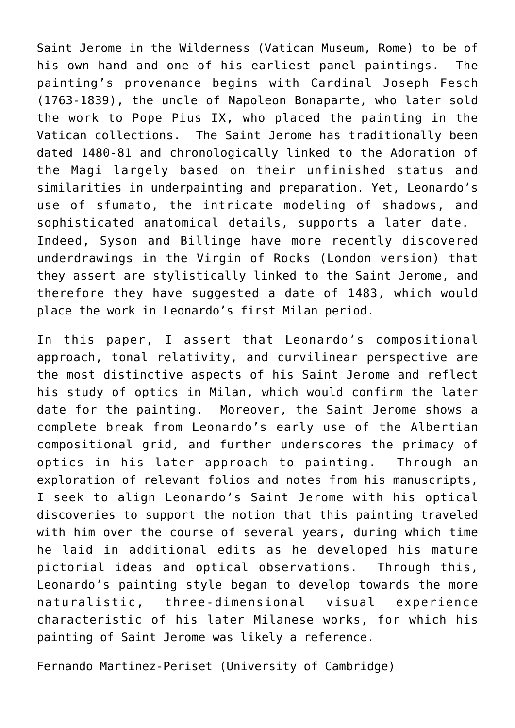Saint Jerome in the Wilderness (Vatican Museum, Rome) to be of his own hand and one of his earliest panel paintings. The painting's provenance begins with Cardinal Joseph Fesch (1763-1839), the uncle of Napoleon Bonaparte, who later sold the work to Pope Pius IX, who placed the painting in the Vatican collections. The Saint Jerome has traditionally been dated 1480-81 and chronologically linked to the Adoration of the Magi largely based on their unfinished status and similarities in underpainting and preparation. Yet, Leonardo's use of sfumato, the intricate modeling of shadows, and sophisticated anatomical details, supports a later date. Indeed, Syson and Billinge have more recently discovered underdrawings in the Virgin of Rocks (London version) that they assert are stylistically linked to the Saint Jerome, and therefore they have suggested a date of 1483, which would place the work in Leonardo's first Milan period.

In this paper, I assert that Leonardo's compositional approach, tonal relativity, and curvilinear perspective are the most distinctive aspects of his Saint Jerome and reflect his study of optics in Milan, which would confirm the later date for the painting. Moreover, the Saint Jerome shows a complete break from Leonardo's early use of the Albertian compositional grid, and further underscores the primacy of optics in his later approach to painting. Through an exploration of relevant folios and notes from his manuscripts, I seek to align Leonardo's Saint Jerome with his optical discoveries to support the notion that this painting traveled with him over the course of several years, during which time he laid in additional edits as he developed his mature pictorial ideas and optical observations. Through this, Leonardo's painting style began to develop towards the more naturalistic, three-dimensional visual experience characteristic of his later Milanese works, for which his painting of Saint Jerome was likely a reference.

Fernando Martinez-Periset (University of Cambridge)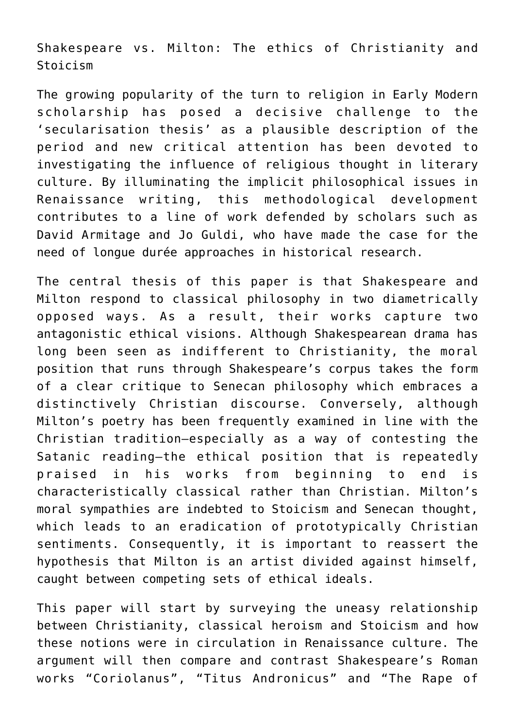Shakespeare vs. Milton: The ethics of Christianity and Stoicism

The growing popularity of the turn to religion in Early Modern scholarship has posed a decisive challenge to the 'secularisation thesis' as a plausible description of the period and new critical attention has been devoted to investigating the influence of religious thought in literary culture. By illuminating the implicit philosophical issues in Renaissance writing, this methodological development contributes to a line of work defended by scholars such as David Armitage and Jo Guldi, who have made the case for the need of longue durée approaches in historical research.

The central thesis of this paper is that Shakespeare and Milton respond to classical philosophy in two diametrically opposed ways. As a result, their works capture two antagonistic ethical visions. Although Shakespearean drama has long been seen as indifferent to Christianity, the moral position that runs through Shakespeare's corpus takes the form of a clear critique to Senecan philosophy which embraces a distinctively Christian discourse. Conversely, although Milton's poetry has been frequently examined in line with the Christian tradition—especially as a way of contesting the Satanic reading—the ethical position that is repeatedly praised in his works from beginning to end is characteristically classical rather than Christian. Milton's moral sympathies are indebted to Stoicism and Senecan thought, which leads to an eradication of prototypically Christian sentiments. Consequently, it is important to reassert the hypothesis that Milton is an artist divided against himself, caught between competing sets of ethical ideals.

This paper will start by surveying the uneasy relationship between Christianity, classical heroism and Stoicism and how these notions were in circulation in Renaissance culture. The argument will then compare and contrast Shakespeare's Roman works "Coriolanus", "Titus Andronicus" and "The Rape of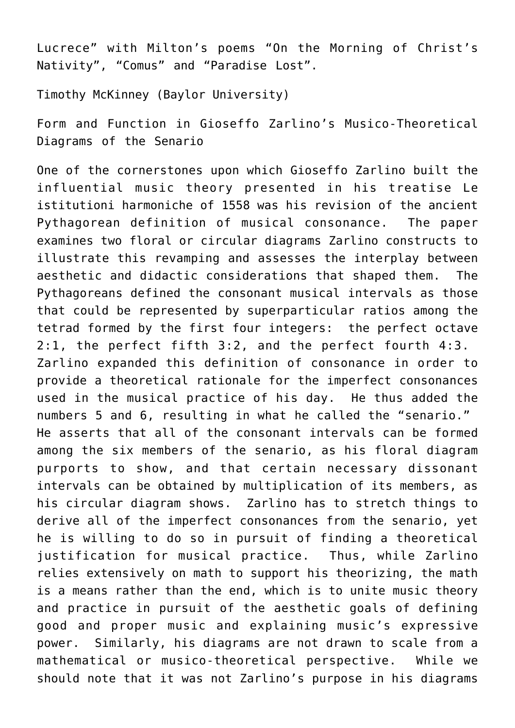Lucrece" with Milton's poems "On the Morning of Christ's Nativity", "Comus" and "Paradise Lost".

[Timothy McKinney \(Baylor University\)](https://www.baylor.edu/music/index.php?id=952924)

Form and Function in Gioseffo Zarlino's Musico-Theoretical Diagrams of the Senario

One of the cornerstones upon which Gioseffo Zarlino built the influential music theory presented in his treatise Le istitutioni harmoniche of 1558 was his revision of the ancient Pythagorean definition of musical consonance. The paper examines two floral or circular diagrams Zarlino constructs to illustrate this revamping and assesses the interplay between aesthetic and didactic considerations that shaped them. The Pythagoreans defined the consonant musical intervals as those that could be represented by superparticular ratios among the tetrad formed by the first four integers: the perfect octave 2:1, the perfect fifth 3:2, and the perfect fourth 4:3. Zarlino expanded this definition of consonance in order to provide a theoretical rationale for the imperfect consonances used in the musical practice of his day. He thus added the numbers 5 and 6, resulting in what he called the "senario." He asserts that all of the consonant intervals can be formed among the six members of the senario, as his floral diagram purports to show, and that certain necessary dissonant intervals can be obtained by multiplication of its members, as his circular diagram shows. Zarlino has to stretch things to derive all of the imperfect consonances from the senario, yet he is willing to do so in pursuit of finding a theoretical justification for musical practice. Thus, while Zarlino relies extensively on math to support his theorizing, the math is a means rather than the end, which is to unite music theory and practice in pursuit of the aesthetic goals of defining good and proper music and explaining music's expressive power. Similarly, his diagrams are not drawn to scale from a mathematical or musico-theoretical perspective. While we should note that it was not Zarlino's purpose in his diagrams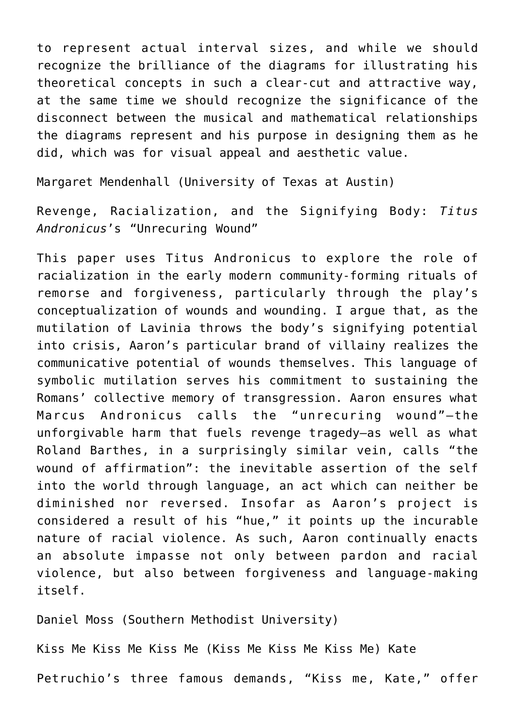to represent actual interval sizes, and while we should recognize the brilliance of the diagrams for illustrating his theoretical concepts in such a clear-cut and attractive way, at the same time we should recognize the significance of the disconnect between the musical and mathematical relationships the diagrams represent and his purpose in designing them as he did, which was for visual appeal and aesthetic value.

Margaret Mendenhall (University of Texas at Austin)

Revenge, Racialization, and the Signifying Body: *Titus Andronicus*'s "Unrecuring Wound"

This paper uses Titus Andronicus to explore the role of racialization in the early modern community-forming rituals of remorse and forgiveness, particularly through the play's conceptualization of wounds and wounding. I argue that, as the mutilation of Lavinia throws the body's signifying potential into crisis, Aaron's particular brand of villainy realizes the communicative potential of wounds themselves. This language of symbolic mutilation serves his commitment to sustaining the Romans' collective memory of transgression. Aaron ensures what Marcus Andronicus calls the "unrecuring wound"—the unforgivable harm that fuels revenge tragedy—as well as what Roland Barthes, in a surprisingly similar vein, calls "the wound of affirmation": the inevitable assertion of the self into the world through language, an act which can neither be diminished nor reversed. Insofar as Aaron's project is considered a result of his "hue," it points up the incurable nature of racial violence. As such, Aaron continually enacts an absolute impasse not only between pardon and racial violence, but also between forgiveness and language-making itself.

[Daniel Moss \(Southern Methodist University\)](https://www.smu.edu/Dedman/Academics/Departments/English/People/Faculty/DanMoss)

Kiss Me Kiss Me Kiss Me (Kiss Me Kiss Me Kiss Me) Kate

Petruchio's three famous demands, "Kiss me, Kate," offer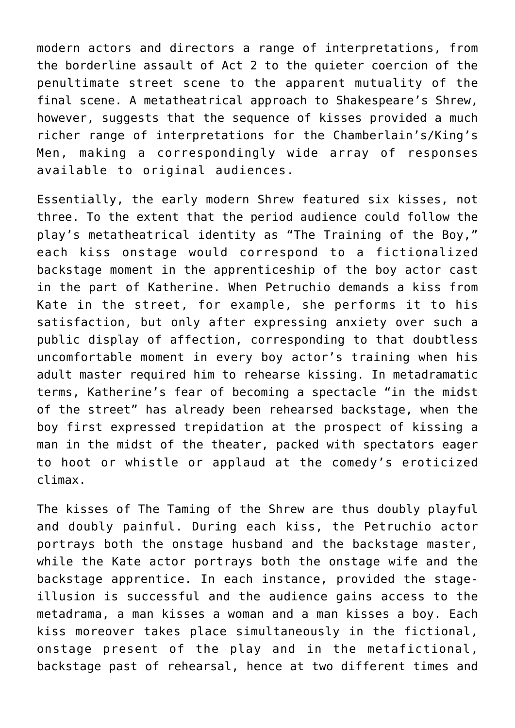modern actors and directors a range of interpretations, from the borderline assault of Act 2 to the quieter coercion of the penultimate street scene to the apparent mutuality of the final scene. A metatheatrical approach to Shakespeare's Shrew, however, suggests that the sequence of kisses provided a much richer range of interpretations for the Chamberlain's/King's Men, making a correspondingly wide array of responses available to original audiences.

Essentially, the early modern Shrew featured six kisses, not three. To the extent that the period audience could follow the play's metatheatrical identity as "The Training of the Boy," each kiss onstage would correspond to a fictionalized backstage moment in the apprenticeship of the boy actor cast in the part of Katherine. When Petruchio demands a kiss from Kate in the street, for example, she performs it to his satisfaction, but only after expressing anxiety over such a public display of affection, corresponding to that doubtless uncomfortable moment in every boy actor's training when his adult master required him to rehearse kissing. In metadramatic terms, Katherine's fear of becoming a spectacle "in the midst of the street" has already been rehearsed backstage, when the boy first expressed trepidation at the prospect of kissing a man in the midst of the theater, packed with spectators eager to hoot or whistle or applaud at the comedy's eroticized climax.

The kisses of The Taming of the Shrew are thus doubly playful and doubly painful. During each kiss, the Petruchio actor portrays both the onstage husband and the backstage master, while the Kate actor portrays both the onstage wife and the backstage apprentice. In each instance, provided the stageillusion is successful and the audience gains access to the metadrama, a man kisses a woman and a man kisses a boy. Each kiss moreover takes place simultaneously in the fictional, onstage present of the play and in the metafictional, backstage past of rehearsal, hence at two different times and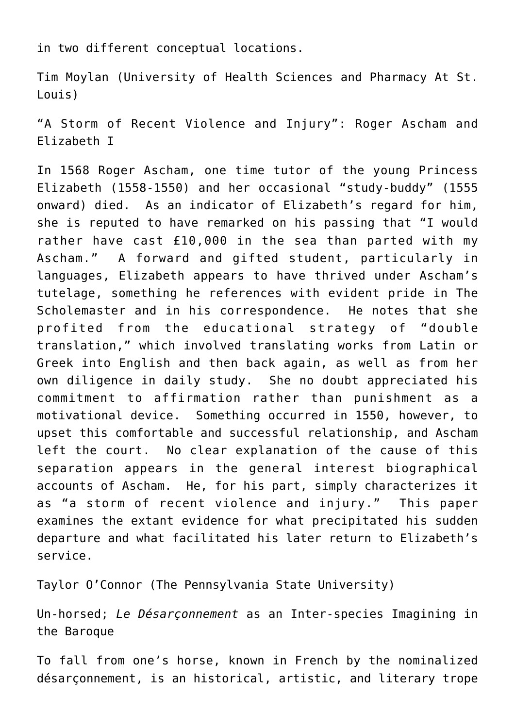in two different conceptual locations.

[Tim Moylan \(University of Health Sciences and Pharmacy At St.](https://www.uhsp.edu/directory/employee/tim-moylan) [Louis\)](https://www.uhsp.edu/directory/employee/tim-moylan)

"A Storm of Recent Violence and Injury": Roger Ascham and Elizabeth I

In 1568 Roger Ascham, one time tutor of the young Princess Elizabeth (1558-1550) and her occasional "study-buddy" (1555 onward) died. As an indicator of Elizabeth's regard for him, she is reputed to have remarked on his passing that "I would rather have cast £10,000 in the sea than parted with my Ascham." A forward and gifted student, particularly in languages, Elizabeth appears to have thrived under Ascham's tutelage, something he references with evident pride in The Scholemaster and in his correspondence. He notes that she profited from the educational strategy of "double translation," which involved translating works from Latin or Greek into English and then back again, as well as from her own diligence in daily study. She no doubt appreciated his commitment to affirmation rather than punishment as a motivational device. Something occurred in 1550, however, to upset this comfortable and successful relationship, and Ascham left the court. No clear explanation of the cause of this separation appears in the general interest biographical accounts of Ascham. He, for his part, simply characterizes it as "a storm of recent violence and injury." This paper examines the extant evidence for what precipitated his sudden departure and what facilitated his later return to Elizabeth's service.

[Taylor O'Connor \(The Pennsylvania State University\)](https://french.la.psu.edu/people/tao7)

Un-horsed; *Le Désarçonnement* as an Inter-species Imagining in the Baroque

To fall from one's horse, known in French by the nominalized désarçonnement, is an historical, artistic, and literary trope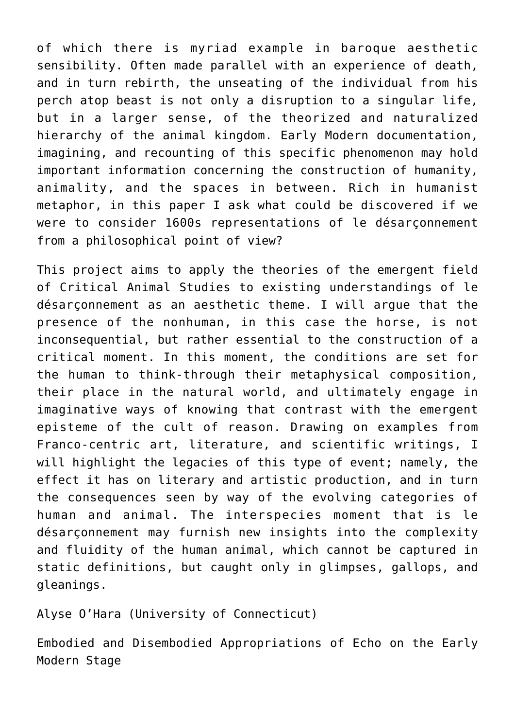of which there is myriad example in baroque aesthetic sensibility. Often made parallel with an experience of death, and in turn rebirth, the unseating of the individual from his perch atop beast is not only a disruption to a singular life, but in a larger sense, of the theorized and naturalized hierarchy of the animal kingdom. Early Modern documentation, imagining, and recounting of this specific phenomenon may hold important information concerning the construction of humanity, animality, and the spaces in between. Rich in humanist metaphor, in this paper I ask what could be discovered if we were to consider 1600s representations of le désarçonnement from a philosophical point of view?

This project aims to apply the theories of the emergent field of Critical Animal Studies to existing understandings of le désarçonnement as an aesthetic theme. I will argue that the presence of the nonhuman, in this case the horse, is not inconsequential, but rather essential to the construction of a critical moment. In this moment, the conditions are set for the human to think-through their metaphysical composition, their place in the natural world, and ultimately engage in imaginative ways of knowing that contrast with the emergent episteme of the cult of reason. Drawing on examples from Franco-centric art, literature, and scientific writings, I will highlight the legacies of this type of event; namely, the effect it has on literary and artistic production, and in turn the consequences seen by way of the evolving categories of human and animal. The interspecies moment that is le désarçonnement may furnish new insights into the complexity and fluidity of the human animal, which cannot be captured in static definitions, but caught only in glimpses, gallops, and gleanings.

[Alyse O'Hara \(University of Connecticut\)](https://english.uconn.edu/person/alyse-ohara/)

Embodied and Disembodied Appropriations of Echo on the Early Modern Stage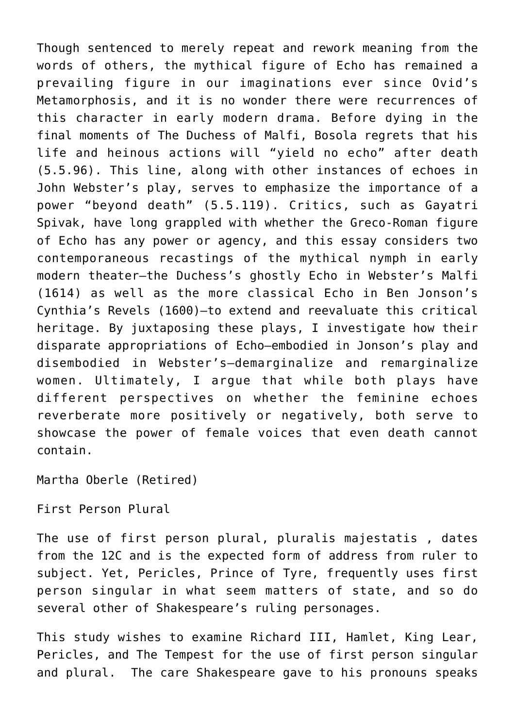Though sentenced to merely repeat and rework meaning from the words of others, the mythical figure of Echo has remained a prevailing figure in our imaginations ever since Ovid's Metamorphosis, and it is no wonder there were recurrences of this character in early modern drama. Before dying in the final moments of The Duchess of Malfi, Bosola regrets that his life and heinous actions will "yield no echo" after death (5.5.96). This line, along with other instances of echoes in John Webster's play, serves to emphasize the importance of a power "beyond death" (5.5.119). Critics, such as Gayatri Spivak, have long grappled with whether the Greco-Roman figure of Echo has any power or agency, and this essay considers two contemporaneous recastings of the mythical nymph in early modern theater—the Duchess's ghostly Echo in Webster's Malfi (1614) as well as the more classical Echo in Ben Jonson's Cynthia's Revels (1600)—to extend and reevaluate this critical heritage. By juxtaposing these plays, I investigate how their disparate appropriations of Echo—embodied in Jonson's play and disembodied in Webster's—demarginalize and remarginalize women. Ultimately, I argue that while both plays have different perspectives on whether the feminine echoes reverberate more positively or negatively, both serve to showcase the power of female voices that even death cannot contain.

Martha Oberle (Retired)

First Person Plural

The use of first person plural, pluralis majestatis , dates from the 12C and is the expected form of address from ruler to subject. Yet, Pericles, Prince of Tyre, frequently uses first person singular in what seem matters of state, and so do several other of Shakespeare's ruling personages.

This study wishes to examine Richard III, Hamlet, King Lear, Pericles, and The Tempest for the use of first person singular and plural. The care Shakespeare gave to his pronouns speaks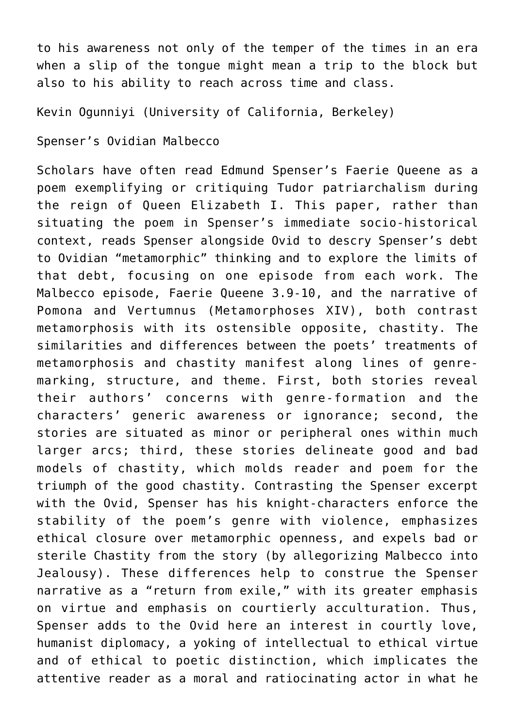to his awareness not only of the temper of the times in an era when a slip of the tongue might mean a trip to the block but also to his ability to reach across time and class.

[Kevin Ogunniyi \(University of California, Berkeley\)](https://english.berkeley.edu/users/466)

Spenser's Ovidian Malbecco

Scholars have often read Edmund Spenser's Faerie Queene as a poem exemplifying or critiquing Tudor patriarchalism during the reign of Queen Elizabeth I. This paper, rather than situating the poem in Spenser's immediate socio-historical context, reads Spenser alongside Ovid to descry Spenser's debt to Ovidian "metamorphic" thinking and to explore the limits of that debt, focusing on one episode from each work. The Malbecco episode, Faerie Queene 3.9-10, and the narrative of Pomona and Vertumnus (Metamorphoses XIV), both contrast metamorphosis with its ostensible opposite, chastity. The similarities and differences between the poets' treatments of metamorphosis and chastity manifest along lines of genremarking, structure, and theme. First, both stories reveal their authors' concerns with genre-formation and the characters' generic awareness or ignorance; second, the stories are situated as minor or peripheral ones within much larger arcs; third, these stories delineate good and bad models of chastity, which molds reader and poem for the triumph of the good chastity. Contrasting the Spenser excerpt with the Ovid, Spenser has his knight-characters enforce the stability of the poem's genre with violence, emphasizes ethical closure over metamorphic openness, and expels bad or sterile Chastity from the story (by allegorizing Malbecco into Jealousy). These differences help to construe the Spenser narrative as a "return from exile," with its greater emphasis on virtue and emphasis on courtierly acculturation. Thus, Spenser adds to the Ovid here an interest in courtly love, humanist diplomacy, a yoking of intellectual to ethical virtue and of ethical to poetic distinction, which implicates the attentive reader as a moral and ratiocinating actor in what he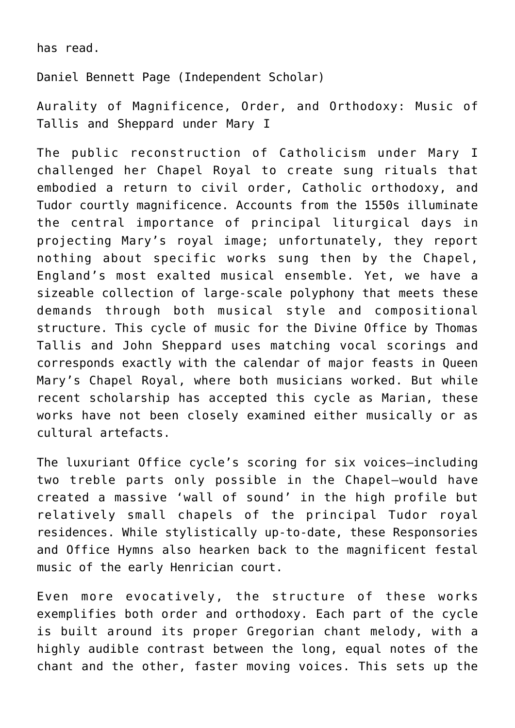has read.

Daniel Bennett Page (Independent Scholar)

Aurality of Magnificence, Order, and Orthodoxy: Music of Tallis and Sheppard under Mary I

The public reconstruction of Catholicism under Mary I challenged her Chapel Royal to create sung rituals that embodied a return to civil order, Catholic orthodoxy, and Tudor courtly magnificence. Accounts from the 1550s illuminate the central importance of principal liturgical days in projecting Mary's royal image; unfortunately, they report nothing about specific works sung then by the Chapel, England's most exalted musical ensemble. Yet, we have a sizeable collection of large-scale polyphony that meets these demands through both musical style and compositional structure. This cycle of music for the Divine Office by Thomas Tallis and John Sheppard uses matching vocal scorings and corresponds exactly with the calendar of major feasts in Queen Mary's Chapel Royal, where both musicians worked. But while recent scholarship has accepted this cycle as Marian, these works have not been closely examined either musically or as cultural artefacts.

The luxuriant Office cycle's scoring for six voices—including two treble parts only possible in the Chapel—would have created a massive 'wall of sound' in the high profile but relatively small chapels of the principal Tudor royal residences. While stylistically up-to-date, these Responsories and Office Hymns also hearken back to the magnificent festal music of the early Henrician court.

Even more evocatively, the structure of these works exemplifies both order and orthodoxy. Each part of the cycle is built around its proper Gregorian chant melody, with a highly audible contrast between the long, equal notes of the chant and the other, faster moving voices. This sets up the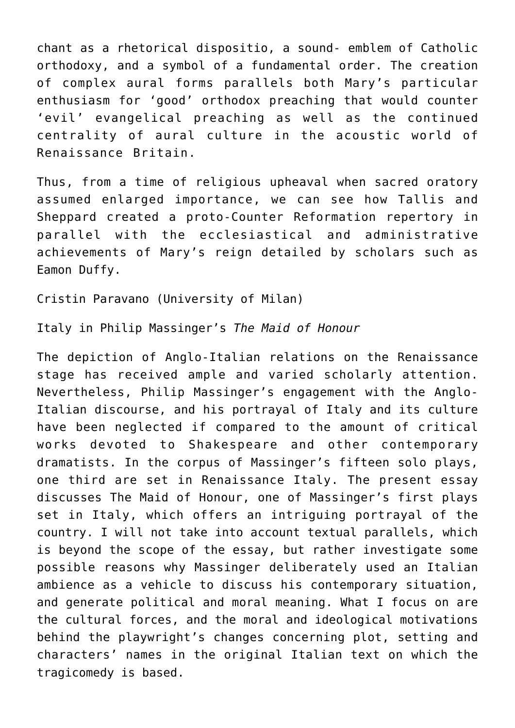chant as a rhetorical dispositio, a sound- emblem of Catholic orthodoxy, and a symbol of a fundamental order. The creation of complex aural forms parallels both Mary's particular enthusiasm for 'good' orthodox preaching that would counter 'evil' evangelical preaching as well as the continued centrality of aural culture in the acoustic world of Renaissance Britain.

Thus, from a time of religious upheaval when sacred oratory assumed enlarged importance, we can see how Tallis and Sheppard created a proto-Counter Reformation repertory in parallel with the ecclesiastical and administrative achievements of Mary's reign detailed by scholars such as Eamon Duffy.

Cristin Paravano (University of Milan)

Italy in Philip Massinger's *The Maid of Honour*

The depiction of Anglo-Italian relations on the Renaissance stage has received ample and varied scholarly attention. Nevertheless, Philip Massinger's engagement with the Anglo-Italian discourse, and his portrayal of Italy and its culture have been neglected if compared to the amount of critical works devoted to Shakespeare and other contemporary dramatists. In the corpus of Massinger's fifteen solo plays, one third are set in Renaissance Italy. The present essay discusses The Maid of Honour, one of Massinger's first plays set in Italy, which offers an intriguing portrayal of the country. I will not take into account textual parallels, which is beyond the scope of the essay, but rather investigate some possible reasons why Massinger deliberately used an Italian ambience as a vehicle to discuss his contemporary situation, and generate political and moral meaning. What I focus on are the cultural forces, and the moral and ideological motivations behind the playwright's changes concerning plot, setting and characters' names in the original Italian text on which the tragicomedy is based.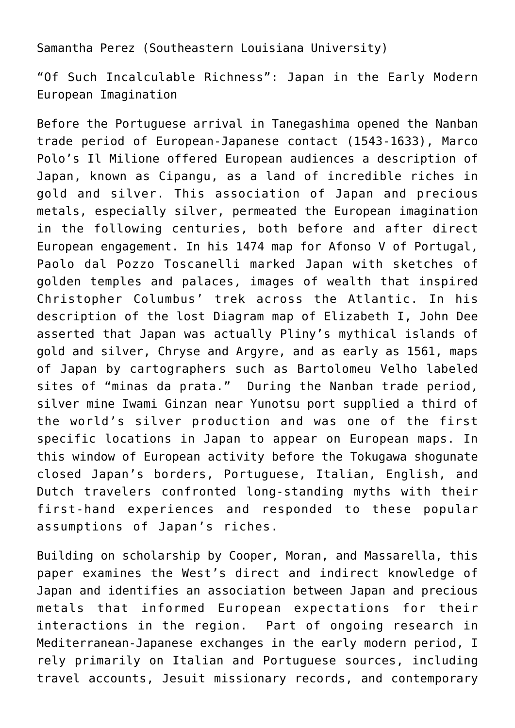Samantha Perez (Southeastern Louisiana University)

"Of Such Incalculable Richness": Japan in the Early Modern European Imagination

Before the Portuguese arrival in Tanegashima opened the Nanban trade period of European-Japanese contact (1543-1633), Marco Polo's Il Milione offered European audiences a description of Japan, known as Cipangu, as a land of incredible riches in gold and silver. This association of Japan and precious metals, especially silver, permeated the European imagination in the following centuries, both before and after direct European engagement. In his 1474 map for Afonso V of Portugal, Paolo dal Pozzo Toscanelli marked Japan with sketches of golden temples and palaces, images of wealth that inspired Christopher Columbus' trek across the Atlantic. In his description of the lost Diagram map of Elizabeth I, John Dee asserted that Japan was actually Pliny's mythical islands of gold and silver, Chryse and Argyre, and as early as 1561, maps of Japan by cartographers such as Bartolomeu Velho labeled sites of "minas da prata." During the Nanban trade period, silver mine Iwami Ginzan near Yunotsu port supplied a third of the world's silver production and was one of the first specific locations in Japan to appear on European maps. In this window of European activity before the Tokugawa shogunate closed Japan's borders, Portuguese, Italian, English, and Dutch travelers confronted long-standing myths with their first-hand experiences and responded to these popular assumptions of Japan's riches.

Building on scholarship by Cooper, Moran, and Massarella, this paper examines the West's direct and indirect knowledge of Japan and identifies an association between Japan and precious metals that informed European expectations for their interactions in the region. Part of ongoing research in Mediterranean-Japanese exchanges in the early modern period, I rely primarily on Italian and Portuguese sources, including travel accounts, Jesuit missionary records, and contemporary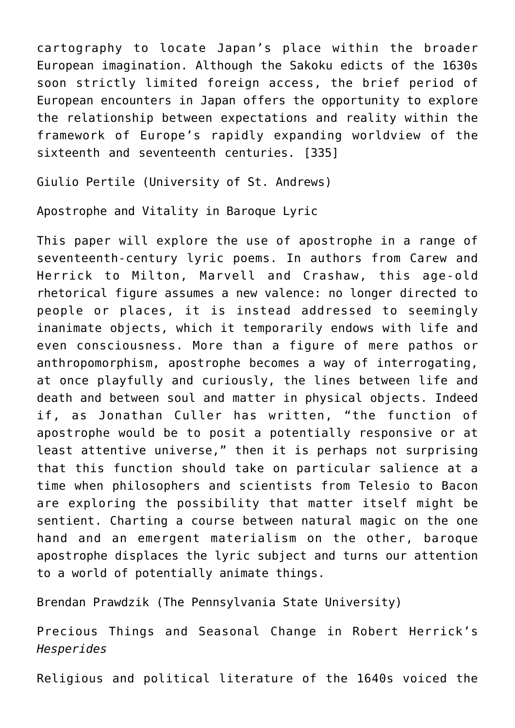cartography to locate Japan's place within the broader European imagination. Although the Sakoku edicts of the 1630s soon strictly limited foreign access, the brief period of European encounters in Japan offers the opportunity to explore the relationship between expectations and reality within the framework of Europe's rapidly expanding worldview of the sixteenth and seventeenth centuries. [335]

[Giulio Pertile \(University of St. Andrews\)](https://www.st-andrews.ac.uk/english/people/gjp4)

Apostrophe and Vitality in Baroque Lyric

This paper will explore the use of apostrophe in a range of seventeenth-century lyric poems. In authors from Carew and Herrick to Milton, Marvell and Crashaw, this age-old rhetorical figure assumes a new valence: no longer directed to people or places, it is instead addressed to seemingly inanimate objects, which it temporarily endows with life and even consciousness. More than a figure of mere pathos or anthropomorphism, apostrophe becomes a way of interrogating, at once playfully and curiously, the lines between life and death and between soul and matter in physical objects. Indeed if, as Jonathan Culler has written, "the function of apostrophe would be to posit a potentially responsive or at least attentive universe," then it is perhaps not surprising that this function should take on particular salience at a time when philosophers and scientists from Telesio to Bacon are exploring the possibility that matter itself might be sentient. Charting a course between natural magic on the one hand and an emergent materialism on the other, baroque apostrophe displaces the lyric subject and turns our attention to a world of potentially animate things.

[Brendan Prawdzik \(The Pennsylvania State University\)](http://english.la.psu.edu/faculty-staff/bmp16)

Precious Things and Seasonal Change in Robert Herrick's *Hesperides*

Religious and political literature of the 1640s voiced the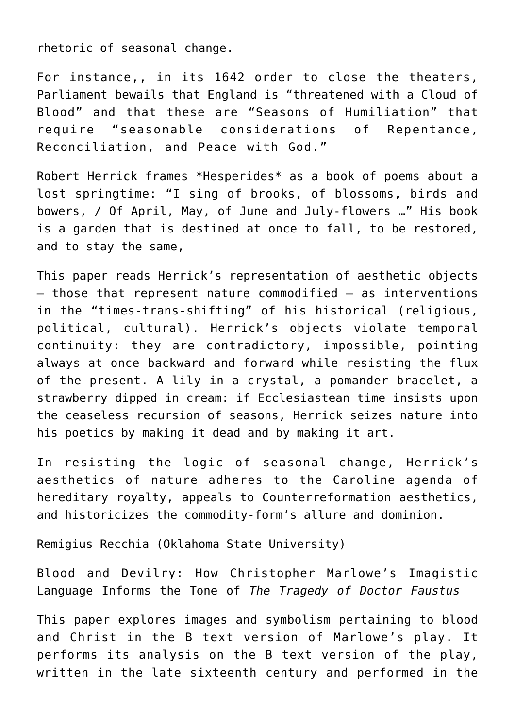rhetoric of seasonal change.

For instance,, in its 1642 order to close the theaters, Parliament bewails that England is "threatened with a Cloud of Blood" and that these are "Seasons of Humiliation" that require "seasonable considerations of Repentance, Reconciliation, and Peace with God."

Robert Herrick frames \*Hesperides\* as a book of poems about a lost springtime: "I sing of brooks, of blossoms, birds and bowers, / Of April, May, of June and July-flowers …" His book is a garden that is destined at once to fall, to be restored, and to stay the same,

This paper reads Herrick's representation of aesthetic objects — those that represent nature commodified — as interventions in the "times-trans-shifting" of his historical (religious, political, cultural). Herrick's objects violate temporal continuity: they are contradictory, impossible, pointing always at once backward and forward while resisting the flux of the present. A lily in a crystal, a pomander bracelet, a strawberry dipped in cream: if Ecclesiastean time insists upon the ceaseless recursion of seasons, Herrick seizes nature into his poetics by making it dead and by making it art.

In resisting the logic of seasonal change, Herrick's aesthetics of nature adheres to the Caroline agenda of hereditary royalty, appeals to Counterreformation aesthetics, and historicizes the commodity-form's allure and dominion.

Remigius Recchia (Oklahoma State University)

Blood and Devilry: How Christopher Marlowe's Imagistic Language Informs the Tone of *The Tragedy of Doctor Faustus*

This paper explores images and symbolism pertaining to blood and Christ in the B text version of Marlowe's play. It performs its analysis on the B text version of the play, written in the late sixteenth century and performed in the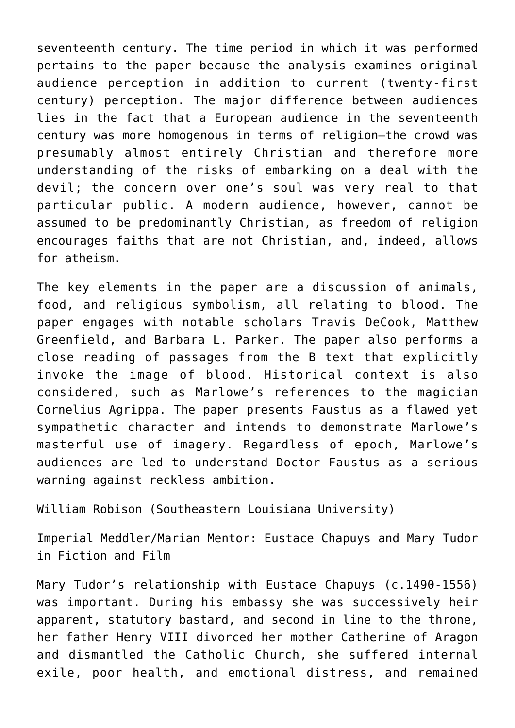seventeenth century. The time period in which it was performed pertains to the paper because the analysis examines original audience perception in addition to current (twenty-first century) perception. The major difference between audiences lies in the fact that a European audience in the seventeenth century was more homogenous in terms of religion—the crowd was presumably almost entirely Christian and therefore more understanding of the risks of embarking on a deal with the devil; the concern over one's soul was very real to that particular public. A modern audience, however, cannot be assumed to be predominantly Christian, as freedom of religion encourages faiths that are not Christian, and, indeed, allows for atheism.

The key elements in the paper are a discussion of animals, food, and religious symbolism, all relating to blood. The paper engages with notable scholars Travis DeCook, Matthew Greenfield, and Barbara L. Parker. The paper also performs a close reading of passages from the B text that explicitly invoke the image of blood. Historical context is also considered, such as Marlowe's references to the magician Cornelius Agrippa. The paper presents Faustus as a flawed yet sympathetic character and intends to demonstrate Marlowe's masterful use of imagery. Regardless of epoch, Marlowe's audiences are led to understand Doctor Faustus as a serious warning against reckless ambition.

[William Robison \(Southeastern Louisiana University\)](http://www.southeastern.edu/acad_research/depts/hist_ps/faculty/bio/robison.html)

Imperial Meddler/Marian Mentor: Eustace Chapuys and Mary Tudor in Fiction and Film

Mary Tudor's relationship with Eustace Chapuys (c.1490-1556) was important. During his embassy she was successively heir apparent, statutory bastard, and second in line to the throne, her father Henry VIII divorced her mother Catherine of Aragon and dismantled the Catholic Church, she suffered internal exile, poor health, and emotional distress, and remained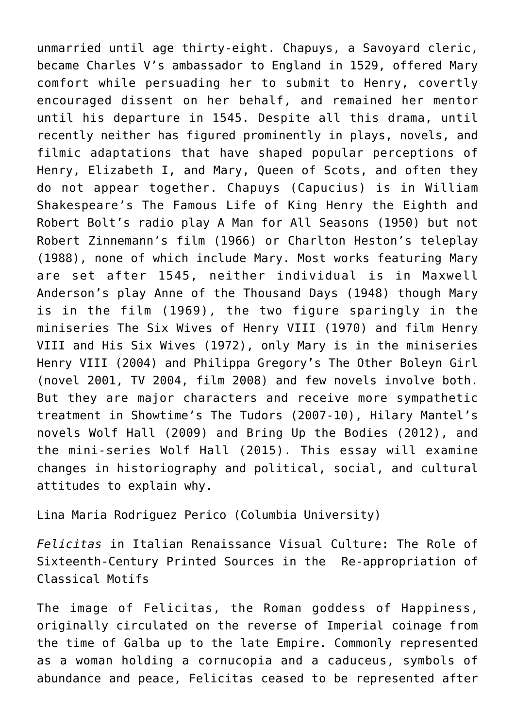unmarried until age thirty-eight. Chapuys, a Savoyard cleric, became Charles V's ambassador to England in 1529, offered Mary comfort while persuading her to submit to Henry, covertly encouraged dissent on her behalf, and remained her mentor until his departure in 1545. Despite all this drama, until recently neither has figured prominently in plays, novels, and filmic adaptations that have shaped popular perceptions of Henry, Elizabeth I, and Mary, Queen of Scots, and often they do not appear together. Chapuys (Capucius) is in William Shakespeare's The Famous Life of King Henry the Eighth and Robert Bolt's radio play A Man for All Seasons (1950) but not Robert Zinnemann's film (1966) or Charlton Heston's teleplay (1988), none of which include Mary. Most works featuring Mary are set after 1545, neither individual is in Maxwell Anderson's play Anne of the Thousand Days (1948) though Mary is in the film (1969), the two figure sparingly in the miniseries The Six Wives of Henry VIII (1970) and film Henry VIII and His Six Wives (1972), only Mary is in the miniseries Henry VIII (2004) and Philippa Gregory's The Other Boleyn Girl (novel 2001, TV 2004, film 2008) and few novels involve both. But they are major characters and receive more sympathetic treatment in Showtime's The Tudors (2007-10), Hilary Mantel's novels Wolf Hall (2009) and Bring Up the Bodies (2012), and the mini-series Wolf Hall (2015). This essay will examine changes in historiography and political, social, and cultural attitudes to explain why.

Lina Maria Rodriguez Perico (Columbia University)

*Felicitas* in Italian Renaissance Visual Culture: The Role of Sixteenth-Century Printed Sources in the Re-appropriation of Classical Motifs

The image of Felicitas, the Roman goddess of Happiness, originally circulated on the reverse of Imperial coinage from the time of Galba up to the late Empire. Commonly represented as a woman holding a cornucopia and a caduceus, symbols of abundance and peace, Felicitas ceased to be represented after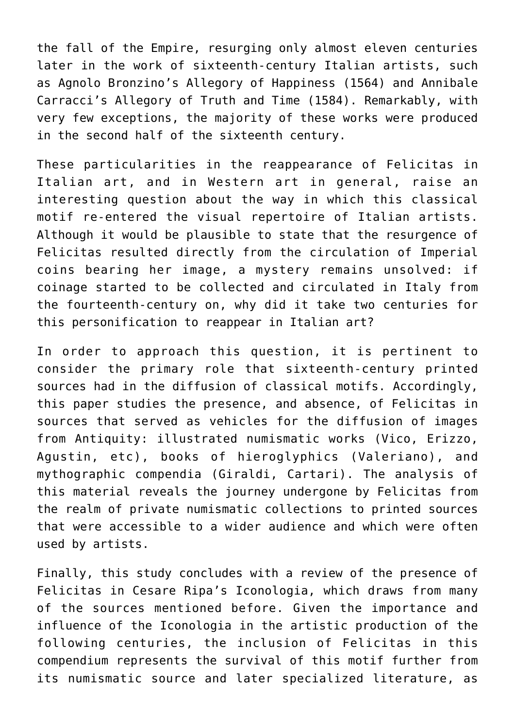the fall of the Empire, resurging only almost eleven centuries later in the work of sixteenth-century Italian artists, such as Agnolo Bronzino's Allegory of Happiness (1564) and Annibale Carracci's Allegory of Truth and Time (1584). Remarkably, with very few exceptions, the majority of these works were produced in the second half of the sixteenth century.

These particularities in the reappearance of Felicitas in Italian art, and in Western art in general, raise an interesting question about the way in which this classical motif re-entered the visual repertoire of Italian artists. Although it would be plausible to state that the resurgence of Felicitas resulted directly from the circulation of Imperial coins bearing her image, a mystery remains unsolved: if coinage started to be collected and circulated in Italy from the fourteenth-century on, why did it take two centuries for this personification to reappear in Italian art?

In order to approach this question, it is pertinent to consider the primary role that sixteenth-century printed sources had in the diffusion of classical motifs. Accordingly, this paper studies the presence, and absence, of Felicitas in sources that served as vehicles for the diffusion of images from Antiquity: illustrated numismatic works (Vico, Erizzo, Agustin, etc), books of hieroglyphics (Valeriano), and mythographic compendia (Giraldi, Cartari). The analysis of this material reveals the journey undergone by Felicitas from the realm of private numismatic collections to printed sources that were accessible to a wider audience and which were often used by artists.

Finally, this study concludes with a review of the presence of Felicitas in Cesare Ripa's Iconologia, which draws from many of the sources mentioned before. Given the importance and influence of the Iconologia in the artistic production of the following centuries, the inclusion of Felicitas in this compendium represents the survival of this motif further from its numismatic source and later specialized literature, as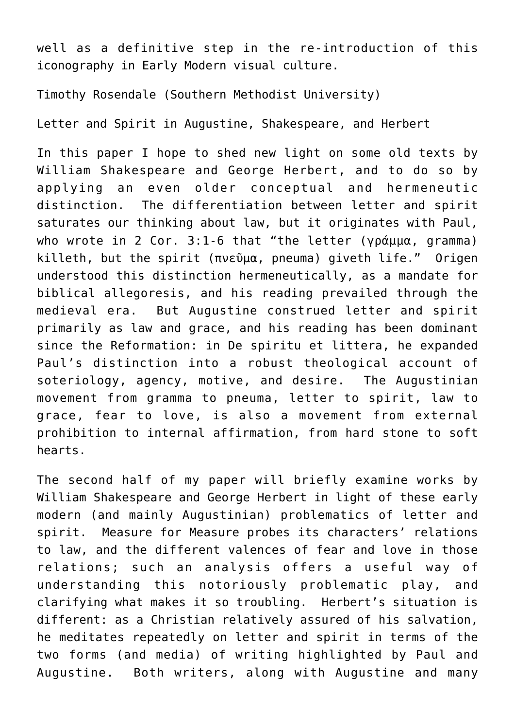well as a definitive step in the re-introduction of this iconography in Early Modern visual culture.

[Timothy Rosendale \(Southern Methodist University\)](https://www.smu.edu/Dedman/Academics/Departments/English/People/Faculty/TimothyRosendale)

Letter and Spirit in Augustine, Shakespeare, and Herbert

In this paper I hope to shed new light on some old texts by William Shakespeare and George Herbert, and to do so by applying an even older conceptual and hermeneutic distinction. The differentiation between letter and spirit saturates our thinking about law, but it originates with Paul, who wrote in 2 Cor. 3:1-6 that "the letter (γράμμα, gramma) killeth, but the spirit (πνεῦμα, pneuma) giveth life." Origen understood this distinction hermeneutically, as a mandate for biblical allegoresis, and his reading prevailed through the medieval era. But Augustine construed letter and spirit primarily as law and grace, and his reading has been dominant since the Reformation: in De spiritu et littera, he expanded Paul's distinction into a robust theological account of soteriology, agency, motive, and desire. The Augustinian movement from gramma to pneuma, letter to spirit, law to grace, fear to love, is also a movement from external prohibition to internal affirmation, from hard stone to soft hearts.

The second half of my paper will briefly examine works by William Shakespeare and George Herbert in light of these early modern (and mainly Augustinian) problematics of letter and spirit. Measure for Measure probes its characters' relations to law, and the different valences of fear and love in those relations; such an analysis offers a useful way of understanding this notoriously problematic play, and clarifying what makes it so troubling. Herbert's situation is different: as a Christian relatively assured of his salvation, he meditates repeatedly on letter and spirit in terms of the two forms (and media) of writing highlighted by Paul and Augustine. Both writers, along with Augustine and many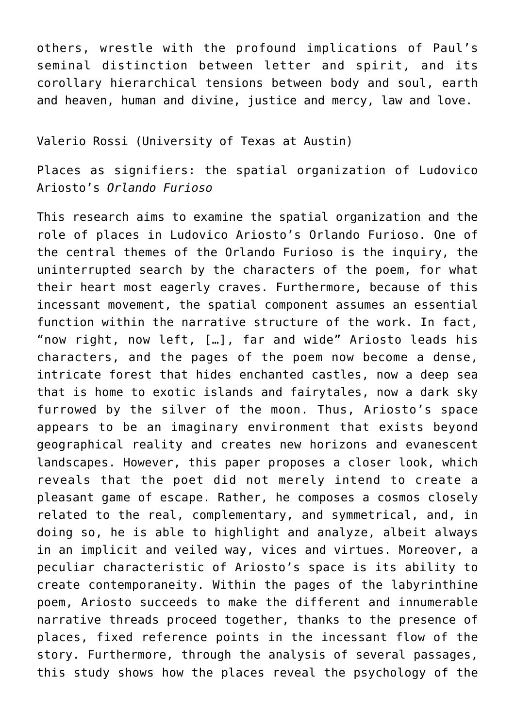others, wrestle with the profound implications of Paul's seminal distinction between letter and spirit, and its corollary hierarchical tensions between body and soul, earth and heaven, human and divine, justice and mercy, law and love.

## [Valerio Rossi \(University of Texas at Austin\)](https://liberalarts.utexas.edu/frenchitalian/graduate/GraduateStudents/profile.php?id=vr9575)

Places as signifiers: the spatial organization of Ludovico Ariosto's *Orlando Furioso*

This research aims to examine the spatial organization and the role of places in Ludovico Ariosto's Orlando Furioso. One of the central themes of the Orlando Furioso is the inquiry, the uninterrupted search by the characters of the poem, for what their heart most eagerly craves. Furthermore, because of this incessant movement, the spatial component assumes an essential function within the narrative structure of the work. In fact, "now right, now left, […], far and wide" Ariosto leads his characters, and the pages of the poem now become a dense, intricate forest that hides enchanted castles, now a deep sea that is home to exotic islands and fairytales, now a dark sky furrowed by the silver of the moon. Thus, Ariosto's space appears to be an imaginary environment that exists beyond geographical reality and creates new horizons and evanescent landscapes. However, this paper proposes a closer look, which reveals that the poet did not merely intend to create a pleasant game of escape. Rather, he composes a cosmos closely related to the real, complementary, and symmetrical, and, in doing so, he is able to highlight and analyze, albeit always in an implicit and veiled way, vices and virtues. Moreover, a peculiar characteristic of Ariosto's space is its ability to create contemporaneity. Within the pages of the labyrinthine poem, Ariosto succeeds to make the different and innumerable narrative threads proceed together, thanks to the presence of places, fixed reference points in the incessant flow of the story. Furthermore, through the analysis of several passages, this study shows how the places reveal the psychology of the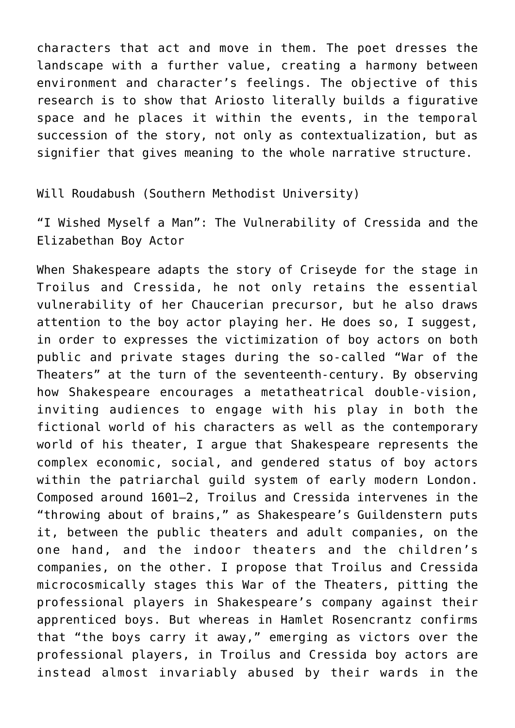characters that act and move in them. The poet dresses the landscape with a further value, creating a harmony between environment and character's feelings. The objective of this research is to show that Ariosto literally builds a figurative space and he places it within the events, in the temporal succession of the story, not only as contextualization, but as signifier that gives meaning to the whole narrative structure.

[Will Roudabush \(Southern Methodist University\)](https://www.smu.edu/Dedman/Academics/Departments/English/People/Graduate-Students/WillRoudabush)

"I Wished Myself a Man": The Vulnerability of Cressida and the Elizabethan Boy Actor

When Shakespeare adapts the story of Criseyde for the stage in Troilus and Cressida, he not only retains the essential vulnerability of her Chaucerian precursor, but he also draws attention to the boy actor playing her. He does so, I suggest, in order to expresses the victimization of boy actors on both public and private stages during the so-called "War of the Theaters" at the turn of the seventeenth-century. By observing how Shakespeare encourages a metatheatrical double-vision, inviting audiences to engage with his play in both the fictional world of his characters as well as the contemporary world of his theater, I argue that Shakespeare represents the complex economic, social, and gendered status of boy actors within the patriarchal guild system of early modern London. Composed around 1601–2, Troilus and Cressida intervenes in the "throwing about of brains," as Shakespeare's Guildenstern puts it, between the public theaters and adult companies, on the one hand, and the indoor theaters and the children's companies, on the other. I propose that Troilus and Cressida microcosmically stages this War of the Theaters, pitting the professional players in Shakespeare's company against their apprenticed boys. But whereas in Hamlet Rosencrantz confirms that "the boys carry it away," emerging as victors over the professional players, in Troilus and Cressida boy actors are instead almost invariably abused by their wards in the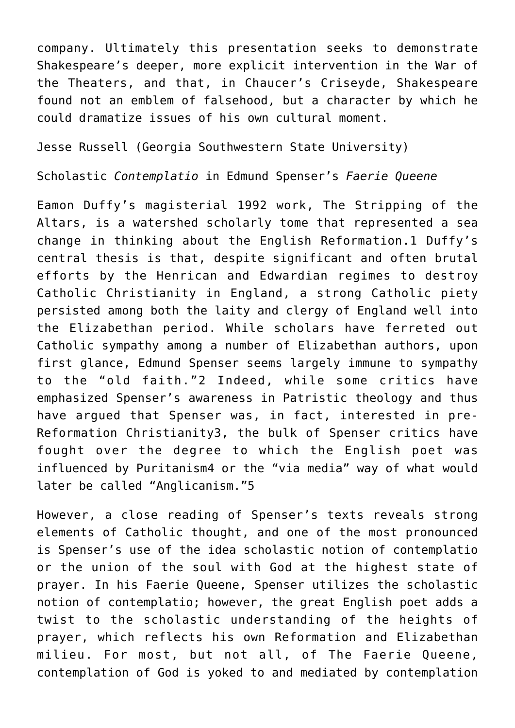company. Ultimately this presentation seeks to demonstrate Shakespeare's deeper, more explicit intervention in the War of the Theaters, and that, in Chaucer's Criseyde, Shakespeare found not an emblem of falsehood, but a character by which he could dramatize issues of his own cultural moment.

Jesse Russell (Georgia Southwestern State University)

Scholastic *Contemplatio* in Edmund Spenser's *Faerie Queene*

Eamon Duffy's magisterial 1992 work, The Stripping of the Altars, is a watershed scholarly tome that represented a sea change in thinking about the English Reformation.1 Duffy's central thesis is that, despite significant and often brutal efforts by the Henrican and Edwardian regimes to destroy Catholic Christianity in England, a strong Catholic piety persisted among both the laity and clergy of England well into the Elizabethan period. While scholars have ferreted out Catholic sympathy among a number of Elizabethan authors, upon first glance, Edmund Spenser seems largely immune to sympathy to the "old faith."2 Indeed, while some critics have emphasized Spenser's awareness in Patristic theology and thus have argued that Spenser was, in fact, interested in pre-Reformation Christianity3, the bulk of Spenser critics have fought over the degree to which the English poet was influenced by Puritanism4 or the "via media" way of what would later be called "Anglicanism."5

However, a close reading of Spenser's texts reveals strong elements of Catholic thought, and one of the most pronounced is Spenser's use of the idea scholastic notion of contemplatio or the union of the soul with God at the highest state of prayer. In his Faerie Queene, Spenser utilizes the scholastic notion of contemplatio; however, the great English poet adds a twist to the scholastic understanding of the heights of prayer, which reflects his own Reformation and Elizabethan milieu. For most, but not all, of The Faerie Queene, contemplation of God is yoked to and mediated by contemplation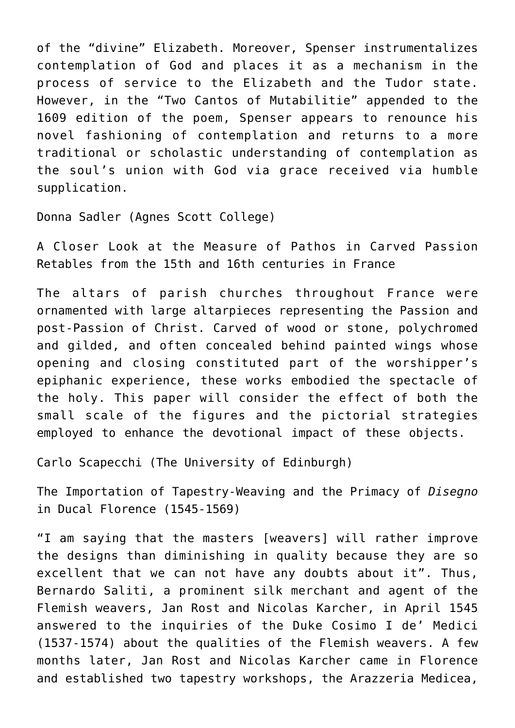of the "divine" Elizabeth. Moreover, Spenser instrumentalizes contemplation of God and places it as a mechanism in the process of service to the Elizabeth and the Tudor state. However, in the "Two Cantos of Mutabilitie" appended to the 1609 edition of the poem, Spenser appears to renounce his novel fashioning of contemplation and returns to a more traditional or scholastic understanding of contemplation as the soul's union with God via grace received via humble supplication.

[Donna Sadler \(Agnes Scott College\)](https://www.agnesscott.edu/emeriti-faculty/donna-l.-sadler.html)

A Closer Look at the Measure of Pathos in Carved Passion Retables from the 15th and 16th centuries in France

The altars of parish churches throughout France were ornamented with large altarpieces representing the Passion and post-Passion of Christ. Carved of wood or stone, polychromed and gilded, and often concealed behind painted wings whose opening and closing constituted part of the worshipper's epiphanic experience, these works embodied the spectacle of the holy. This paper will consider the effect of both the small scale of the figures and the pictorial strategies employed to enhance the devotional impact of these objects.

Carlo Scapecchi (The University of Edinburgh)

The Importation of Tapestry-Weaving and the Primacy of *Disegno* in Ducal Florence (1545-1569)

"I am saying that the masters [weavers] will rather improve the designs than diminishing in quality because they are so excellent that we can not have any doubts about it". Thus, Bernardo Saliti, a prominent silk merchant and agent of the Flemish weavers, Jan Rost and Nicolas Karcher, in April 1545 answered to the inquiries of the Duke Cosimo I de' Medici (1537-1574) about the qualities of the Flemish weavers. A few months later, Jan Rost and Nicolas Karcher came in Florence and established two tapestry workshops, the Arazzeria Medicea,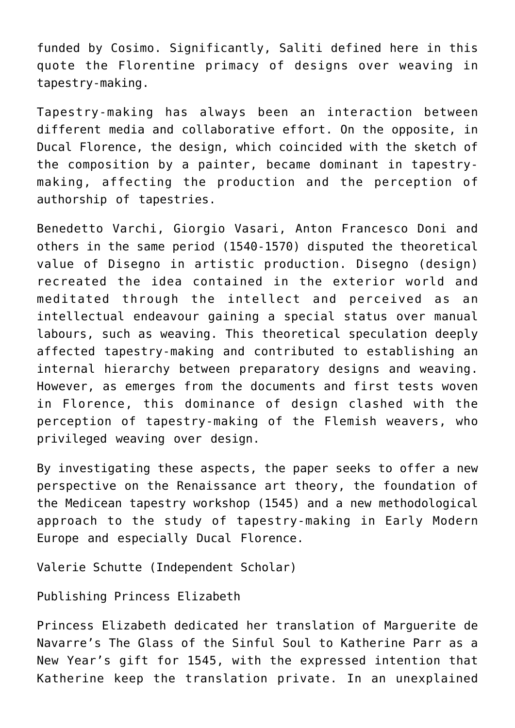funded by Cosimo. Significantly, Saliti defined here in this quote the Florentine primacy of designs over weaving in tapestry-making.

Tapestry-making has always been an interaction between different media and collaborative effort. On the opposite, in Ducal Florence, the design, which coincided with the sketch of the composition by a painter, became dominant in tapestrymaking, affecting the production and the perception of authorship of tapestries.

Benedetto Varchi, Giorgio Vasari, Anton Francesco Doni and others in the same period (1540-1570) disputed the theoretical value of Disegno in artistic production. Disegno (design) recreated the idea contained in the exterior world and meditated through the intellect and perceived as an intellectual endeavour gaining a special status over manual labours, such as weaving. This theoretical speculation deeply affected tapestry-making and contributed to establishing an internal hierarchy between preparatory designs and weaving. However, as emerges from the documents and first tests woven in Florence, this dominance of design clashed with the perception of tapestry-making of the Flemish weavers, who privileged weaving over design.

By investigating these aspects, the paper seeks to offer a new perspective on the Renaissance art theory, the foundation of the Medicean tapestry workshop (1545) and a new methodological approach to the study of tapestry-making in Early Modern Europe and especially Ducal Florence.

Valerie Schutte (Independent Scholar)

Publishing Princess Elizabeth

Princess Elizabeth dedicated her translation of Marguerite de Navarre's The Glass of the Sinful Soul to Katherine Parr as a New Year's gift for 1545, with the expressed intention that Katherine keep the translation private. In an unexplained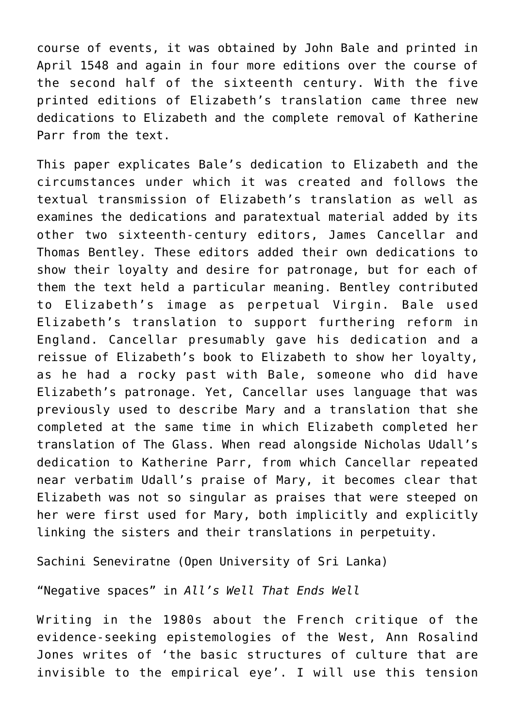course of events, it was obtained by John Bale and printed in April 1548 and again in four more editions over the course of the second half of the sixteenth century. With the five printed editions of Elizabeth's translation came three new dedications to Elizabeth and the complete removal of Katherine Parr from the text.

This paper explicates Bale's dedication to Elizabeth and the circumstances under which it was created and follows the textual transmission of Elizabeth's translation as well as examines the dedications and paratextual material added by its other two sixteenth-century editors, James Cancellar and Thomas Bentley. These editors added their own dedications to show their loyalty and desire for patronage, but for each of them the text held a particular meaning. Bentley contributed to Elizabeth's image as perpetual Virgin. Bale used Elizabeth's translation to support furthering reform in England. Cancellar presumably gave his dedication and a reissue of Elizabeth's book to Elizabeth to show her loyalty, as he had a rocky past with Bale, someone who did have Elizabeth's patronage. Yet, Cancellar uses language that was previously used to describe Mary and a translation that she completed at the same time in which Elizabeth completed her translation of The Glass. When read alongside Nicholas Udall's dedication to Katherine Parr, from which Cancellar repeated near verbatim Udall's praise of Mary, it becomes clear that Elizabeth was not so singular as praises that were steeped on her were first used for Mary, both implicitly and explicitly linking the sisters and their translations in perpetuity.

Sachini Seneviratne (Open University of Sri Lanka)

"Negative spaces" in *All's Well That Ends Well*

Writing in the 1980s about the French critique of the evidence-seeking epistemologies of the West, Ann Rosalind Jones writes of 'the basic structures of culture that are invisible to the empirical eye'. I will use this tension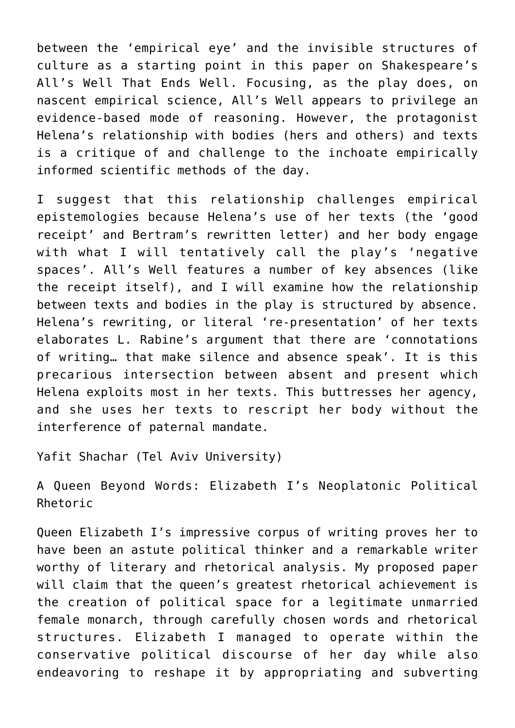between the 'empirical eye' and the invisible structures of culture as a starting point in this paper on Shakespeare's All's Well That Ends Well. Focusing, as the play does, on nascent empirical science, All's Well appears to privilege an evidence-based mode of reasoning. However, the protagonist Helena's relationship with bodies (hers and others) and texts is a critique of and challenge to the inchoate empirically informed scientific methods of the day.

I suggest that this relationship challenges empirical epistemologies because Helena's use of her texts (the 'good receipt' and Bertram's rewritten letter) and her body engage with what I will tentatively call the play's 'negative spaces'. All's Well features a number of key absences (like the receipt itself), and I will examine how the relationship between texts and bodies in the play is structured by absence. Helena's rewriting, or literal 're-presentation' of her texts elaborates L. Rabine's argument that there are 'connotations of writing… that make silence and absence speak'. It is this precarious intersection between absent and present which Helena exploits most in her texts. This buttresses her agency, and she uses her texts to rescript her body without the interference of paternal mandate.

Yafit Shachar (Tel Aviv University)

A Queen Beyond Words: Elizabeth I's Neoplatonic Political Rhetoric

Queen Elizabeth I's impressive corpus of writing proves her to have been an astute political thinker and a remarkable writer worthy of literary and rhetorical analysis. My proposed paper will claim that the queen's greatest rhetorical achievement is the creation of political space for a legitimate unmarried female monarch, through carefully chosen words and rhetorical structures. Elizabeth I managed to operate within the conservative political discourse of her day while also endeavoring to reshape it by appropriating and subverting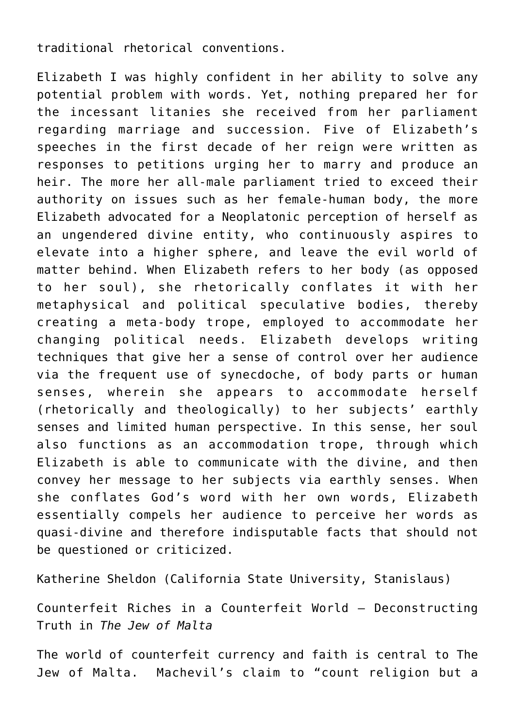traditional rhetorical conventions.

Elizabeth I was highly confident in her ability to solve any potential problem with words. Yet, nothing prepared her for the incessant litanies she received from her parliament regarding marriage and succession. Five of Elizabeth's speeches in the first decade of her reign were written as responses to petitions urging her to marry and produce an heir. The more her all-male parliament tried to exceed their authority on issues such as her female-human body, the more Elizabeth advocated for a Neoplatonic perception of herself as an ungendered divine entity, who continuously aspires to elevate into a higher sphere, and leave the evil world of matter behind. When Elizabeth refers to her body (as opposed to her soul), she rhetorically conflates it with her metaphysical and political speculative bodies, thereby creating a meta-body trope, employed to accommodate her changing political needs. Elizabeth develops writing techniques that give her a sense of control over her audience via the frequent use of synecdoche, of body parts or human senses, wherein she appears to accommodate herself (rhetorically and theologically) to her subjects' earthly senses and limited human perspective. In this sense, her soul also functions as an accommodation trope, through which Elizabeth is able to communicate with the divine, and then convey her message to her subjects via earthly senses. When she conflates God's word with her own words, Elizabeth essentially compels her audience to perceive her words as quasi-divine and therefore indisputable facts that should not be questioned or criticized.

Katherine Sheldon (California State University, Stanislaus)

Counterfeit Riches in a Counterfeit World – Deconstructing Truth in *The Jew of Malta*

The world of counterfeit currency and faith is central to The Jew of Malta. Machevil's claim to "count religion but a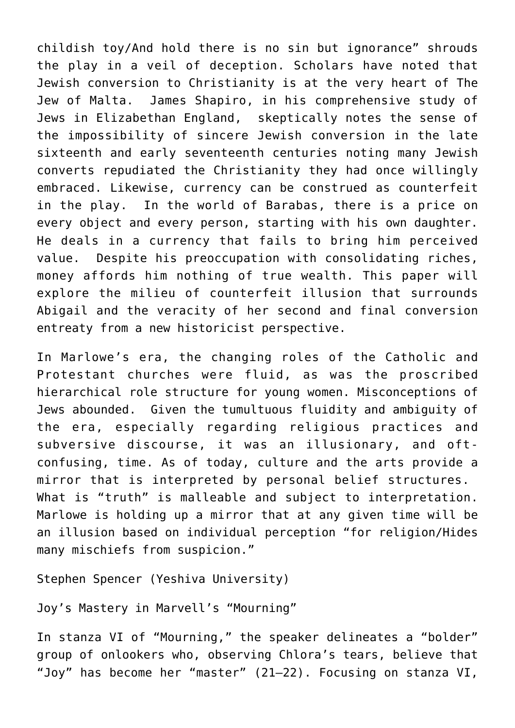childish toy/And hold there is no sin but ignorance" shrouds the play in a veil of deception. Scholars have noted that Jewish conversion to Christianity is at the very heart of The Jew of Malta. James Shapiro, in his comprehensive study of Jews in Elizabethan England, skeptically notes the sense of the impossibility of sincere Jewish conversion in the late sixteenth and early seventeenth centuries noting many Jewish converts repudiated the Christianity they had once willingly embraced. Likewise, currency can be construed as counterfeit in the play. In the world of Barabas, there is a price on every object and every person, starting with his own daughter. He deals in a currency that fails to bring him perceived value. Despite his preoccupation with consolidating riches, money affords him nothing of true wealth. This paper will explore the milieu of counterfeit illusion that surrounds Abigail and the veracity of her second and final conversion entreaty from a new historicist perspective.

In Marlowe's era, the changing roles of the Catholic and Protestant churches were fluid, as was the proscribed hierarchical role structure for young women. Misconceptions of Jews abounded. Given the tumultuous fluidity and ambiguity of the era, especially regarding religious practices and subversive discourse, it was an illusionary, and oftconfusing, time. As of today, culture and the arts provide a mirror that is interpreted by personal belief structures. What is "truth" is malleable and subject to interpretation. Marlowe is holding up a mirror that at any given time will be an illusion based on individual perception "for religion/Hides many mischiefs from suspicion."

Stephen Spencer (Yeshiva University)

Joy's Mastery in Marvell's "Mourning"

In stanza VI of "Mourning," the speaker delineates a "bolder" group of onlookers who, observing Chlora's tears, believe that "Joy" has become her "master" (21–22). Focusing on stanza VI,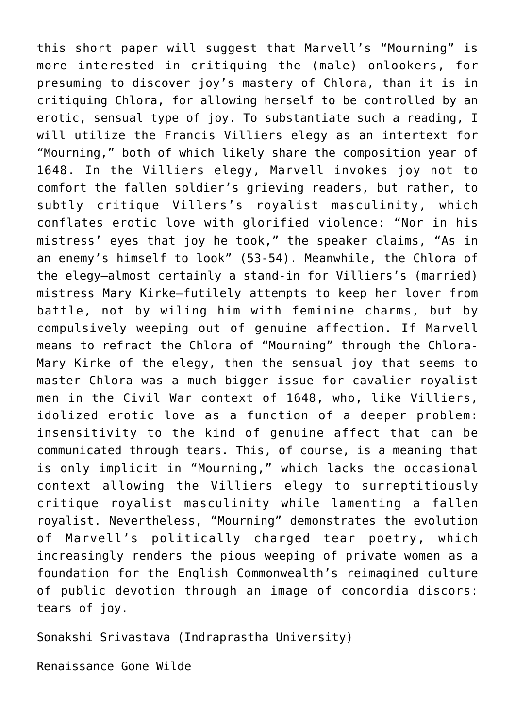this short paper will suggest that Marvell's "Mourning" is more interested in critiquing the (male) onlookers, for presuming to discover joy's mastery of Chlora, than it is in critiquing Chlora, for allowing herself to be controlled by an erotic, sensual type of joy. To substantiate such a reading, I will utilize the Francis Villiers elegy as an intertext for "Mourning," both of which likely share the composition year of 1648. In the Villiers elegy, Marvell invokes joy not to comfort the fallen soldier's grieving readers, but rather, to subtly critique Villers's royalist masculinity, which conflates erotic love with glorified violence: "Nor in his mistress' eyes that joy he took," the speaker claims, "As in an enemy's himself to look" (53-54). Meanwhile, the Chlora of the elegy—almost certainly a stand-in for Villiers's (married) mistress Mary Kirke—futilely attempts to keep her lover from battle, not by wiling him with feminine charms, but by compulsively weeping out of genuine affection. If Marvell means to refract the Chlora of "Mourning" through the Chlora-Mary Kirke of the elegy, then the sensual joy that seems to master Chlora was a much bigger issue for cavalier royalist men in the Civil War context of 1648, who, like Villiers, idolized erotic love as a function of a deeper problem: insensitivity to the kind of genuine affect that can be communicated through tears. This, of course, is a meaning that is only implicit in "Mourning," which lacks the occasional context allowing the Villiers elegy to surreptitiously critique royalist masculinity while lamenting a fallen royalist. Nevertheless, "Mourning" demonstrates the evolution of Marvell's politically charged tear poetry, which increasingly renders the pious weeping of private women as a foundation for the English Commonwealth's reimagined culture of public devotion through an image of concordia discors: tears of joy.

Sonakshi Srivastava (Indraprastha University)

Renaissance Gone Wilde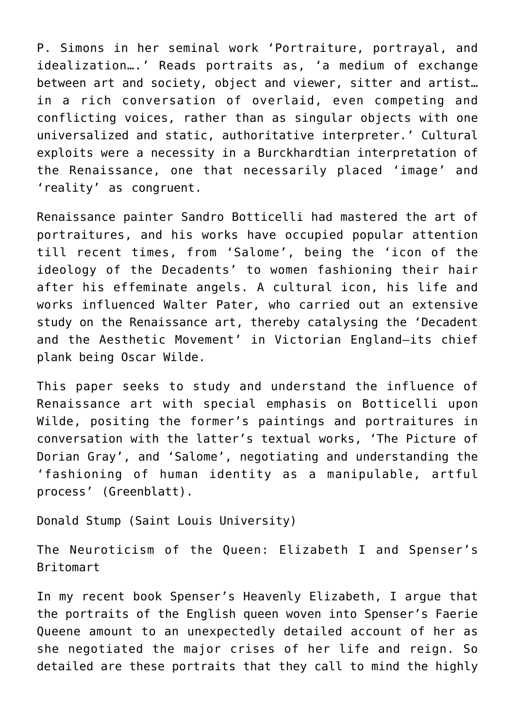P. Simons in her seminal work 'Portraiture, portrayal, and idealization….' Reads portraits as, 'a medium of exchange between art and society, object and viewer, sitter and artist… in a rich conversation of overlaid, even competing and conflicting voices, rather than as singular objects with one universalized and static, authoritative interpreter.' Cultural exploits were a necessity in a Burckhardtian interpretation of the Renaissance, one that necessarily placed 'image' and 'reality' as congruent.

Renaissance painter Sandro Botticelli had mastered the art of portraitures, and his works have occupied popular attention till recent times, from 'Salome', being the 'icon of the ideology of the Decadents' to women fashioning their hair after his effeminate angels. A cultural icon, his life and works influenced Walter Pater, who carried out an extensive study on the Renaissance art, thereby catalysing the 'Decadent and the Aesthetic Movement' in Victorian England–its chief plank being Oscar Wilde.

This paper seeks to study and understand the influence of Renaissance art with special emphasis on Botticelli upon Wilde, positing the former's paintings and portraitures in conversation with the latter's textual works, 'The Picture of Dorian Gray', and 'Salome', negotiating and understanding the 'fashioning of human identity as a manipulable, artful process' (Greenblatt).

[Donald Stump \(Saint Louis University\)](https://www.slu.edu/arts-and-sciences/english/faculty/donald-stump.php)

The Neuroticism of the Queen: Elizabeth I and Spenser's Britomart

In my recent book Spenser's Heavenly Elizabeth, I argue that the portraits of the English queen woven into Spenser's Faerie Queene amount to an unexpectedly detailed account of her as she negotiated the major crises of her life and reign. So detailed are these portraits that they call to mind the highly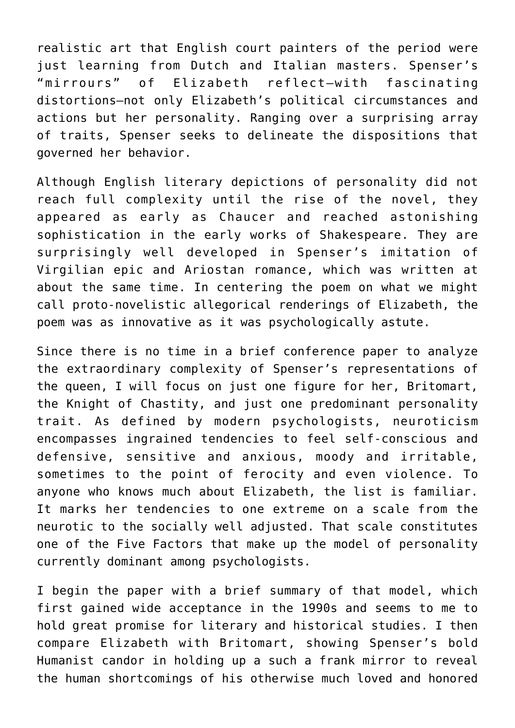realistic art that English court painters of the period were just learning from Dutch and Italian masters. Spenser's "mirrours" of Elizabeth reflect–with fascinating distortions–not only Elizabeth's political circumstances and actions but her personality. Ranging over a surprising array of traits, Spenser seeks to delineate the dispositions that governed her behavior.

Although English literary depictions of personality did not reach full complexity until the rise of the novel, they appeared as early as Chaucer and reached astonishing sophistication in the early works of Shakespeare. They are surprisingly well developed in Spenser's imitation of Virgilian epic and Ariostan romance, which was written at about the same time. In centering the poem on what we might call proto-novelistic allegorical renderings of Elizabeth, the poem was as innovative as it was psychologically astute.

Since there is no time in a brief conference paper to analyze the extraordinary complexity of Spenser's representations of the queen, I will focus on just one figure for her, Britomart, the Knight of Chastity, and just one predominant personality trait. As defined by modern psychologists, neuroticism encompasses ingrained tendencies to feel self-conscious and defensive, sensitive and anxious, moody and irritable, sometimes to the point of ferocity and even violence. To anyone who knows much about Elizabeth, the list is familiar. It marks her tendencies to one extreme on a scale from the neurotic to the socially well adjusted. That scale constitutes one of the Five Factors that make up the model of personality currently dominant among psychologists.

I begin the paper with a brief summary of that model, which first gained wide acceptance in the 1990s and seems to me to hold great promise for literary and historical studies. I then compare Elizabeth with Britomart, showing Spenser's bold Humanist candor in holding up a such a frank mirror to reveal the human shortcomings of his otherwise much loved and honored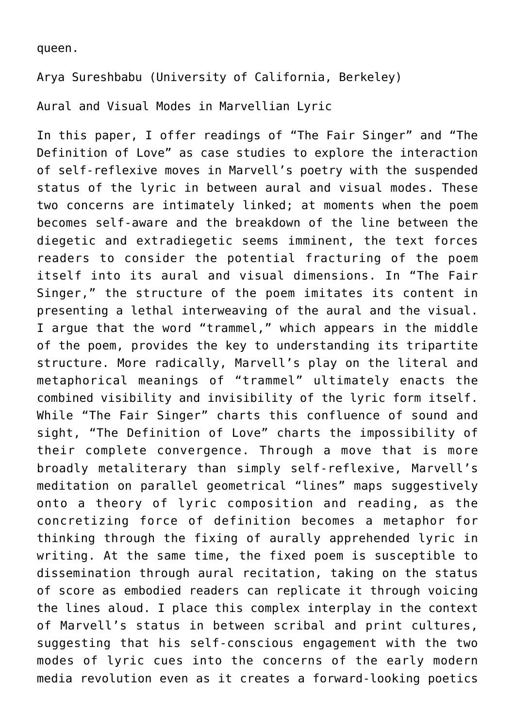queen.

[Arya Sureshbabu \(University of California, Berkeley\)](https://english.berkeley.edu/users/505)

Aural and Visual Modes in Marvellian Lyric

In this paper, I offer readings of "The Fair Singer" and "The Definition of Love" as case studies to explore the interaction of self-reflexive moves in Marvell's poetry with the suspended status of the lyric in between aural and visual modes. These two concerns are intimately linked; at moments when the poem becomes self-aware and the breakdown of the line between the diegetic and extradiegetic seems imminent, the text forces readers to consider the potential fracturing of the poem itself into its aural and visual dimensions. In "The Fair Singer," the structure of the poem imitates its content in presenting a lethal interweaving of the aural and the visual. I argue that the word "trammel," which appears in the middle of the poem, provides the key to understanding its tripartite structure. More radically, Marvell's play on the literal and metaphorical meanings of "trammel" ultimately enacts the combined visibility and invisibility of the lyric form itself. While "The Fair Singer" charts this confluence of sound and sight, "The Definition of Love" charts the impossibility of their complete convergence. Through a move that is more broadly metaliterary than simply self-reflexive, Marvell's meditation on parallel geometrical "lines" maps suggestively onto a theory of lyric composition and reading, as the concretizing force of definition becomes a metaphor for thinking through the fixing of aurally apprehended lyric in writing. At the same time, the fixed poem is susceptible to dissemination through aural recitation, taking on the status of score as embodied readers can replicate it through voicing the lines aloud. I place this complex interplay in the context of Marvell's status in between scribal and print cultures, suggesting that his self-conscious engagement with the two modes of lyric cues into the concerns of the early modern media revolution even as it creates a forward-looking poetics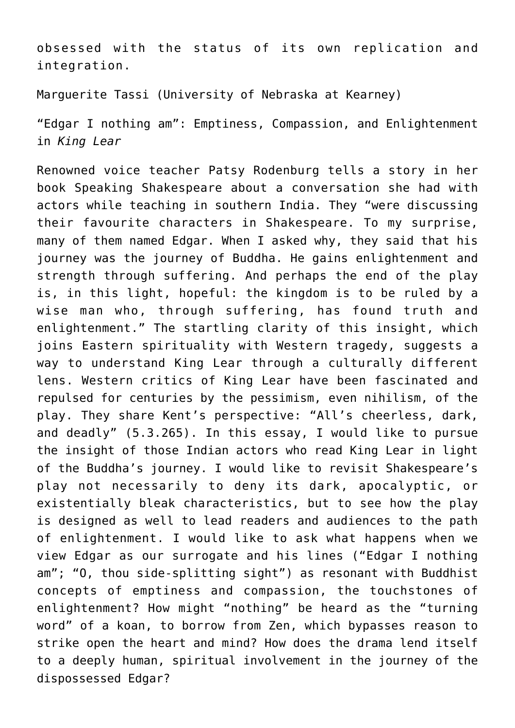obsessed with the status of its own replication and integration.

[Marguerite Tassi \(University of Nebraska at Kearney\)](https://www.unk.edu/academics/english/facultystaff/marguerite_tassi.php)

"Edgar I nothing am": Emptiness, Compassion, and Enlightenment in *King Lear*

Renowned voice teacher Patsy Rodenburg tells a story in her book Speaking Shakespeare about a conversation she had with actors while teaching in southern India. They "were discussing their favourite characters in Shakespeare. To my surprise, many of them named Edgar. When I asked why, they said that his journey was the journey of Buddha. He gains enlightenment and strength through suffering. And perhaps the end of the play is, in this light, hopeful: the kingdom is to be ruled by a wise man who, through suffering, has found truth and enlightenment." The startling clarity of this insight, which joins Eastern spirituality with Western tragedy, suggests a way to understand King Lear through a culturally different lens. Western critics of King Lear have been fascinated and repulsed for centuries by the pessimism, even nihilism, of the play. They share Kent's perspective: "All's cheerless, dark, and deadly" (5.3.265). In this essay, I would like to pursue the insight of those Indian actors who read King Lear in light of the Buddha's journey. I would like to revisit Shakespeare's play not necessarily to deny its dark, apocalyptic, or existentially bleak characteristics, but to see how the play is designed as well to lead readers and audiences to the path of enlightenment. I would like to ask what happens when we view Edgar as our surrogate and his lines ("Edgar I nothing am"; "O, thou side-splitting sight") as resonant with Buddhist concepts of emptiness and compassion, the touchstones of enlightenment? How might "nothing" be heard as the "turning word" of a koan, to borrow from Zen, which bypasses reason to strike open the heart and mind? How does the drama lend itself to a deeply human, spiritual involvement in the journey of the dispossessed Edgar?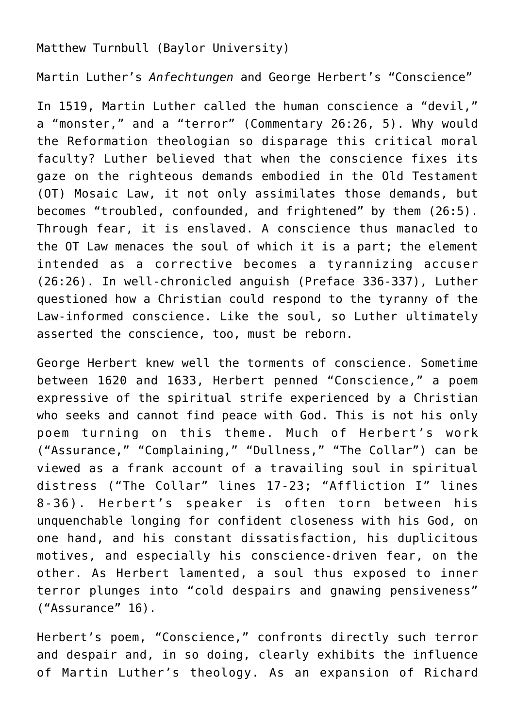## Matthew Turnbull (Baylor University)

Martin Luther's *Anfechtungen* and George Herbert's "Conscience"

In 1519, Martin Luther called the human conscience a "devil," a "monster," and a "terror" (Commentary 26:26, 5). Why would the Reformation theologian so disparage this critical moral faculty? Luther believed that when the conscience fixes its gaze on the righteous demands embodied in the Old Testament (OT) Mosaic Law, it not only assimilates those demands, but becomes "troubled, confounded, and frightened" by them (26:5). Through fear, it is enslaved. A conscience thus manacled to the OT Law menaces the soul of which it is a part; the element intended as a corrective becomes a tyrannizing accuser (26:26). In well-chronicled anguish (Preface 336-337), Luther questioned how a Christian could respond to the tyranny of the Law-informed conscience. Like the soul, so Luther ultimately asserted the conscience, too, must be reborn.

George Herbert knew well the torments of conscience. Sometime between 1620 and 1633, Herbert penned "Conscience," a poem expressive of the spiritual strife experienced by a Christian who seeks and cannot find peace with God. This is not his only poem turning on this theme. Much of Herbert's work ("Assurance," "Complaining," "Dullness," "The Collar") can be viewed as a frank account of a travailing soul in spiritual distress ("The Collar" lines 17-23; "Affliction I" lines 8-36). Herbert's speaker is often torn between his unquenchable longing for confident closeness with his God, on one hand, and his constant dissatisfaction, his duplicitous motives, and especially his conscience-driven fear, on the other. As Herbert lamented, a soul thus exposed to inner terror plunges into "cold despairs and gnawing pensiveness" ("Assurance" 16).

Herbert's poem, "Conscience," confronts directly such terror and despair and, in so doing, clearly exhibits the influence of Martin Luther's theology. As an expansion of Richard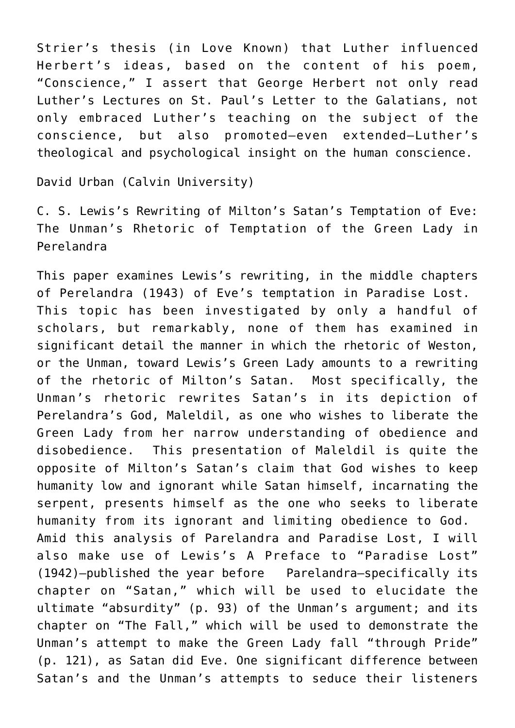Strier's thesis (in Love Known) that Luther influenced Herbert's ideas, based on the content of his poem, "Conscience," I assert that George Herbert not only read Luther's Lectures on St. Paul's Letter to the Galatians, not only embraced Luther's teaching on the subject of the conscience, but also promoted—even extended—Luther's theological and psychological insight on the human conscience.

[David Urban \(Calvin University\)](https://calvin.edu/directory/people/david-urban)

C. S. Lewis's Rewriting of Milton's Satan's Temptation of Eve: The Unman's Rhetoric of Temptation of the Green Lady in Perelandra

This paper examines Lewis's rewriting, in the middle chapters of Perelandra (1943) of Eve's temptation in Paradise Lost. This topic has been investigated by only a handful of scholars, but remarkably, none of them has examined in significant detail the manner in which the rhetoric of Weston, or the Unman, toward Lewis's Green Lady amounts to a rewriting of the rhetoric of Milton's Satan. Most specifically, the Unman's rhetoric rewrites Satan's in its depiction of Perelandra's God, Maleldil, as one who wishes to liberate the Green Lady from her narrow understanding of obedience and disobedience. This presentation of Maleldil is quite the opposite of Milton's Satan's claim that God wishes to keep humanity low and ignorant while Satan himself, incarnating the serpent, presents himself as the one who seeks to liberate humanity from its ignorant and limiting obedience to God. Amid this analysis of Parelandra and Paradise Lost, I will also make use of Lewis's A Preface to "Paradise Lost" (1942)—published the year before Parelandra—specifically its chapter on "Satan," which will be used to elucidate the ultimate "absurdity" (p. 93) of the Unman's argument; and its chapter on "The Fall," which will be used to demonstrate the Unman's attempt to make the Green Lady fall "through Pride" (p. 121), as Satan did Eve. One significant difference between Satan's and the Unman's attempts to seduce their listeners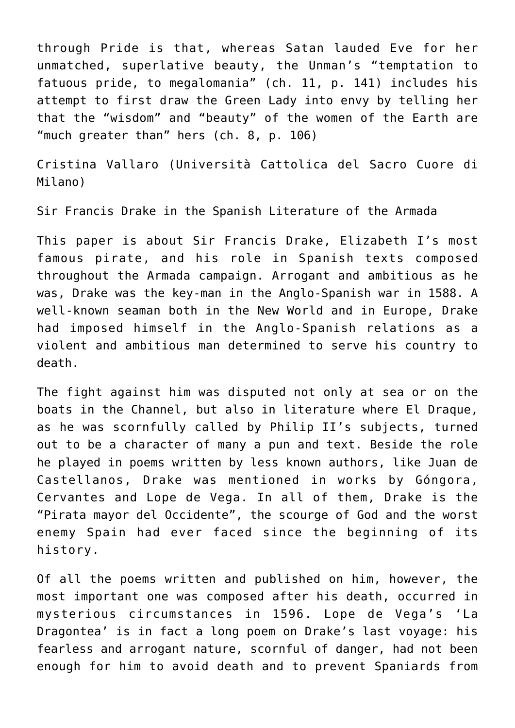through Pride is that, whereas Satan lauded Eve for her unmatched, superlative beauty, the Unman's "temptation to fatuous pride, to megalomania" (ch. 11, p. 141) includes his attempt to first draw the Green Lady into envy by telling her that the "wisdom" and "beauty" of the women of the Earth are "much greater than" hers (ch. 8, p. 106)

[Cristina Vallaro \(Università Cattolica del Sacro Cuore di](https://docenti.unicatt.it/ppd2/it/docenti/13101/cristina-vallaro) [Milano\)](https://docenti.unicatt.it/ppd2/it/docenti/13101/cristina-vallaro)

Sir Francis Drake in the Spanish Literature of the Armada

This paper is about Sir Francis Drake, Elizabeth I's most famous pirate, and his role in Spanish texts composed throughout the Armada campaign. Arrogant and ambitious as he was, Drake was the key-man in the Anglo-Spanish war in 1588. A well-known seaman both in the New World and in Europe, Drake had imposed himself in the Anglo-Spanish relations as a violent and ambitious man determined to serve his country to death.

The fight against him was disputed not only at sea or on the boats in the Channel, but also in literature where El Draque, as he was scornfully called by Philip II's subjects, turned out to be a character of many a pun and text. Beside the role he played in poems written by less known authors, like Juan de Castellanos, Drake was mentioned in works by Góngora, Cervantes and Lope de Vega. In all of them, Drake is the "Pirata mayor del Occidente", the scourge of God and the worst enemy Spain had ever faced since the beginning of its history.

Of all the poems written and published on him, however, the most important one was composed after his death, occurred in mysterious circumstances in 1596. Lope de Vega's 'La Dragontea' is in fact a long poem on Drake's last voyage: his fearless and arrogant nature, scornful of danger, had not been enough for him to avoid death and to prevent Spaniards from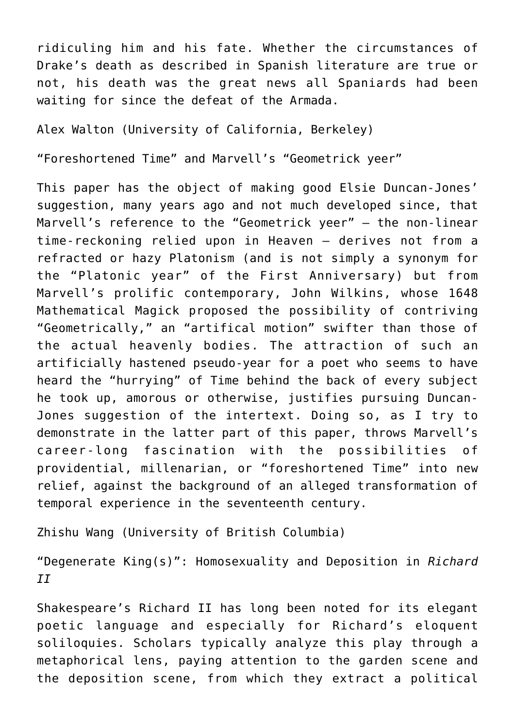ridiculing him and his fate. Whether the circumstances of Drake's death as described in Spanish literature are true or not, his death was the great news all Spaniards had been waiting for since the defeat of the Armada.

[Alex Walton \(University of California, Berkeley\)](https://english.berkeley.edu/users/438)

"Foreshortened Time" and Marvell's "Geometrick yeer"

This paper has the object of making good Elsie Duncan-Jones' suggestion, many years ago and not much developed since, that Marvell's reference to the "Geometrick yeer" – the non-linear time-reckoning relied upon in Heaven – derives not from a refracted or hazy Platonism (and is not simply a synonym for the "Platonic year" of the First Anniversary) but from Marvell's prolific contemporary, John Wilkins, whose 1648 Mathematical Magick proposed the possibility of contriving "Geometrically," an "artifical motion" swifter than those of the actual heavenly bodies. The attraction of such an artificially hastened pseudo-year for a poet who seems to have heard the "hurrying" of Time behind the back of every subject he took up, amorous or otherwise, justifies pursuing Duncan-Jones suggestion of the intertext. Doing so, as I try to demonstrate in the latter part of this paper, throws Marvell's career-long fascination with the possibilities of providential, millenarian, or "foreshortened Time" into new relief, against the background of an alleged transformation of temporal experience in the seventeenth century.

Zhishu Wang (University of British Columbia)

"Degenerate King(s)": Homosexuality and Deposition in *Richard II*

Shakespeare's Richard II has long been noted for its elegant poetic language and especially for Richard's eloquent soliloquies. Scholars typically analyze this play through a metaphorical lens, paying attention to the garden scene and the deposition scene, from which they extract a political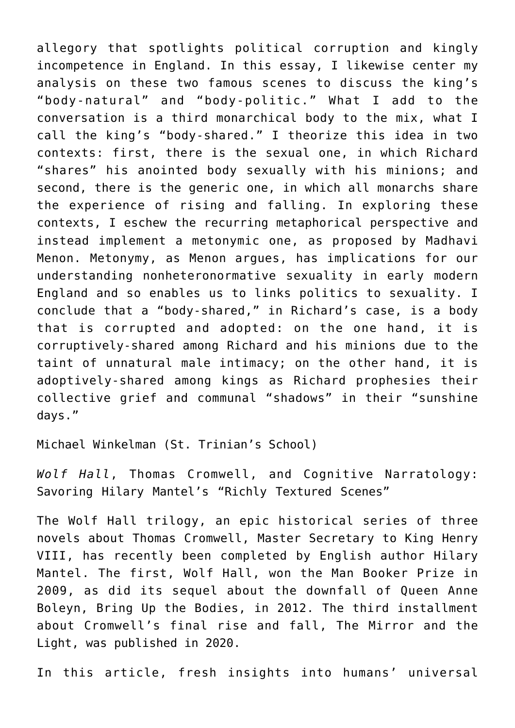allegory that spotlights political corruption and kingly incompetence in England. In this essay, I likewise center my analysis on these two famous scenes to discuss the king's "body-natural" and "body-politic." What I add to the conversation is a third monarchical body to the mix, what I call the king's "body-shared." I theorize this idea in two contexts: first, there is the sexual one, in which Richard "shares" his anointed body sexually with his minions; and second, there is the generic one, in which all monarchs share the experience of rising and falling. In exploring these contexts, I eschew the recurring metaphorical perspective and instead implement a metonymic one, as proposed by Madhavi Menon. Metonymy, as Menon argues, has implications for our understanding nonheteronormative sexuality in early modern England and so enables us to links politics to sexuality. I conclude that a "body-shared," in Richard's case, is a body that is corrupted and adopted: on the one hand, it is corruptively-shared among Richard and his minions due to the taint of unnatural male intimacy; on the other hand, it is adoptively-shared among kings as Richard prophesies their collective grief and communal "shadows" in their "sunshine days."

Michael Winkelman (St. Trinian's School)

*Wolf Hall*, Thomas Cromwell, and Cognitive Narratology: Savoring Hilary Mantel's "Richly Textured Scenes"

The Wolf Hall trilogy, an epic historical series of three novels about Thomas Cromwell, Master Secretary to King Henry VIII, has recently been completed by English author Hilary Mantel. The first, Wolf Hall, won the Man Booker Prize in 2009, as did its sequel about the downfall of Queen Anne Boleyn, Bring Up the Bodies, in 2012. The third installment about Cromwell's final rise and fall, The Mirror and the Light, was published in 2020.

In this article, fresh insights into humans' universal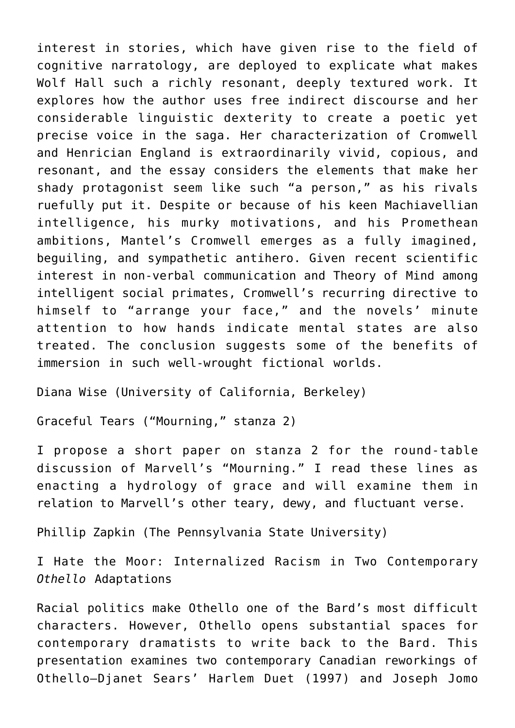interest in stories, which have given rise to the field of cognitive narratology, are deployed to explicate what makes Wolf Hall such a richly resonant, deeply textured work. It explores how the author uses free indirect discourse and her considerable linguistic dexterity to create a poetic yet precise voice in the saga. Her characterization of Cromwell and Henrician England is extraordinarily vivid, copious, and resonant, and the essay considers the elements that make her shady protagonist seem like such "a person," as his rivals ruefully put it. Despite or because of his keen Machiavellian intelligence, his murky motivations, and his Promethean ambitions, Mantel's Cromwell emerges as a fully imagined, beguiling, and sympathetic antihero. Given recent scientific interest in non-verbal communication and Theory of Mind among intelligent social primates, Cromwell's recurring directive to himself to "arrange your face," and the novels' minute attention to how hands indicate mental states are also treated. The conclusion suggests some of the benefits of immersion in such well-wrought fictional worlds.

[Diana Wise \(University of California, Berkeley\)](#page--1-0)

Graceful Tears ("Mourning," stanza 2)

I propose a short paper on stanza 2 for the round-table discussion of Marvell's "Mourning." I read these lines as enacting a hydrology of grace and will examine them in relation to Marvell's other teary, dewy, and fluctuant verse.

[Phillip Zapkin \(The Pennsylvania State University\)](http://english.la.psu.edu/faculty-staff/pzz17)

I Hate the Moor: Internalized Racism in Two Contemporary *Othello* Adaptations

Racial politics make Othello one of the Bard's most difficult characters. However, Othello opens substantial spaces for contemporary dramatists to write back to the Bard. This presentation examines two contemporary Canadian reworkings of Othello—Djanet Sears' Harlem Duet (1997) and Joseph Jomo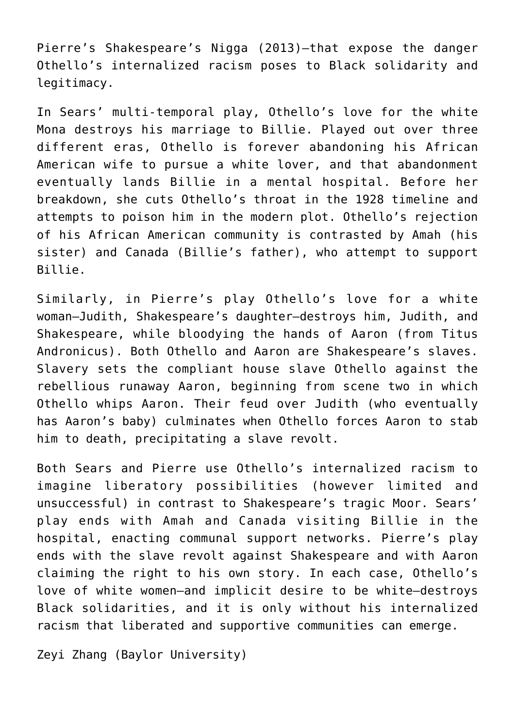Pierre's Shakespeare's Nigga (2013)—that expose the danger Othello's internalized racism poses to Black solidarity and legitimacy.

In Sears' multi-temporal play, Othello's love for the white Mona destroys his marriage to Billie. Played out over three different eras, Othello is forever abandoning his African American wife to pursue a white lover, and that abandonment eventually lands Billie in a mental hospital. Before her breakdown, she cuts Othello's throat in the 1928 timeline and attempts to poison him in the modern plot. Othello's rejection of his African American community is contrasted by Amah (his sister) and Canada (Billie's father), who attempt to support Billie.

Similarly, in Pierre's play Othello's love for a white woman—Judith, Shakespeare's daughter—destroys him, Judith, and Shakespeare, while bloodying the hands of Aaron (from Titus Andronicus). Both Othello and Aaron are Shakespeare's slaves. Slavery sets the compliant house slave Othello against the rebellious runaway Aaron, beginning from scene two in which Othello whips Aaron. Their feud over Judith (who eventually has Aaron's baby) culminates when Othello forces Aaron to stab him to death, precipitating a slave revolt.

Both Sears and Pierre use Othello's internalized racism to imagine liberatory possibilities (however limited and unsuccessful) in contrast to Shakespeare's tragic Moor. Sears' play ends with Amah and Canada visiting Billie in the hospital, enacting communal support networks. Pierre's play ends with the slave revolt against Shakespeare and with Aaron claiming the right to his own story. In each case, Othello's love of white women—and implicit desire to be white—destroys Black solidarities, and it is only without his internalized racism that liberated and supportive communities can emerge.

Zeyi Zhang (Baylor University)